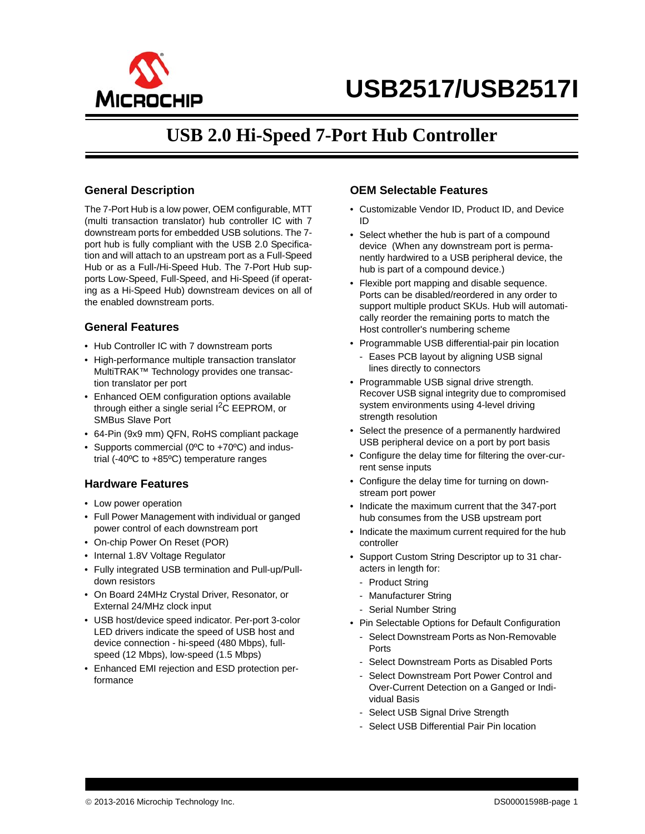

## **USB 2.0 Hi-Speed 7-Port Hub Controller**

#### **General Description**

The 7-Port Hub is a low power, OEM configurable, MTT (multi transaction translator) hub controller IC with 7 downstream ports for embedded USB solutions. The 7 port hub is fully compliant with the USB 2.0 Specification and will attach to an upstream port as a Full-Speed Hub or as a Full-/Hi-Speed Hub. The 7-Port Hub supports Low-Speed, Full-Speed, and Hi-Speed (if operating as a Hi-Speed Hub) downstream devices on all of the enabled downstream ports.

#### **General Features**

- Hub Controller IC with 7 downstream ports
- High-performance multiple transaction translator MultiTRAK™ Technology provides one transaction translator per port
- Enhanced OEM configuration options available through either a single serial  $I^2C$  EEPROM, or SMBus Slave Port
- 64-Pin (9x9 mm) QFN, RoHS compliant package
- Supports commercial (0ºC to +70ºC) and industrial (-40ºC to +85ºC) temperature ranges

#### **Hardware Features**

- Low power operation
- Full Power Management with individual or ganged power control of each downstream port
- On-chip Power On Reset (POR)
- Internal 1.8V Voltage Regulator
- Fully integrated USB termination and Pull-up/Pulldown resistors
- On Board 24MHz Crystal Driver, Resonator, or External 24/MHz clock input
- USB host/device speed indicator. Per-port 3-color LED drivers indicate the speed of USB host and device connection - hi-speed (480 Mbps), fullspeed (12 Mbps), low-speed (1.5 Mbps)
- Enhanced EMI rejection and ESD protection performance

#### **OEM Selectable Features**

- Customizable Vendor ID, Product ID, and Device ID
- Select whether the hub is part of a compound device (When any downstream port is permanently hardwired to a USB peripheral device, the hub is part of a compound device.)
- Flexible port mapping and disable sequence. Ports can be disabled/reordered in any order to support multiple product SKUs. Hub will automatically reorder the remaining ports to match the Host controller's numbering scheme
- Programmable USB differential-pair pin location - Eases PCB layout by aligning USB signal lines directly to connectors
- Programmable USB signal drive strength. Recover USB signal integrity due to compromised system environments using 4-level driving strength resolution
- Select the presence of a permanently hardwired USB peripheral device on a port by port basis
- Configure the delay time for filtering the over-current sense inputs
- Configure the delay time for turning on downstream port power
- Indicate the maximum current that the 347-port hub consumes from the USB upstream port
- Indicate the maximum current required for the hub controller
- Support Custom String Descriptor up to 31 characters in length for:
	- Product String
	- Manufacturer String
	- Serial Number String
- Pin Selectable Options for Default Configuration
	- Select Downstream Ports as Non-Removable **Ports**
	- Select Downstream Ports as Disabled Ports
	- Select Downstream Port Power Control and Over-Current Detection on a Ganged or Individual Basis
	- Select USB Signal Drive Strength
	- Select USB Differential Pair Pin location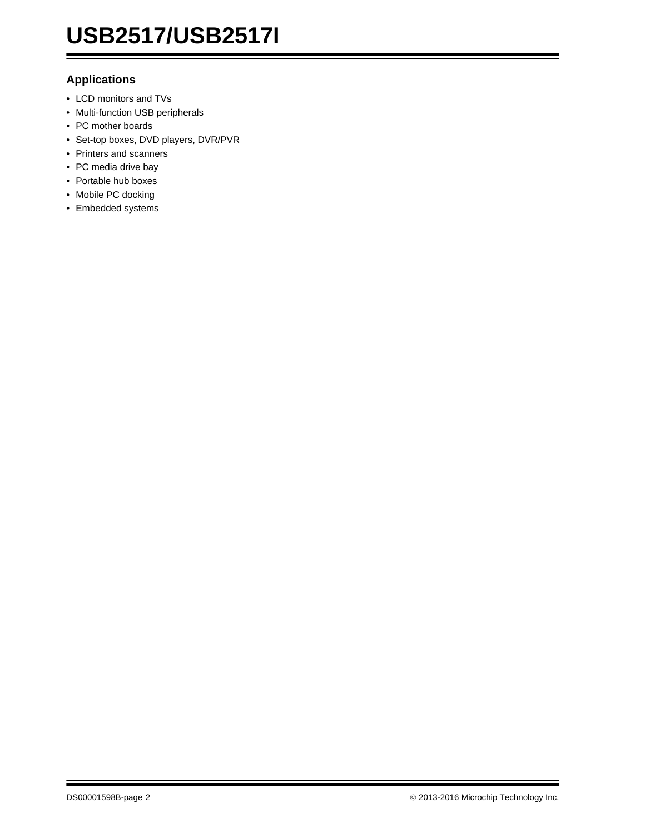## **Applications**

- LCD monitors and TVs
- Multi-function USB peripherals
- PC mother boards
- Set-top boxes, DVD players, DVR/PVR
- Printers and scanners
- PC media drive bay
- Portable hub boxes
- Mobile PC docking
- Embedded systems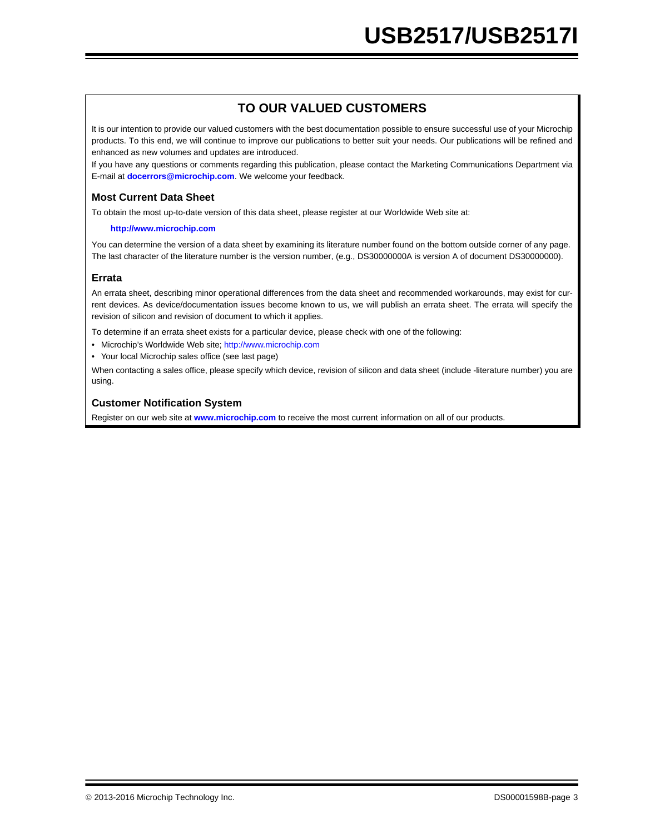## **TO OUR VALUED CUSTOMERS**

It is our intention to provide our valued customers with the best documentation possible to ensure successful use of your Microchip products. To this end, we will continue to improve our publications to better suit your needs. Our publications will be refined and enhanced as new volumes and updates are introduced.

If you have any questions or comments regarding this publication, please contact the Marketing Communications Department via E-mail at **[docerrors@microchip.com](mailto:docerrors@microchip.com)**. We welcome your feedback.

#### **Most Current Data Sheet**

To obtain the most up-to-date version of this data sheet, please register at our Worldwide Web site at:

#### **http://www.microchip.com**

You can determine the version of a data sheet by examining its literature number found on the bottom outside corner of any page. The last character of the literature number is the version number, (e.g., DS30000000A is version A of document DS30000000).

#### **Errata**

An errata sheet, describing minor operational differences from the data sheet and recommended workarounds, may exist for current devices. As device/documentation issues become known to us, we will publish an errata sheet. The errata will specify the revision of silicon and revision of document to which it applies.

To determine if an errata sheet exists for a particular device, please check with one of the following:

• [Microchip's Worldwide Web site; h](http://www.microchip.com)ttp://www.microchip.com

• Your local Microchip sales office (see last page)

When contacting a sales office, please specify which device, revision of silicon and data sheet (include -literature number) you are using.

#### **Customer Notification System**

Register on our web site at **[www.microchip.com](http://www.microchip.com)** to receive the most current information on all of our products.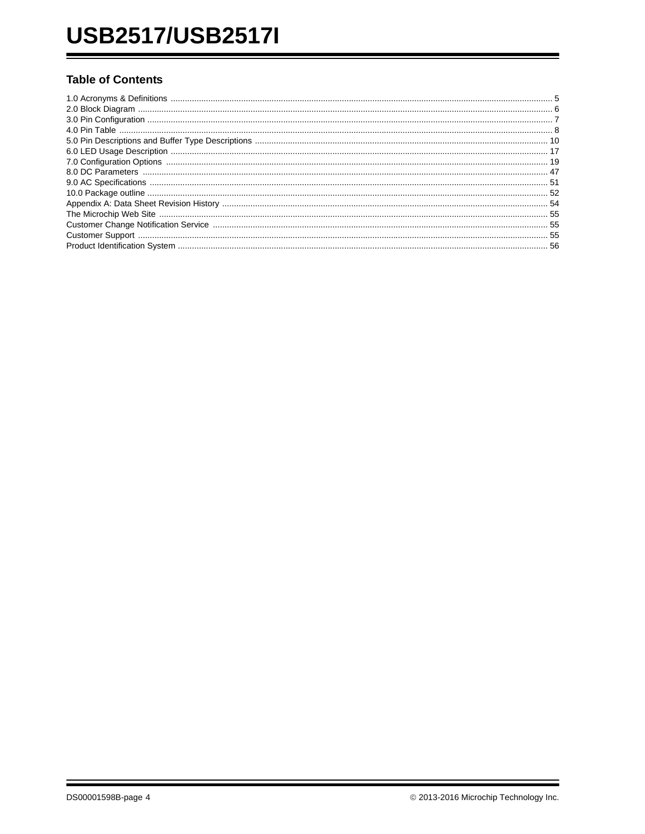## **Table of Contents**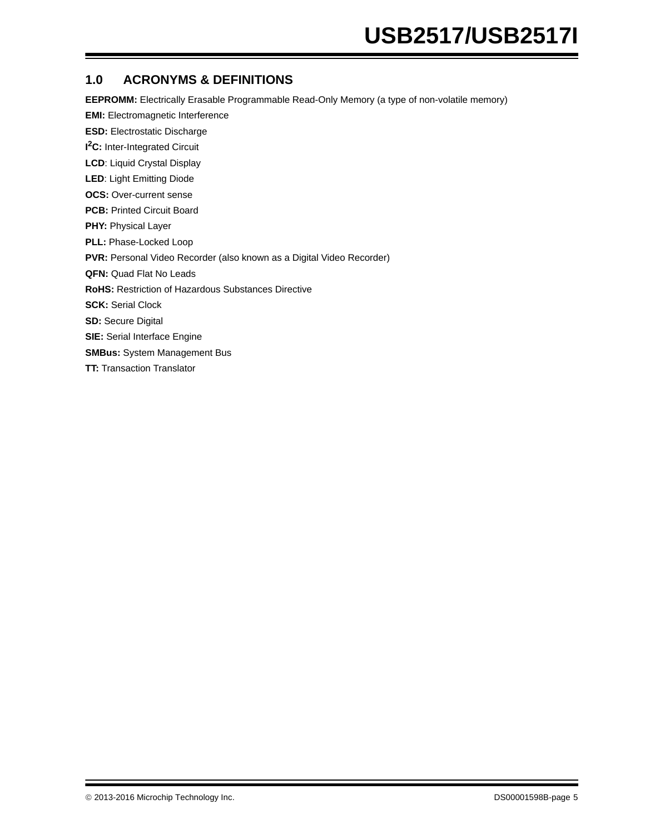## <span id="page-4-0"></span>**1.0 ACRONYMS & DEFINITIONS**

**EEPROMM:** Electrically Erasable Programmable Read-Only Memory (a type of non-volatile memory)

- **EMI:** Electromagnetic Interference
- **ESD:** Electrostatic Discharge
- **I 2C:** Inter-Integrated Circuit
- **LCD**: Liquid Crystal Display
- **LED**: Light Emitting Diode
- **OCS:** Over-current sense
- **PCB:** Printed Circuit Board
- **PHY:** Physical Layer
- **PLL:** Phase-Locked Loop
- **PVR:** Personal Video Recorder (also known as a Digital Video Recorder)
- **QFN:** Quad Flat No Leads
- **RoHS:** Restriction of Hazardous Substances Directive
- **SCK:** Serial Clock
- **SD:** Secure Digital
- **SIE:** Serial Interface Engine
- **SMBus:** System Management Bus
- **TT:** Transaction Translator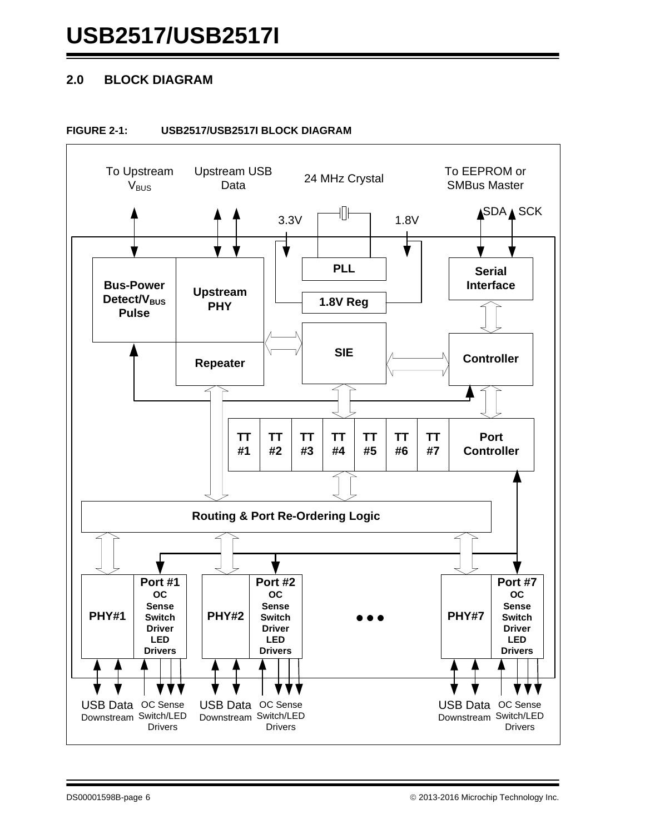## <span id="page-5-0"></span>**2.0 BLOCK DIAGRAM**

### **FIGURE 2-1: USB2517/USB2517I BLOCK DIAGRAM**

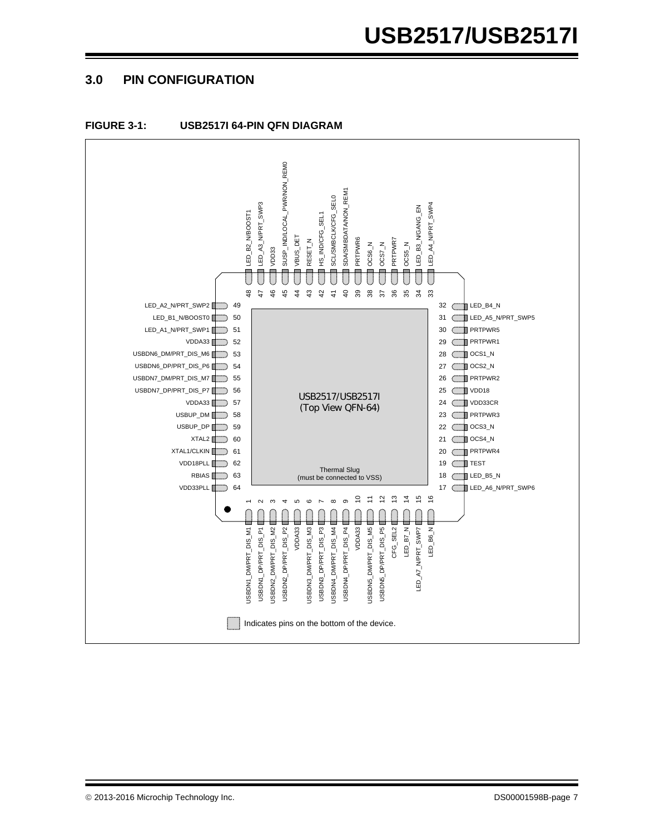## <span id="page-6-0"></span>**3.0 PIN CONFIGURATION**



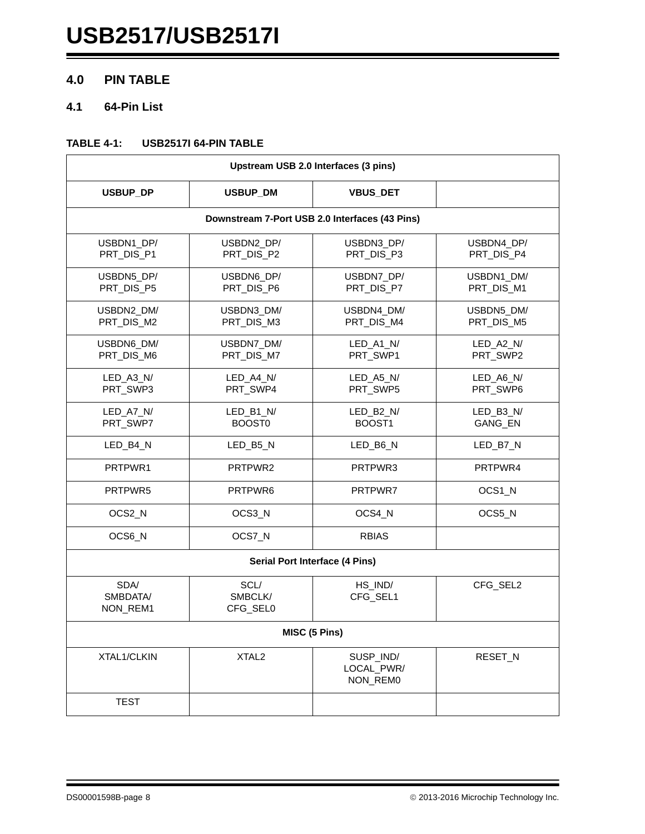## <span id="page-7-0"></span>**4.0 PIN TABLE**

## **4.1 64-Pin List**

#### **TABLE 4-1: USB2517I 64-PIN TABLE**

|                              | Upstream USB 2.0 Interfaces (3 pins) |                                                |                             |  |  |
|------------------------------|--------------------------------------|------------------------------------------------|-----------------------------|--|--|
| USBUP_DP<br>USBUP_DM         |                                      | <b>VBUS_DET</b>                                |                             |  |  |
|                              |                                      | Downstream 7-Port USB 2.0 Interfaces (43 Pins) |                             |  |  |
| USBDN1_DP/<br>PRT_DIS_P1     | USBDN2_DP/<br>PRT_DIS_P2             | USBDN3_DP/<br>PRT_DIS_P3                       | USBDN4_DP/<br>PRT_DIS_P4    |  |  |
| USBDN5_DP/<br>PRT_DIS_P5     | USBDN6_DP/<br>PRT_DIS_P6             | USBDN7_DP/<br>PRT_DIS_P7                       | USBDN1_DM/<br>PRT_DIS_M1    |  |  |
| USBDN2_DM/<br>PRT_DIS_M2     | USBDN3_DM/<br>PRT_DIS_M3             | USBDN4_DM/<br>PRT_DIS_M4                       | USBDN5_DM/<br>PRT_DIS_M5    |  |  |
| USBDN6_DM/<br>PRT_DIS_M6     | USBDN7_DM/<br>PRT_DIS_M7             | LED_A1_N/<br>PRT_SWP1                          | LED_A2_N/<br>PRT_SWP2       |  |  |
| LED_A3_N/<br>PRT_SWP3        | LED_A4_N/<br>PRT_SWP4                | LED_A5_N/<br>PRT_SWP5                          | LED_A6_N/<br>PRT_SWP6       |  |  |
| LED_A7_N/<br>PRT_SWP7        | LED_B1_N/<br>BOOST0                  | LED B2 N/<br>BOOST1                            | LED_B3_N/<br><b>GANG_EN</b> |  |  |
| LED_B4_N                     | LED_B5_N                             | LED_B6_N                                       | LED_B7_N                    |  |  |
| PRTPWR1                      | PRTPWR2                              | PRTPWR3                                        | PRTPWR4                     |  |  |
| PRTPWR5                      | PRTPWR6                              | PRTPWR7                                        | OCS1_N                      |  |  |
| OCS2_N                       | OCS3_N                               | OCS4_N                                         | OCS5_N                      |  |  |
| OCS6_N                       | OCS7_N                               | <b>RBIAS</b>                                   |                             |  |  |
|                              |                                      | Serial Port Interface (4 Pins)                 |                             |  |  |
| SDA/<br>SMBDATA/<br>NON_REM1 | SCL/<br>SMBCLK/<br>CFG_SEL0          | HS_IND/<br>CFG_SEL1                            | CFG_SEL2                    |  |  |
|                              |                                      | MISC (5 Pins)                                  |                             |  |  |
| XTAL1/CLKIN                  | XTAL <sub>2</sub>                    | SUSP_IND/<br>LOCAL_PWR/<br>NON_REM0            | RESET_N                     |  |  |
| <b>TEST</b>                  |                                      |                                                |                             |  |  |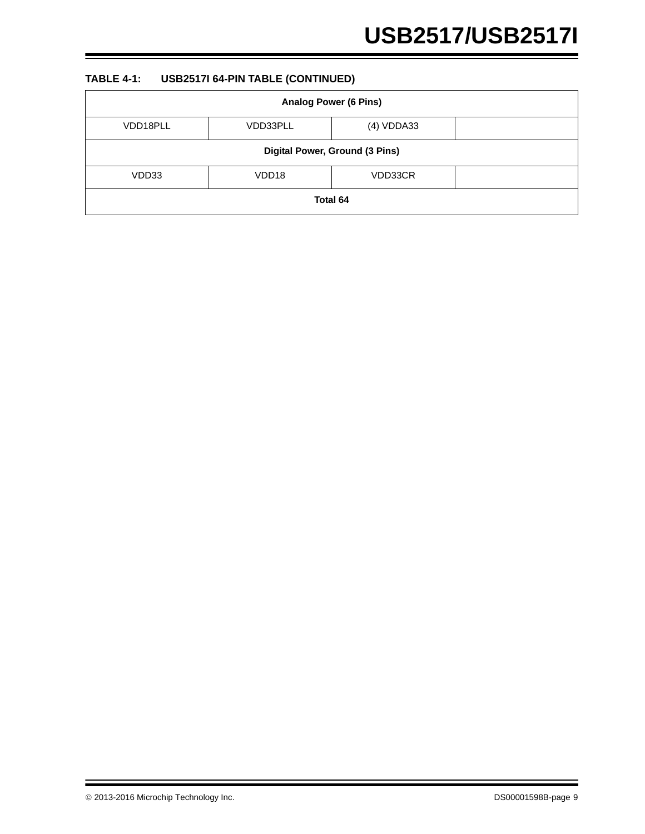## **TABLE 4-1: USB2517I 64-PIN TABLE (CONTINUED)**

| <b>Analog Power (6 Pins)</b>          |          |            |  |  |
|---------------------------------------|----------|------------|--|--|
| VDD18PLL                              | VDD33PLL | (4) VDDA33 |  |  |
| Digital Power, Ground (3 Pins)        |          |            |  |  |
| VDD33CR<br>VDD33<br>VDD <sub>18</sub> |          |            |  |  |
| <b>Total 64</b>                       |          |            |  |  |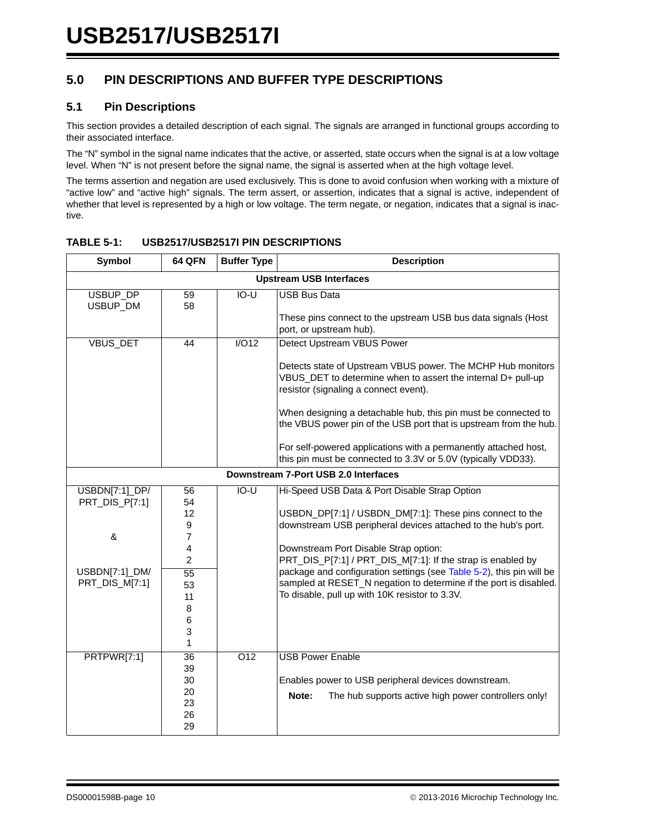## <span id="page-9-0"></span>**5.0 PIN DESCRIPTIONS AND BUFFER TYPE DESCRIPTIONS**

## **5.1 Pin Descriptions**

This section provides a detailed description of each signal. The signals are arranged in functional groups according to their associated interface.

The "N" symbol in the signal name indicates that the active, or asserted, state occurs when the signal is at a low voltage level. When "N" is not present before the signal name, the signal is asserted when at the high voltage level.

The terms assertion and negation are used exclusively. This is done to avoid confusion when working with a mixture of "active low" and "active high" signals. The term assert, or assertion, indicates that a signal is active, independent of whether that level is represented by a high or low voltage. The term negate, or negation, indicates that a signal is inactive.

| Symbol                           | <b>64 QFN</b>            | <b>Buffer Type</b> | <b>Description</b>                                                                                                                                                   |
|----------------------------------|--------------------------|--------------------|----------------------------------------------------------------------------------------------------------------------------------------------------------------------|
|                                  |                          |                    | <b>Upstream USB Interfaces</b>                                                                                                                                       |
| USBUP_DP<br>USBUP_DM             | 59<br>58                 | $IO-U$             | <b>USB Bus Data</b>                                                                                                                                                  |
|                                  |                          |                    | These pins connect to the upstream USB bus data signals (Host<br>port, or upstream hub).                                                                             |
| <b>VBUS DET</b>                  | $\overline{44}$          | I/O12              | <b>Detect Upstream VBUS Power</b>                                                                                                                                    |
|                                  |                          |                    | Detects state of Upstream VBUS power. The MCHP Hub monitors<br>VBUS_DET to determine when to assert the internal D+ pull-up<br>resistor (signaling a connect event). |
|                                  |                          |                    | When designing a detachable hub, this pin must be connected to<br>the VBUS power pin of the USB port that is upstream from the hub.                                  |
|                                  |                          |                    | For self-powered applications with a permanently attached host,<br>this pin must be connected to 3.3V or 5.0V (typically VDD33).                                     |
|                                  |                          |                    | Downstream 7-Port USB 2.0 Interfaces                                                                                                                                 |
| USBDN[7:1]_DP/<br>PRT_DIS_P[7:1] | 56<br>54                 | $IO-U$             | Hi-Speed USB Data & Port Disable Strap Option                                                                                                                        |
|                                  | 12<br>9                  |                    | USBDN_DP[7:1] / USBDN_DM[7:1]: These pins connect to the<br>downstream USB peripheral devices attached to the hub's port.                                            |
| &                                | 7<br>4<br>$\overline{2}$ |                    | Downstream Port Disable Strap option:<br>PRT_DIS_P[7:1] / PRT_DIS_M[7:1]: If the strap is enabled by                                                                 |
| USBDN[7:1]_DM/                   | $\overline{55}$          |                    | package and configuration settings (see Table 5-2), this pin will be                                                                                                 |
| PRT_DIS_M[7:1]                   | 53<br>11                 |                    | sampled at RESET_N negation to determine if the port is disabled.<br>To disable, pull up with 10K resistor to 3.3V.                                                  |
|                                  | 8                        |                    |                                                                                                                                                                      |
|                                  | 6<br>3                   |                    |                                                                                                                                                                      |
|                                  | 1                        |                    |                                                                                                                                                                      |
| PRTPWR[7:1]                      | 36<br>39                 | O <sub>12</sub>    | <b>USB Power Enable</b>                                                                                                                                              |
|                                  | 30                       |                    | Enables power to USB peripheral devices downstream.                                                                                                                  |
|                                  | 20<br>23                 |                    | Note:<br>The hub supports active high power controllers only!                                                                                                        |
|                                  | 26<br>29                 |                    |                                                                                                                                                                      |
|                                  |                          |                    |                                                                                                                                                                      |

<span id="page-9-1"></span>**TABLE 5-1: USB2517/USB2517I PIN DESCRIPTIONS**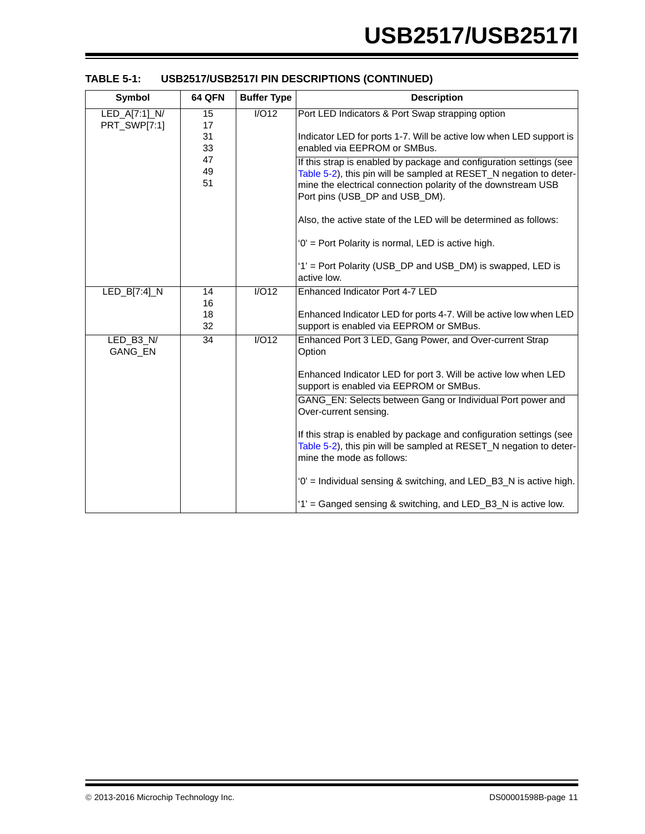| Symbol                      | <b>64 QFN</b>   | <b>Buffer Type</b> | <b>Description</b>                                                                                                                                                                                                                           |
|-----------------------------|-----------------|--------------------|----------------------------------------------------------------------------------------------------------------------------------------------------------------------------------------------------------------------------------------------|
| LED_A[7:1]_N/               | 15              | I/O12              | Port LED Indicators & Port Swap strapping option                                                                                                                                                                                             |
| PRT_SWP[7:1]                | 17<br>31<br>33  |                    | Indicator LED for ports 1-7. Will be active low when LED support is<br>enabled via EEPROM or SMBus.                                                                                                                                          |
|                             | 47<br>49<br>51  |                    | If this strap is enabled by package and configuration settings (see<br>Table 5-2), this pin will be sampled at RESET_N negation to deter-<br>mine the electrical connection polarity of the downstream USB<br>Port pins (USB_DP and USB_DM). |
|                             |                 |                    | Also, the active state of the LED will be determined as follows:                                                                                                                                                                             |
|                             |                 |                    | '0' = Port Polarity is normal, LED is active high.                                                                                                                                                                                           |
|                             |                 |                    | '1' = Port Polarity (USB_DP and USB_DM) is swapped, LED is<br>active low.                                                                                                                                                                    |
| LED_B[7:4]_N                | 14              | I/O12              | Enhanced Indicator Port 4-7 LED                                                                                                                                                                                                              |
|                             | 16<br>18<br>32  |                    | Enhanced Indicator LED for ports 4-7. Will be active low when LED<br>support is enabled via EEPROM or SMBus.                                                                                                                                 |
| LED_B3_N/<br><b>GANG_EN</b> | $\overline{34}$ | I/O12              | Enhanced Port 3 LED, Gang Power, and Over-current Strap<br>Option                                                                                                                                                                            |
|                             |                 |                    | Enhanced Indicator LED for port 3. Will be active low when LED<br>support is enabled via EEPROM or SMBus.                                                                                                                                    |
|                             |                 |                    | GANG_EN: Selects between Gang or Individual Port power and<br>Over-current sensing.                                                                                                                                                          |
|                             |                 |                    | If this strap is enabled by package and configuration settings (see<br>Table 5-2), this pin will be sampled at RESET_N negation to deter-<br>mine the mode as follows:                                                                       |
|                             |                 |                    | '0' = Individual sensing & switching, and LED_B3_N is active high.                                                                                                                                                                           |
|                             |                 |                    | '1' = Ganged sensing & switching, and LED_B3_N is active low.                                                                                                                                                                                |

| <b>TABLE 5-1:</b> | USB2517/USB2517I PIN DESCRIPTIONS (CONTINUED) |  |
|-------------------|-----------------------------------------------|--|
|                   |                                               |  |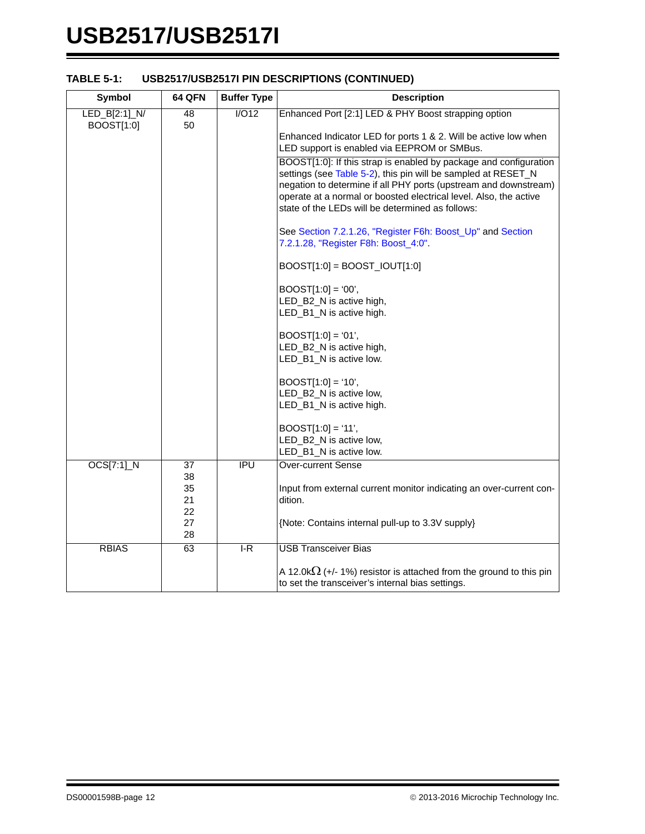| <b>TABLE 5-1:</b> | USB2517/USB2517I PIN DESCRIPTIONS (CONTINUED) |  |  |
|-------------------|-----------------------------------------------|--|--|
|-------------------|-----------------------------------------------|--|--|

| Symbol                      | <b>64 QFN</b>  | <b>Buffer Type</b> | <b>Description</b>                                                                                                                                                                                                                                                                                                              |
|-----------------------------|----------------|--------------------|---------------------------------------------------------------------------------------------------------------------------------------------------------------------------------------------------------------------------------------------------------------------------------------------------------------------------------|
| LED_B[2:1]_N/<br>BOOST[1:0] | 48<br>50       | I/O12              | Enhanced Port [2:1] LED & PHY Boost strapping option                                                                                                                                                                                                                                                                            |
|                             |                |                    | Enhanced Indicator LED for ports 1 & 2. Will be active low when<br>LED support is enabled via EEPROM or SMBus.                                                                                                                                                                                                                  |
|                             |                |                    | BOOST[1:0]: If this strap is enabled by package and configuration<br>settings (see Table 5-2), this pin will be sampled at RESET_N<br>negation to determine if all PHY ports (upstream and downstream)<br>operate at a normal or boosted electrical level. Also, the active<br>state of the LEDs will be determined as follows: |
|                             |                |                    | See Section 7.2.1.26, "Register F6h: Boost_Up" and Section<br>7.2.1.28, "Register F8h: Boost_4:0".                                                                                                                                                                                                                              |
|                             |                |                    | $BOOST[1:0] = BOOST_OUTT[1:0]$                                                                                                                                                                                                                                                                                                  |
|                             |                |                    | $BOOST[1:0] = '00',$<br>LED B2 N is active high,<br>LED_B1_N is active high.                                                                                                                                                                                                                                                    |
|                             |                |                    | $BOOST[1:0] = '01',$<br>LED_B2_N is active high,<br>LED_B1_N is active low.                                                                                                                                                                                                                                                     |
|                             |                |                    | $BOOST[1:0] = '10',$<br>LED B2 N is active low,<br>LED_B1_N is active high.                                                                                                                                                                                                                                                     |
|                             |                |                    | $BOOST[1:0] = '11',$<br>LED_B2_N is active low,<br>LED_B1_N is active low.                                                                                                                                                                                                                                                      |
| $OCS[7:1]_N$                | 37<br>38       | IPU                | Over-current Sense                                                                                                                                                                                                                                                                                                              |
|                             | 35<br>21<br>22 |                    | Input from external current monitor indicating an over-current con-<br>dition.                                                                                                                                                                                                                                                  |
|                             | 27<br>28       |                    | {Note: Contains internal pull-up to 3.3V supply}                                                                                                                                                                                                                                                                                |
| <b>RBIAS</b>                | 63             | I-R                | <b>USB Transceiver Bias</b>                                                                                                                                                                                                                                                                                                     |
|                             |                |                    | A 12.0k $\Omega$ (+/- 1%) resistor is attached from the ground to this pin<br>to set the transceiver's internal bias settings.                                                                                                                                                                                                  |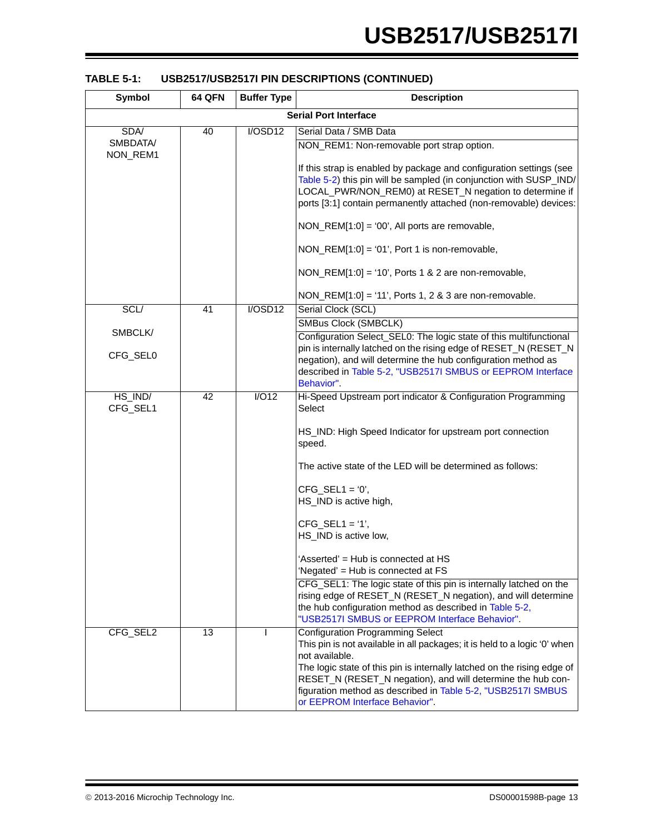| Symbol               | <b>64 QFN</b>   | <b>Buffer Type</b> | <b>Description</b>                                                                                                                                                                                                                                                        |
|----------------------|-----------------|--------------------|---------------------------------------------------------------------------------------------------------------------------------------------------------------------------------------------------------------------------------------------------------------------------|
|                      |                 |                    | <b>Serial Port Interface</b>                                                                                                                                                                                                                                              |
| SDA/                 | 40              | I/OSD12            | Serial Data / SMB Data                                                                                                                                                                                                                                                    |
| SMBDATA/<br>NON_REM1 |                 |                    | NON_REM1: Non-removable port strap option.                                                                                                                                                                                                                                |
|                      |                 |                    | If this strap is enabled by package and configuration settings (see<br>Table 5-2) this pin will be sampled (in conjunction with SUSP_IND/<br>LOCAL_PWR/NON_REM0) at RESET_N negation to determine if<br>ports [3:1] contain permanently attached (non-removable) devices: |
|                      |                 |                    | NON_REM[1:0] = '00', All ports are removable,                                                                                                                                                                                                                             |
|                      |                 |                    | NON_REM[1:0] = '01', Port 1 is non-removable,                                                                                                                                                                                                                             |
|                      |                 |                    | $NON\_REM[1:0] = '10'$ , Ports 1 & 2 are non-removable,                                                                                                                                                                                                                   |
|                      |                 |                    | $NON\_REM[1:0] = '11'$ , Ports 1, 2 & 3 are non-removable.                                                                                                                                                                                                                |
| <b>SCL/</b>          | $\overline{41}$ | I/OSD12            | Serial Clock (SCL)                                                                                                                                                                                                                                                        |
|                      |                 |                    | <b>SMBus Clock (SMBCLK)</b>                                                                                                                                                                                                                                               |
| SMBCLK/              |                 |                    | Configuration Select_SEL0: The logic state of this multifunctional                                                                                                                                                                                                        |
| CFG_SEL0             |                 |                    | pin is internally latched on the rising edge of RESET_N (RESET_N<br>negation), and will determine the hub configuration method as<br>described in Table 5-2, "USB2517I SMBUS or EEPROM Interface<br>Behavior".                                                            |
| HS_IND/<br>CFG_SEL1  | $\overline{42}$ | 1/012              | Hi-Speed Upstream port indicator & Configuration Programming<br>Select                                                                                                                                                                                                    |
|                      |                 |                    | HS_IND: High Speed Indicator for upstream port connection<br>speed.                                                                                                                                                                                                       |
|                      |                 |                    | The active state of the LED will be determined as follows:                                                                                                                                                                                                                |
|                      |                 |                    | $CFG_SEL1 = '0',$                                                                                                                                                                                                                                                         |
|                      |                 |                    | HS_IND is active high,                                                                                                                                                                                                                                                    |
|                      |                 |                    |                                                                                                                                                                                                                                                                           |
|                      |                 |                    | $CFG_SEL1 = '1',$<br>HS_IND is active low,                                                                                                                                                                                                                                |
|                      |                 |                    | 'Asserted' = Hub is connected at HS<br>'Negated' = Hub is connected at FS                                                                                                                                                                                                 |
|                      |                 |                    | CFG_SEL1: The logic state of this pin is internally latched on the<br>rising edge of RESET_N (RESET_N negation), and will determine<br>the hub configuration method as described in Table 5-2,<br>"USB2517I SMBUS or EEPROM Interface Behavior".                          |
| CFG_SEL2             | $\overline{13}$ |                    | <b>Configuration Programming Select</b><br>This pin is not available in all packages; it is held to a logic '0' when<br>not available.                                                                                                                                    |
|                      |                 |                    | The logic state of this pin is internally latched on the rising edge of<br>RESET_N (RESET_N negation), and will determine the hub con-<br>figuration method as described in Table 5-2, "USB2517I SMBUS<br>or EEPROM Interface Behavior".                                  |

| <b>TABLE 5-1:</b> | USB2517/USB2517I PIN DESCRIPTIONS (CONTINUED) |  |
|-------------------|-----------------------------------------------|--|
|-------------------|-----------------------------------------------|--|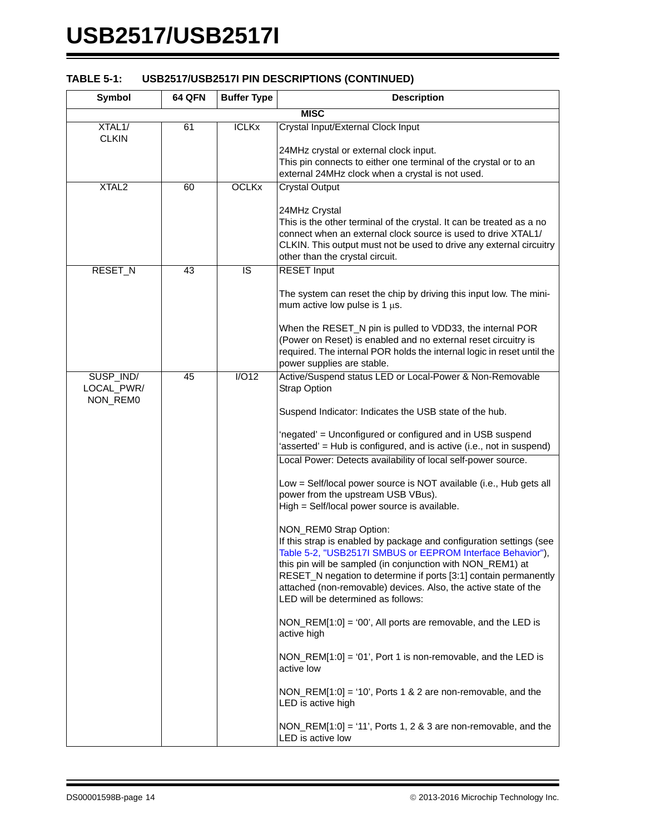## **TABLE 5-1: USB2517/USB2517I PIN DESCRIPTIONS (CONTINUED)**

| Symbol                              | <b>64 QFN</b> | <b>Buffer Type</b> | <b>Description</b>                                                                                                                                                                                                                                                                                                                                                                                     |
|-------------------------------------|---------------|--------------------|--------------------------------------------------------------------------------------------------------------------------------------------------------------------------------------------------------------------------------------------------------------------------------------------------------------------------------------------------------------------------------------------------------|
|                                     |               |                    | <b>MISC</b>                                                                                                                                                                                                                                                                                                                                                                                            |
| XTAL1/<br><b>CLKIN</b>              | 61            | <b>ICLKx</b>       | Crystal Input/External Clock Input                                                                                                                                                                                                                                                                                                                                                                     |
|                                     |               |                    | 24MHz crystal or external clock input.<br>This pin connects to either one terminal of the crystal or to an<br>external 24MHz clock when a crystal is not used.                                                                                                                                                                                                                                         |
| XTAL <sub>2</sub>                   | 60            | <b>OCLKx</b>       | <b>Crystal Output</b>                                                                                                                                                                                                                                                                                                                                                                                  |
|                                     |               |                    | 24MHz Crystal<br>This is the other terminal of the crystal. It can be treated as a no<br>connect when an external clock source is used to drive XTAL1/<br>CLKIN. This output must not be used to drive any external circuitry<br>other than the crystal circuit.                                                                                                                                       |
| RESET_N                             | 43            | ĪS                 | <b>RESET Input</b>                                                                                                                                                                                                                                                                                                                                                                                     |
|                                     |               |                    | The system can reset the chip by driving this input low. The mini-<br>mum active low pulse is 1 $\mu$ s.                                                                                                                                                                                                                                                                                               |
|                                     |               |                    | When the RESET_N pin is pulled to VDD33, the internal POR<br>(Power on Reset) is enabled and no external reset circuitry is<br>required. The internal POR holds the internal logic in reset until the<br>power supplies are stable.                                                                                                                                                                    |
| SUSP_IND/<br>LOCAL_PWR/<br>NON_REM0 | 45            | I/O12              | Active/Suspend status LED or Local-Power & Non-Removable<br><b>Strap Option</b>                                                                                                                                                                                                                                                                                                                        |
|                                     |               |                    | Suspend Indicator: Indicates the USB state of the hub.                                                                                                                                                                                                                                                                                                                                                 |
|                                     |               |                    | 'negated' = Unconfigured or configured and in USB suspend<br>'asserted' = Hub is configured, and is active (i.e., not in suspend)                                                                                                                                                                                                                                                                      |
|                                     |               |                    | Local Power: Detects availability of local self-power source.                                                                                                                                                                                                                                                                                                                                          |
|                                     |               |                    | Low = Self/local power source is NOT available (i.e., Hub gets all<br>power from the upstream USB VBus).<br>High = Self/local power source is available.                                                                                                                                                                                                                                               |
|                                     |               |                    | NON_REM0 Strap Option:<br>If this strap is enabled by package and configuration settings (see<br>Table 5-2, "USB2517I SMBUS or EEPROM Interface Behavior"),<br>this pin will be sampled (in conjunction with NON_REM1) at<br>RESET_N negation to determine if ports [3:1] contain permanently<br>attached (non-removable) devices. Also, the active state of the<br>LED will be determined as follows: |
|                                     |               |                    | $NON\_REM[1:0] = '00'$ , All ports are removable, and the LED is<br>active high                                                                                                                                                                                                                                                                                                                        |
|                                     |               |                    | NON_REM[1:0] = '01', Port 1 is non-removable, and the LED is<br>active low                                                                                                                                                                                                                                                                                                                             |
|                                     |               |                    | NON_REM[1:0] = '10', Ports 1 & 2 are non-removable, and the<br>LED is active high                                                                                                                                                                                                                                                                                                                      |
|                                     |               |                    | NON_REM[1:0] = '11', Ports 1, 2 & 3 are non-removable, and the<br>LED is active low                                                                                                                                                                                                                                                                                                                    |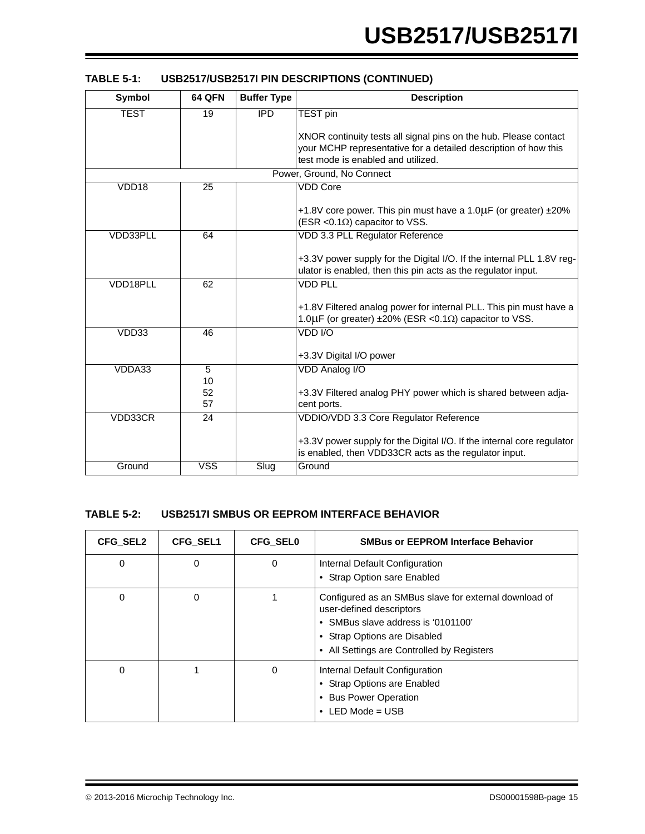| Symbol      | <b>64 QFN</b>   | <b>Buffer Type</b> | <b>Description</b>                                                                                                                                                        |
|-------------|-----------------|--------------------|---------------------------------------------------------------------------------------------------------------------------------------------------------------------------|
| <b>TEST</b> | $\overline{19}$ | <b>IPD</b>         | <b>TEST</b> pin                                                                                                                                                           |
|             |                 |                    | XNOR continuity tests all signal pins on the hub. Please contact<br>your MCHP representative for a detailed description of how this<br>test mode is enabled and utilized. |
|             |                 |                    | Power, Ground, No Connect                                                                                                                                                 |
| VDD18       | 25              |                    | <b>VDD Core</b>                                                                                                                                                           |
|             |                 |                    |                                                                                                                                                                           |
|             |                 |                    | +1.8V core power. This pin must have a 1.0µF (or greater) ±20%<br>(ESR < $0.1\Omega$ ) capacitor to VSS.                                                                  |
| VDD33PLL    | 64              |                    | VDD 3.3 PLL Regulator Reference                                                                                                                                           |
|             |                 |                    | +3.3V power supply for the Digital I/O. If the internal PLL 1.8V reg-<br>ulator is enabled, then this pin acts as the regulator input.                                    |
| VDD18PLL    | 62              |                    | <b>VDD PLL</b>                                                                                                                                                            |
|             |                 |                    | +1.8V Filtered analog power for internal PLL. This pin must have a<br>1.0μF (or greater) ±20% (ESR < 0.1Ω) capacitor to VSS.                                              |
| VDD33       | 46              |                    | VDD I/O                                                                                                                                                                   |
|             |                 |                    | +3.3V Digital I/O power                                                                                                                                                   |
| VDDA33      | 5               |                    | <b>VDD Analog I/O</b>                                                                                                                                                     |
|             | 10              |                    |                                                                                                                                                                           |
|             | 52              |                    | +3.3V Filtered analog PHY power which is shared between adja-                                                                                                             |
|             | 57              |                    | cent ports.                                                                                                                                                               |
| VDD33CR     | 24              |                    | VDDIO/VDD 3.3 Core Regulator Reference                                                                                                                                    |
|             |                 |                    | +3.3V power supply for the Digital I/O. If the internal core regulator<br>is enabled, then VDD33CR acts as the regulator input.                                           |
| Ground      | <b>VSS</b>      | Slug               | Ground                                                                                                                                                                    |

#### **TABLE 5-1: USB2517/USB2517I PIN DESCRIPTIONS (CONTINUED)**

#### <span id="page-14-1"></span><span id="page-14-0"></span>**TABLE 5-2: USB2517I SMBUS OR EEPROM INTERFACE BEHAVIOR**

| CFG SEL2 | CFG SEL1 | <b>CFG SEL0</b> | <b>SMBus or EEPROM Interface Behavior</b>                                                                                                                                                             |
|----------|----------|-----------------|-------------------------------------------------------------------------------------------------------------------------------------------------------------------------------------------------------|
| $\Omega$ | 0        | $\Omega$        | Internal Default Configuration<br>• Strap Option sare Enabled                                                                                                                                         |
| $\Omega$ | 0        |                 | Configured as an SMBus slave for external download of<br>user-defined descriptors<br>• SMBus slave address is '0101100'<br>• Strap Options are Disabled<br>• All Settings are Controlled by Registers |
| $\Omega$ |          | $\Omega$        | Internal Default Configuration<br>• Strap Options are Enabled<br>• Bus Power Operation<br>• LED Mode = USB                                                                                            |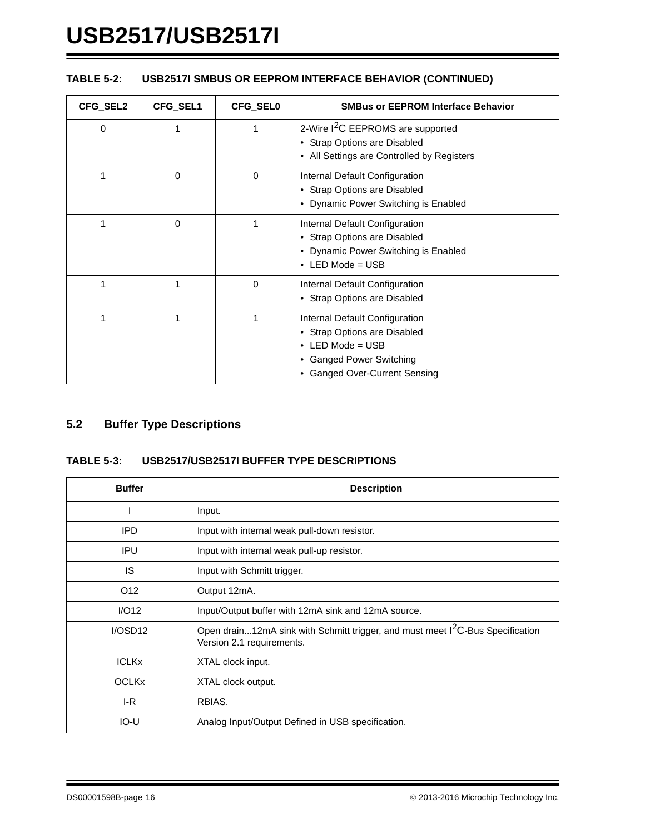| CFG_SEL2 | CFG_SEL1 | CFG_SEL0 | <b>SMBus or EEPROM Interface Behavior</b>                                                                                                            |
|----------|----------|----------|------------------------------------------------------------------------------------------------------------------------------------------------------|
| 0        |          | 1        | 2-Wire I <sup>2</sup> C EEPROMS are supported<br>• Strap Options are Disabled<br>• All Settings are Controlled by Registers                          |
|          | $\Omega$ | 0        | Internal Default Configuration<br>• Strap Options are Disabled<br>• Dynamic Power Switching is Enabled                                               |
|          | $\Omega$ | 1        | Internal Default Configuration<br>• Strap Options are Disabled<br>• Dynamic Power Switching is Enabled<br>• LED Mode = USB                           |
| 1        |          | 0        | Internal Default Configuration<br>• Strap Options are Disabled                                                                                       |
| 1        |          | 1        | Internal Default Configuration<br>• Strap Options are Disabled<br>• LED Mode = USB<br>• Ganged Power Switching<br><b>Ganged Over-Current Sensing</b> |

## **TABLE 5-2: USB2517I SMBUS OR EEPROM INTERFACE BEHAVIOR (CONTINUED)**

## **5.2 Buffer Type Descriptions**

#### **TABLE 5-3: USB2517/USB2517I BUFFER TYPE DESCRIPTIONS**

| <b>Buffer</b>   | <b>Description</b>                                                                                                      |
|-----------------|-------------------------------------------------------------------------------------------------------------------------|
|                 | Input.                                                                                                                  |
| IPD             | Input with internal weak pull-down resistor.                                                                            |
| <b>IPU</b>      | Input with internal weak pull-up resistor.                                                                              |
| IS              | Input with Schmitt trigger.                                                                                             |
| O <sub>12</sub> | Output 12mA.                                                                                                            |
| I/O12           | Input/Output buffer with 12mA sink and 12mA source.                                                                     |
| I/OSD12         | Open drain12mA sink with Schmitt trigger, and must meet I <sup>2</sup> C-Bus Specification<br>Version 2.1 requirements. |
| <b>ICLKx</b>    | XTAL clock input.                                                                                                       |
| <b>OCLKx</b>    | XTAL clock output.                                                                                                      |
| I-R             | RBIAS.                                                                                                                  |
| $IO-U$          | Analog Input/Output Defined in USB specification.                                                                       |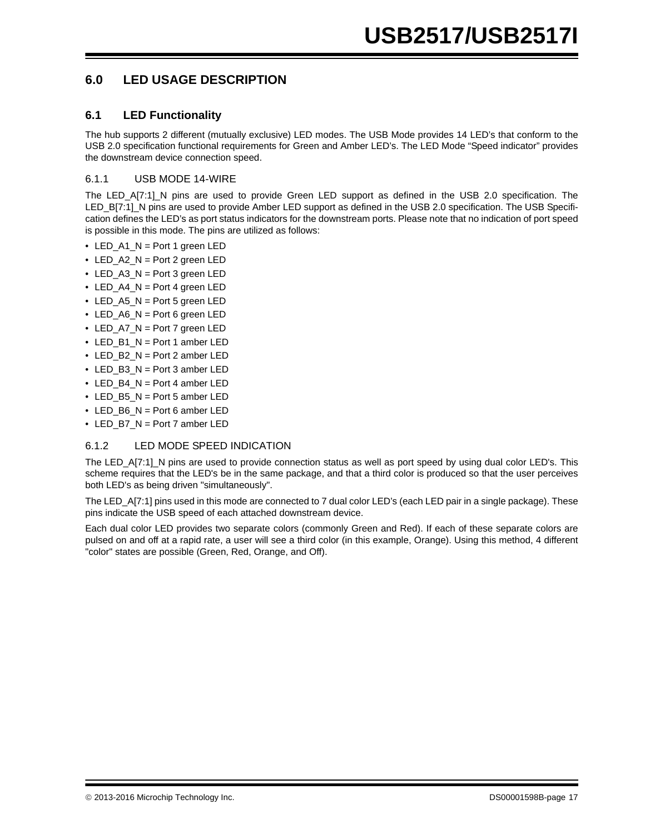## <span id="page-16-0"></span>**6.0 LED USAGE DESCRIPTION**

#### **6.1 LED Functionality**

The hub supports 2 different (mutually exclusive) LED modes. The USB Mode provides 14 LED's that conform to the USB 2.0 specification functional requirements for Green and Amber LED's. The LED Mode "Speed indicator" provides the downstream device connection speed.

#### 6.1.1 USB MODE 14-WIRE

The LED\_A[7:1]\_N pins are used to provide Green LED support as defined in the USB 2.0 specification. The LED\_B[7:1]\_N pins are used to provide Amber LED support as defined in the USB 2.0 specification. The USB Specification defines the LED's as port status indicators for the downstream ports. Please note that no indication of port speed is possible in this mode. The pins are utilized as follows:

- LED\_A1\_N = Port 1 green LED
- LED\_A2\_N = Port 2 green LED
- LED\_A3\_N = Port 3 green LED
- LED\_A4\_N = Port 4 green LED
- LED\_A5\_N = Port 5 green LED
- LED\_A6\_N = Port 6 green LED
- LED\_A7\_N = Port 7 green LED
- LED\_B1\_N = Port 1 amber LED
- LED  $B2$  N = Port 2 amber LED
- LED\_B3\_N = Port 3 amber LED
- LED\_B4\_N = Port 4 amber LED
- LED\_B5\_N = Port 5 amber LED
- LED\_B6\_N = Port 6 amber LED
- LED B7 N = Port 7 amber LED

#### 6.1.2 LED MODE SPEED INDICATION

The LED A[7:1] N pins are used to provide connection status as well as port speed by using dual color LED's. This scheme requires that the LED's be in the same package, and that a third color is produced so that the user perceives both LED's as being driven "simultaneously".

The LED\_A[7:1] pins used in this mode are connected to 7 dual color LED's (each LED pair in a single package). These pins indicate the USB speed of each attached downstream device.

Each dual color LED provides two separate colors (commonly Green and Red). If each of these separate colors are pulsed on and off at a rapid rate, a user will see a third color (in this example, Orange). Using this method, 4 different "color" states are possible (Green, Red, Orange, and Off).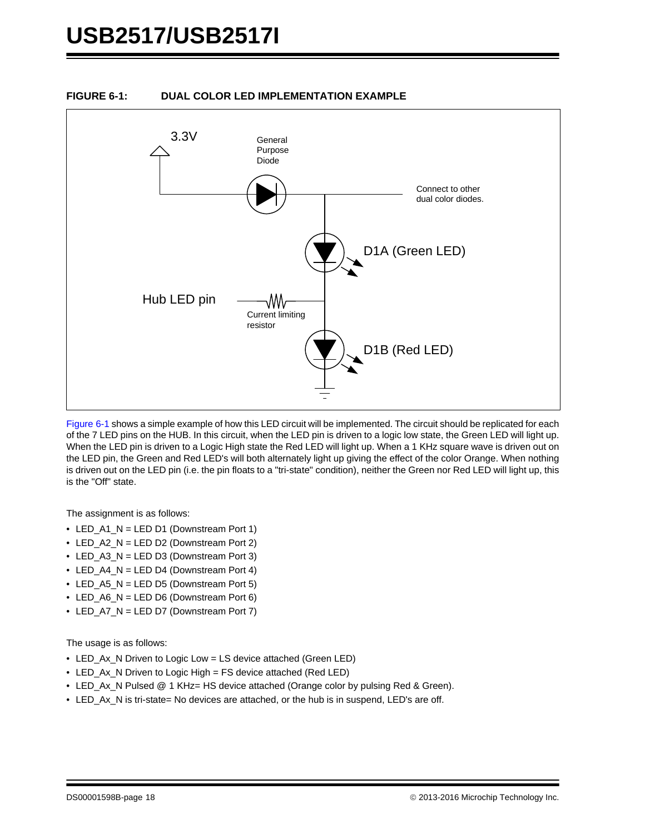

#### <span id="page-17-0"></span>**FIGURE 6-1: DUAL COLOR LED IMPLEMENTATION EXAMPLE**

[Figure 6-1](#page-17-0) shows a simple example of how this LED circuit will be implemented. The circuit should be replicated for each of the 7 LED pins on the HUB. In this circuit, when the LED pin is driven to a logic low state, the Green LED will light up. When the LED pin is driven to a Logic High state the Red LED will light up. When a 1 KHz square wave is driven out on the LED pin, the Green and Red LED's will both alternately light up giving the effect of the color Orange. When nothing is driven out on the LED pin (i.e. the pin floats to a "tri-state" condition), neither the Green nor Red LED will light up, this is the "Off" state.

The assignment is as follows:

- LED\_A1\_N = LED D1 (Downstream Port 1)
- LED\_A2\_N = LED D2 (Downstream Port 2)
- LED\_A3\_N = LED D3 (Downstream Port 3)
- LED\_A4\_N = LED D4 (Downstream Port 4)
- LED\_A5\_N = LED D5 (Downstream Port 5)
- LED\_A6\_N = LED D6 (Downstream Port 6)
- LED\_A7\_N = LED D7 (Downstream Port 7)

The usage is as follows:

- LED\_Ax\_N Driven to Logic Low = LS device attached (Green LED)
- LED\_Ax\_N Driven to Logic High = FS device attached (Red LED)
- LED\_Ax\_N Pulsed @ 1 KHz= HS device attached (Orange color by pulsing Red & Green).
- LED\_Ax\_N is tri-state= No devices are attached, or the hub is in suspend, LED's are off.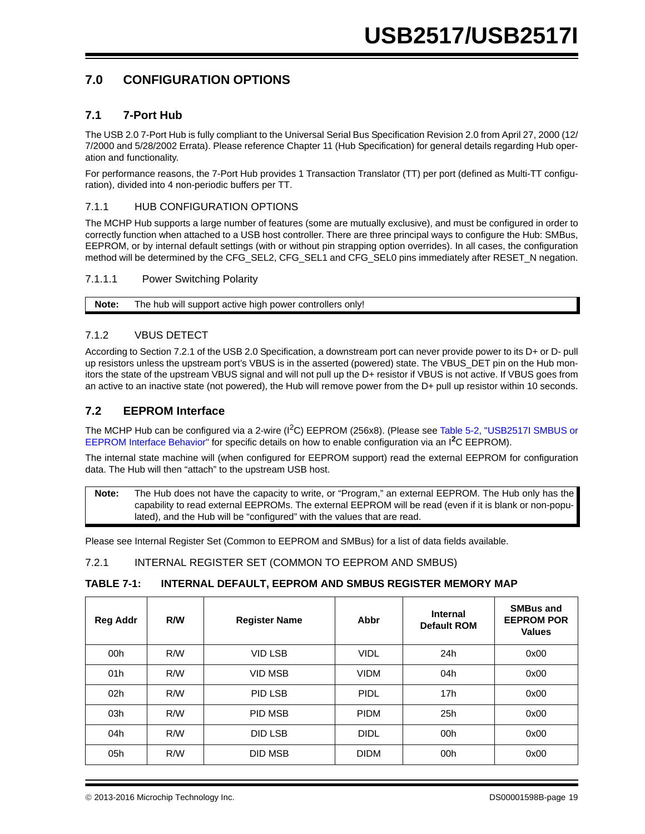## <span id="page-18-0"></span>**7.0 CONFIGURATION OPTIONS**

## **7.1 7-Port Hub**

The USB 2.0 7-Port Hub is fully compliant to the Universal Serial Bus Specification Revision 2.0 from April 27, 2000 (12/ 7/2000 and 5/28/2002 Errata). Please reference Chapter 11 (Hub Specification) for general details regarding Hub operation and functionality.

For performance reasons, the 7-Port Hub provides 1 Transaction Translator (TT) per port (defined as Multi-TT configuration), divided into 4 non-periodic buffers per TT.

#### 7.1.1 HUB CONFIGURATION OPTIONS

The MCHP Hub supports a large number of features (some are mutually exclusive), and must be configured in order to correctly function when attached to a USB host controller. There are three principal ways to configure the Hub: SMBus, EEPROM, or by internal default settings (with or without pin strapping option overrides). In all cases, the configuration method will be determined by the CFG\_SEL2, CFG\_SEL1 and CFG\_SEL0 pins immediately after RESET\_N negation.

#### 7.1.1.1 Power Switching Polarity

**Note:** The hub will support active high power controllers only!

#### 7.1.2 VBUS DETECT

According to Section 7.2.1 of the USB 2.0 Specification, a downstream port can never provide power to its D+ or D- pull up resistors unless the upstream port's VBUS is in the asserted (powered) state. The VBUS\_DET pin on the Hub monitors the state of the upstream VBUS signal and will not pull up the D+ resistor if VBUS is not active. If VBUS goes from an active to an inactive state (not powered), the Hub will remove power from the D+ pull up resistor within 10 seconds.

#### **7.2 EEPROM Interface**

The MCHP Hub can be configured via a 2-wire ( $I^2C$ ) EEPROM (256x8). (Please see [Table 5-2, "USB2517I SMBUS or](#page-14-1) [EEPROM Interface Behavior"](#page-14-1) for specific details on how to enable configuration via an I**2**C EEPROM).

The internal state machine will (when configured for EEPROM support) read the external EEPROM for configuration data. The Hub will then "attach" to the upstream USB host.

**Note:** The Hub does not have the capacity to write, or "Program," an external EEPROM. The Hub only has the capability to read external EEPROMs. The external EEPROM will be read (even if it is blank or non-populated), and the Hub will be "configured" with the values that are read.

Please see Internal Register Set (Common to EEPROM and SMBus) for a list of data fields available.

#### <span id="page-18-1"></span>7.2.1 INTERNAL REGISTER SET (COMMON TO EEPROM AND SMBUS)

#### <span id="page-18-2"></span>**TABLE 7-1: INTERNAL DEFAULT, EEPROM AND SMBUS REGISTER MEMORY MAP**

| <b>Reg Addr</b> | R/W | <b>Register Name</b> | Abbr        | <b>Internal</b><br><b>Default ROM</b> | <b>SMBus and</b><br><b>EEPROM POR</b><br><b>Values</b> |
|-----------------|-----|----------------------|-------------|---------------------------------------|--------------------------------------------------------|
| 00h             | R/W | <b>VID LSB</b>       | <b>VIDL</b> | 24h                                   | 0x00                                                   |
| 01h             | R/W | <b>VID MSB</b>       | <b>VIDM</b> | 04h                                   | 0x00                                                   |
| 02h             | R/W | PID LSB              | PIDL        | 17 <sub>h</sub>                       | 0x00                                                   |
| 03h             | R/W | <b>PID MSB</b>       | <b>PIDM</b> | 25h                                   | 0x00                                                   |
| 04h             | R/W | <b>DID LSB</b>       | <b>DIDL</b> | 00h                                   | 0x00                                                   |
| 05h             | R/W | DID MSB              | <b>DIDM</b> | 00h                                   | 0x00                                                   |

2013-2016 Microchip Technology Inc. DS00001598B-page 19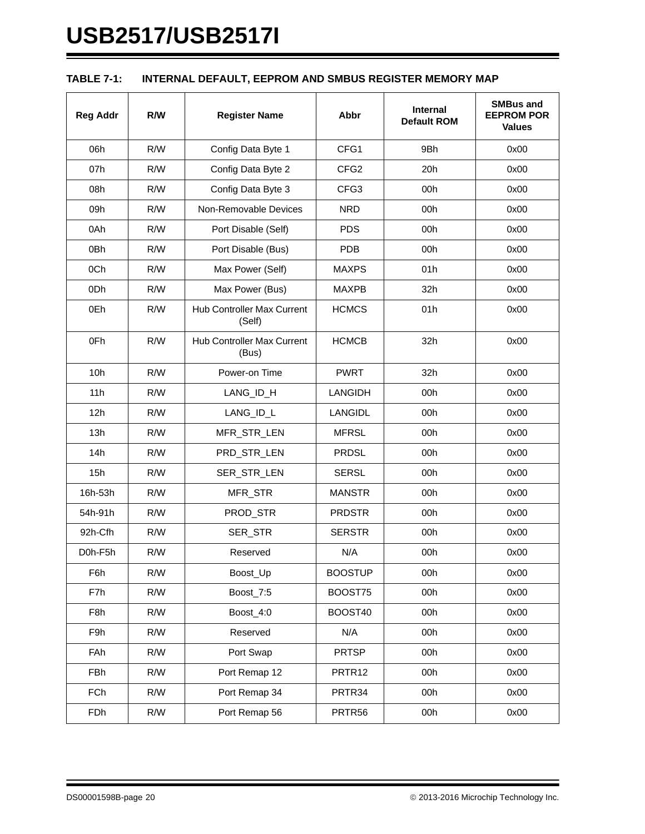| <b>Reg Addr</b>                   | R/W | <b>Register Name</b>                       | Abbr             | <b>Internal</b><br><b>Default ROM</b> | <b>SMBus and</b><br><b>EEPROM POR</b><br><b>Values</b> |
|-----------------------------------|-----|--------------------------------------------|------------------|---------------------------------------|--------------------------------------------------------|
| 06h                               | R/W | Config Data Byte 1                         | CFG1             | 9Bh                                   | 0x00                                                   |
| 07h                               | R/W | Config Data Byte 2                         | CFG <sub>2</sub> | 20h                                   | 0x00                                                   |
| 08h                               | R/W | Config Data Byte 3                         | CFG3             | 00h                                   | 0x00                                                   |
| 09h                               | R/W | Non-Removable Devices                      | <b>NRD</b>       | 00h                                   | 0x00                                                   |
| 0Ah                               | R/W | Port Disable (Self)                        | <b>PDS</b>       | 00h                                   | 0x00                                                   |
| 0Bh                               | R/W | Port Disable (Bus)                         | <b>PDB</b>       | 00h                                   | 0x00                                                   |
| 0Ch                               | R/W | Max Power (Self)                           | <b>MAXPS</b>     | 01h                                   | 0x00                                                   |
| 0Dh                               | R/W | Max Power (Bus)                            | <b>MAXPB</b>     | 32h                                   | 0x00                                                   |
| 0Eh                               | R/W | Hub Controller Max Current<br>(Self)       | <b>HCMCS</b>     | 01h                                   | 0x00                                                   |
| 0Fh                               | R/W | <b>Hub Controller Max Current</b><br>(Bus) | <b>HCMCB</b>     | 32h                                   | 0x00                                                   |
| 10h                               | R/W | Power-on Time                              | <b>PWRT</b>      | 32h                                   | 0x00                                                   |
| 11h                               | R/W | LANG_ID_H                                  | <b>LANGIDH</b>   | 00h                                   | 0x00                                                   |
| 12h                               | R/W | LANG_ID_L                                  | <b>LANGIDL</b>   | 00h                                   | 0x00                                                   |
| 13h                               | R/W | MFR_STR_LEN                                | <b>MFRSL</b>     | 00h                                   | 0x00                                                   |
| 14h                               | R/W | PRD_STR_LEN                                | <b>PRDSL</b>     | 00h                                   | 0x00                                                   |
| 15h                               | R/W | SER_STR_LEN                                | <b>SERSL</b>     | 00h                                   | 0x00                                                   |
| 16h-53h                           | R/W | MFR_STR                                    | <b>MANSTR</b>    | 00h                                   | 0x00                                                   |
| 54h-91h                           | R/W | PROD_STR                                   | <b>PRDSTR</b>    | 00h                                   | 0x00                                                   |
| 92h-Cfh                           | R/W | SER_STR                                    | <b>SERSTR</b>    | 00h                                   | 0x00                                                   |
| D <sub>0</sub> h-F <sub>5</sub> h | R/W | Reserved                                   | N/A              | 00h                                   | 0x00                                                   |
| F6h                               | R/W | Boost_Up                                   | <b>BOOSTUP</b>   | 00h                                   | 0x00                                                   |
| F7h                               | R/W | Boost_7:5                                  | BOOST75          | 00h                                   | 0x00                                                   |
| F8h                               | R/W | Boost_4:0                                  | BOOST40          | 00h                                   | 0x00                                                   |
| F9h                               | R/W | Reserved                                   | N/A              | 00h                                   | 0x00                                                   |
| FAh                               | R/W | Port Swap                                  | <b>PRTSP</b>     | 00h                                   | 0x00                                                   |
| FBh                               | R/W | Port Remap 12                              | PRTR12           | 00h                                   | 0x00                                                   |
| FCh                               | R/W | Port Remap 34                              | PRTR34           | 00h                                   | 0x00                                                   |
| FDh                               | R/W | Port Remap 56                              | PRTR56           | 00h                                   | 0x00                                                   |

#### **TABLE 7-1: INTERNAL DEFAULT, EEPROM AND SMBUS REGISTER MEMORY MAP**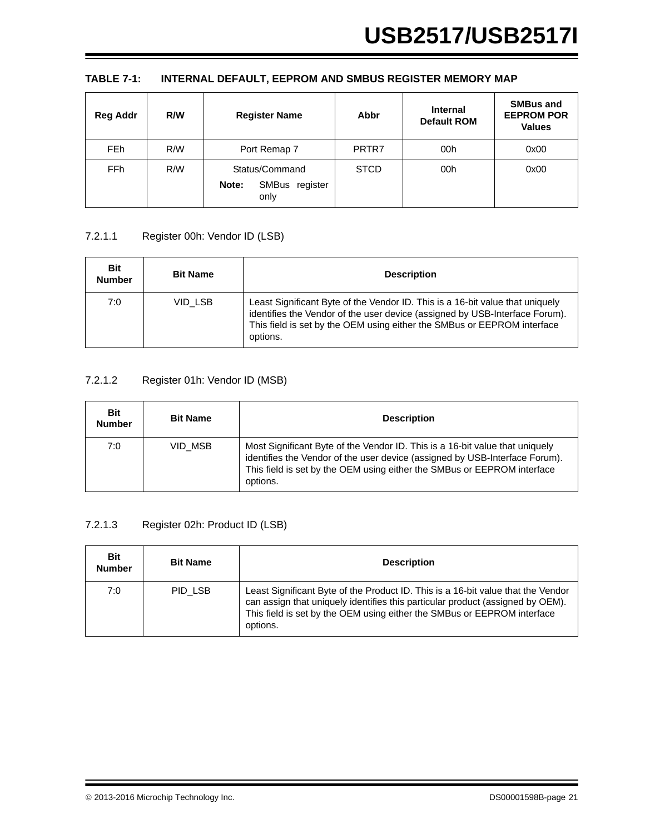| <b>Reg Addr</b> | R/W | <b>Register Name</b>                                 | Abbr        | <b>Internal</b><br><b>Default ROM</b> | <b>SMBus and</b><br><b>EEPROM POR</b><br><b>Values</b> |
|-----------------|-----|------------------------------------------------------|-------------|---------------------------------------|--------------------------------------------------------|
| FE <sub>h</sub> | R/W | Port Remap 7                                         | PRTR7       | 00h                                   | 0x00                                                   |
| FF <sub>h</sub> | R/W | Status/Command<br>SMBus<br>register<br>Note:<br>only | <b>STCD</b> | 00h                                   | 0x00                                                   |

## **TABLE 7-1: INTERNAL DEFAULT, EEPROM AND SMBUS REGISTER MEMORY MAP**

## 7.2.1.1 Register 00h: Vendor ID (LSB)

| <b>Bit</b><br><b>Number</b> | <b>Bit Name</b> | <b>Description</b>                                                                                                                                                                                                                                  |
|-----------------------------|-----------------|-----------------------------------------------------------------------------------------------------------------------------------------------------------------------------------------------------------------------------------------------------|
| 7:0                         | VID LSB         | Least Significant Byte of the Vendor ID. This is a 16-bit value that uniquely<br>identifies the Vendor of the user device (assigned by USB-Interface Forum).<br>This field is set by the OEM using either the SMBus or EEPROM interface<br>options. |

#### 7.2.1.2 Register 01h: Vendor ID (MSB)

| <b>Bit</b><br><b>Number</b> | <b>Bit Name</b> | <b>Description</b>                                                                                                                                                                                                                                 |
|-----------------------------|-----------------|----------------------------------------------------------------------------------------------------------------------------------------------------------------------------------------------------------------------------------------------------|
| 7:0                         | VID MSB         | Most Significant Byte of the Vendor ID. This is a 16-bit value that uniquely<br>identifies the Vendor of the user device (assigned by USB-Interface Forum).<br>This field is set by the OEM using either the SMBus or EEPROM interface<br>options. |

## 7.2.1.3 Register 02h: Product ID (LSB)

| <b>Bit</b><br><b>Number</b> | <b>Bit Name</b> | <b>Description</b>                                                                                                                                                                                                                                        |
|-----------------------------|-----------------|-----------------------------------------------------------------------------------------------------------------------------------------------------------------------------------------------------------------------------------------------------------|
| 7:0                         | PID LSB         | Least Significant Byte of the Product ID. This is a 16-bit value that the Vendor<br>can assign that uniquely identifies this particular product (assigned by OEM).<br>This field is set by the OEM using either the SMBus or EEPROM interface<br>options. |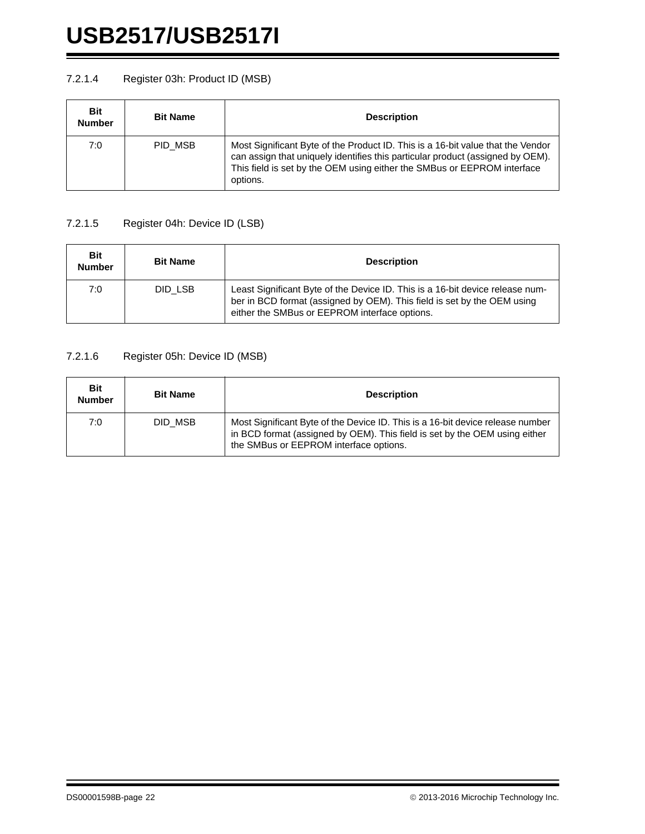#### 7.2.1.4 Register 03h: Product ID (MSB)

| <b>Bit</b><br><b>Number</b> | <b>Bit Name</b> | <b>Description</b>                                                                                                                                                                                                                                       |
|-----------------------------|-----------------|----------------------------------------------------------------------------------------------------------------------------------------------------------------------------------------------------------------------------------------------------------|
| 7:0                         | PID MSB         | Most Significant Byte of the Product ID. This is a 16-bit value that the Vendor<br>can assign that uniquely identifies this particular product (assigned by OEM).<br>This field is set by the OEM using either the SMBus or EEPROM interface<br>options. |

## 7.2.1.5 Register 04h: Device ID (LSB)

| <b>Bit</b><br><b>Number</b> | <b>Bit Name</b> | <b>Description</b>                                                                                                                                                                                        |
|-----------------------------|-----------------|-----------------------------------------------------------------------------------------------------------------------------------------------------------------------------------------------------------|
| 7:0                         | DID LSB         | Least Significant Byte of the Device ID. This is a 16-bit device release num-<br>ber in BCD format (assigned by OEM). This field is set by the OEM using<br>either the SMBus or EEPROM interface options. |

#### 7.2.1.6 Register 05h: Device ID (MSB)

| <b>Bit</b><br><b>Number</b> | <b>Bit Name</b> | <b>Description</b>                                                                                                                                                                                     |
|-----------------------------|-----------------|--------------------------------------------------------------------------------------------------------------------------------------------------------------------------------------------------------|
| 7:0                         | DID MSB         | Most Significant Byte of the Device ID. This is a 16-bit device release number<br>in BCD format (assigned by OEM). This field is set by the OEM using either<br>the SMBus or EEPROM interface options. |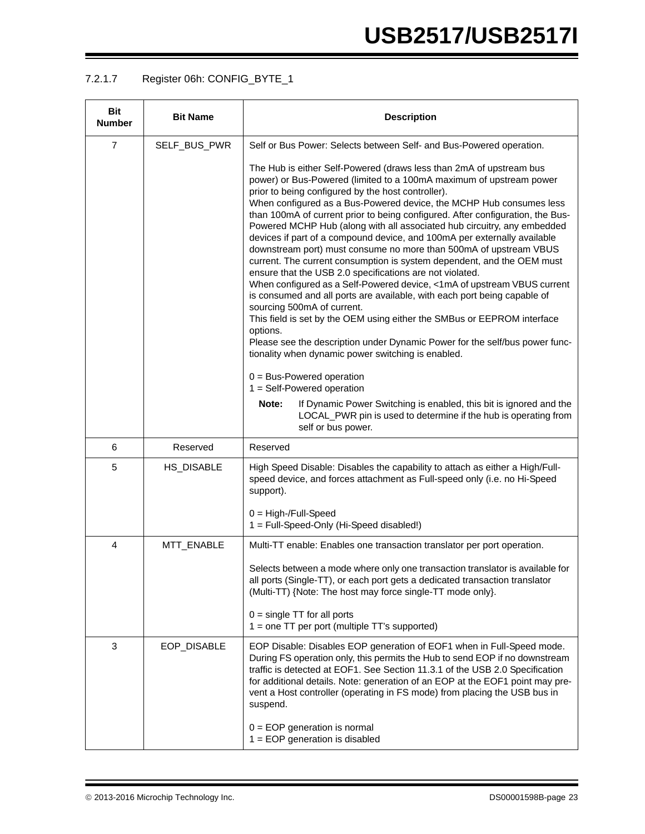## 7.2.1.7 Register 06h: CONFIG\_BYTE\_1

| <b>Bit</b><br><b>Number</b> | <b>Bit Name</b> | <b>Description</b>                                                                                                                                                                                                                                                                                                                                                                                                                                                                                                                                                                                                                                                                                                                                                                                                                                                                                                                                                                                                                                                                                                                                                                                                                                                                 |
|-----------------------------|-----------------|------------------------------------------------------------------------------------------------------------------------------------------------------------------------------------------------------------------------------------------------------------------------------------------------------------------------------------------------------------------------------------------------------------------------------------------------------------------------------------------------------------------------------------------------------------------------------------------------------------------------------------------------------------------------------------------------------------------------------------------------------------------------------------------------------------------------------------------------------------------------------------------------------------------------------------------------------------------------------------------------------------------------------------------------------------------------------------------------------------------------------------------------------------------------------------------------------------------------------------------------------------------------------------|
| $\overline{7}$              | SELF_BUS_PWR    | Self or Bus Power: Selects between Self- and Bus-Powered operation.<br>The Hub is either Self-Powered (draws less than 2mA of upstream bus<br>power) or Bus-Powered (limited to a 100mA maximum of upstream power<br>prior to being configured by the host controller).<br>When configured as a Bus-Powered device, the MCHP Hub consumes less<br>than 100mA of current prior to being configured. After configuration, the Bus-<br>Powered MCHP Hub (along with all associated hub circuitry, any embedded<br>devices if part of a compound device, and 100mA per externally available<br>downstream port) must consume no more than 500mA of upstream VBUS<br>current. The current consumption is system dependent, and the OEM must<br>ensure that the USB 2.0 specifications are not violated.<br>When configured as a Self-Powered device, <1mA of upstream VBUS current<br>is consumed and all ports are available, with each port being capable of<br>sourcing 500mA of current.<br>This field is set by the OEM using either the SMBus or EEPROM interface<br>options.<br>Please see the description under Dynamic Power for the self/bus power func-<br>tionality when dynamic power switching is enabled.<br>$0 = Bus-Powered operation$<br>$1 = Self-Powered operation$ |
|                             |                 | Note:<br>If Dynamic Power Switching is enabled, this bit is ignored and the<br>LOCAL_PWR pin is used to determine if the hub is operating from<br>self or bus power.                                                                                                                                                                                                                                                                                                                                                                                                                                                                                                                                                                                                                                                                                                                                                                                                                                                                                                                                                                                                                                                                                                               |
| 6                           | Reserved        | Reserved                                                                                                                                                                                                                                                                                                                                                                                                                                                                                                                                                                                                                                                                                                                                                                                                                                                                                                                                                                                                                                                                                                                                                                                                                                                                           |
| 5                           | HS_DISABLE      | High Speed Disable: Disables the capability to attach as either a High/Full-<br>speed device, and forces attachment as Full-speed only (i.e. no Hi-Speed<br>support).<br>$0 = High-/Full-Speed$<br>1 = Full-Speed-Only (Hi-Speed disabled!)                                                                                                                                                                                                                                                                                                                                                                                                                                                                                                                                                                                                                                                                                                                                                                                                                                                                                                                                                                                                                                        |
| $\overline{4}$              | MTT_ENABLE      | Multi-TT enable: Enables one transaction translator per port operation.                                                                                                                                                                                                                                                                                                                                                                                                                                                                                                                                                                                                                                                                                                                                                                                                                                                                                                                                                                                                                                                                                                                                                                                                            |
|                             |                 | Selects between a mode where only one transaction translator is available for<br>all ports (Single-TT), or each port gets a dedicated transaction translator<br>(Multi-TT) {Note: The host may force single-TT mode only}.<br>$0 =$ single TT for all ports<br>$1 =$ one TT per port (multiple TT's supported)                                                                                                                                                                                                                                                                                                                                                                                                                                                                                                                                                                                                                                                                                                                                                                                                                                                                                                                                                                     |
| 3                           | EOP_DISABLE     | EOP Disable: Disables EOP generation of EOF1 when in Full-Speed mode.<br>During FS operation only, this permits the Hub to send EOP if no downstream<br>traffic is detected at EOF1. See Section 11.3.1 of the USB 2.0 Specification<br>for additional details. Note: generation of an EOP at the EOF1 point may pre-<br>vent a Host controller (operating in FS mode) from placing the USB bus in<br>suspend.<br>$0 = EOP$ generation is normal<br>$1 = EOP$ generation is disabled                                                                                                                                                                                                                                                                                                                                                                                                                                                                                                                                                                                                                                                                                                                                                                                               |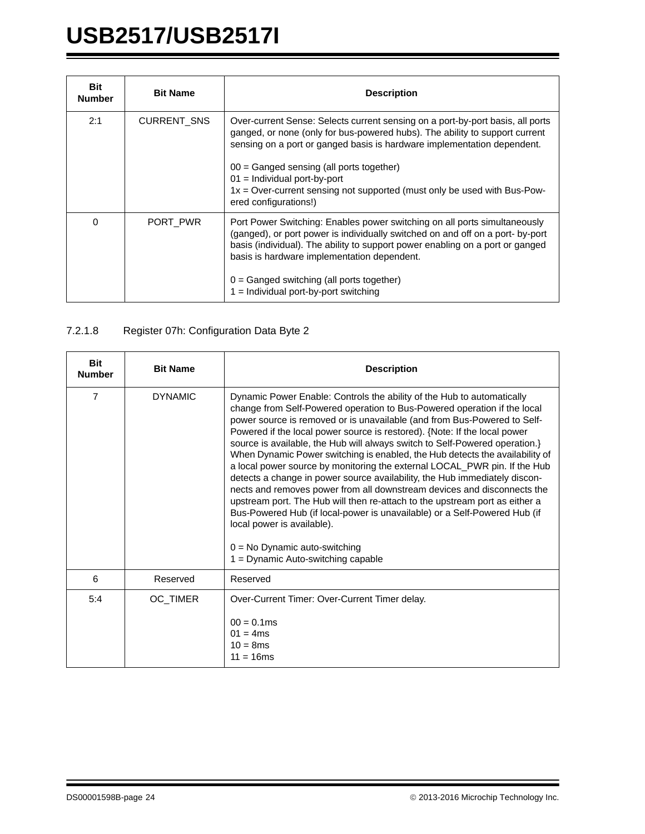| <b>Bit</b><br><b>Number</b> | <b>Bit Name</b> | <b>Description</b>                                                                                                                                                                                                                                                                                                                                                                                                            |
|-----------------------------|-----------------|-------------------------------------------------------------------------------------------------------------------------------------------------------------------------------------------------------------------------------------------------------------------------------------------------------------------------------------------------------------------------------------------------------------------------------|
| 2:1                         | CURRENT_SNS     | Over-current Sense: Selects current sensing on a port-by-port basis, all ports<br>ganged, or none (only for bus-powered hubs). The ability to support current<br>sensing on a port or ganged basis is hardware implementation dependent.<br>$00 =$ Ganged sensing (all ports together)<br>$01$ = Individual port-by-port<br>1x = Over-current sensing not supported (must only be used with Bus-Pow-<br>ered configurations!) |
| 0                           | PORT PWR        | Port Power Switching: Enables power switching on all ports simultaneously<br>(ganged), or port power is individually switched on and off on a port- by-port<br>basis (individual). The ability to support power enabling on a port or ganged<br>basis is hardware implementation dependent.<br>$0 =$ Ganged switching (all ports together)<br>$1 =$ Individual port-by-port switching                                         |

## 7.2.1.8 Register 07h: Configuration Data Byte 2

| <b>Bit</b><br><b>Number</b> | <b>Bit Name</b> | <b>Description</b>                                                                                                                                                                                                                                                                                                                                                                                                                                                                                                                                                                                                                                                                                                                                                                                                                                                                                                                                                                  |
|-----------------------------|-----------------|-------------------------------------------------------------------------------------------------------------------------------------------------------------------------------------------------------------------------------------------------------------------------------------------------------------------------------------------------------------------------------------------------------------------------------------------------------------------------------------------------------------------------------------------------------------------------------------------------------------------------------------------------------------------------------------------------------------------------------------------------------------------------------------------------------------------------------------------------------------------------------------------------------------------------------------------------------------------------------------|
| $\overline{7}$              | <b>DYNAMIC</b>  | Dynamic Power Enable: Controls the ability of the Hub to automatically<br>change from Self-Powered operation to Bus-Powered operation if the local<br>power source is removed or is unavailable (and from Bus-Powered to Self-<br>Powered if the local power source is restored). {Note: If the local power<br>source is available, the Hub will always switch to Self-Powered operation.}<br>When Dynamic Power switching is enabled, the Hub detects the availability of<br>a local power source by monitoring the external LOCAL_PWR pin. If the Hub<br>detects a change in power source availability, the Hub immediately discon-<br>nects and removes power from all downstream devices and disconnects the<br>upstream port. The Hub will then re-attach to the upstream port as either a<br>Bus-Powered Hub (if local-power is unavailable) or a Self-Powered Hub (if<br>local power is available).<br>$0 = No$ Dynamic auto-switching<br>1 = Dynamic Auto-switching capable |
| 6                           | Reserved        | Reserved                                                                                                                                                                                                                                                                                                                                                                                                                                                                                                                                                                                                                                                                                                                                                                                                                                                                                                                                                                            |
| 5:4                         | OC_TIMER        | Over-Current Timer: Over-Current Timer delay.<br>$00 = 0.1$ ms<br>$01 = 4ms$<br>$10 = 8$ ms<br>$11 = 16ms$                                                                                                                                                                                                                                                                                                                                                                                                                                                                                                                                                                                                                                                                                                                                                                                                                                                                          |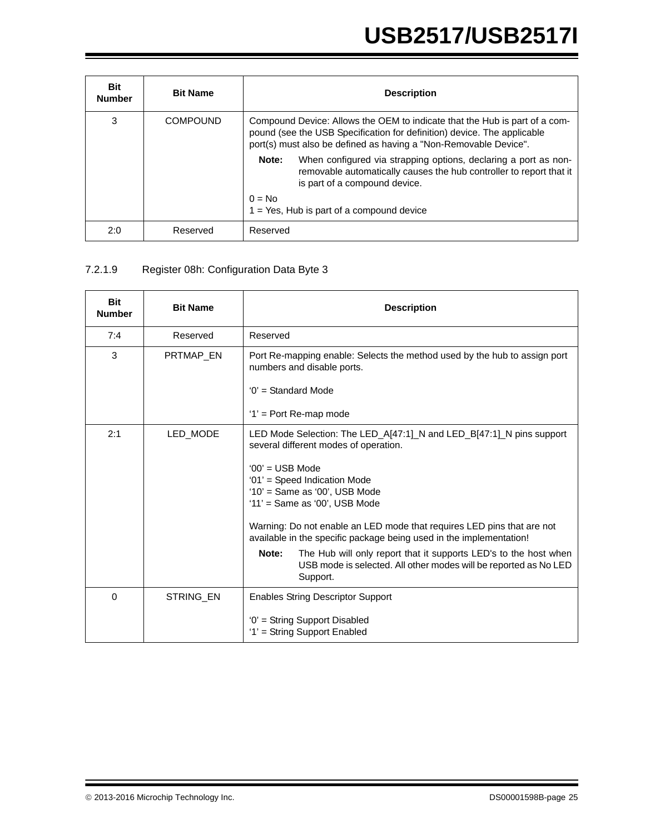| <b>Bit</b><br><b>Number</b> | <b>Bit Name</b> |          | <b>Description</b>                                                                                                                                                                                                        |
|-----------------------------|-----------------|----------|---------------------------------------------------------------------------------------------------------------------------------------------------------------------------------------------------------------------------|
| 3                           | <b>COMPOUND</b> |          | Compound Device: Allows the OEM to indicate that the Hub is part of a com-<br>pound (see the USB Specification for definition) device. The applicable<br>port(s) must also be defined as having a "Non-Removable Device". |
|                             |                 | Note:    | When configured via strapping options, declaring a port as non-<br>removable automatically causes the hub controller to report that it<br>is part of a compound device.                                                   |
|                             |                 | $0 = No$ | $1 = Yes$ , Hub is part of a compound device                                                                                                                                                                              |
| 2:0                         | Reserved        | Reserved |                                                                                                                                                                                                                           |

## 7.2.1.9 Register 08h: Configuration Data Byte 3

| <b>Bit</b><br><b>Number</b> | <b>Bit Name</b> | <b>Description</b>                                                                                                                                                                                                                                                                                                                                                                                                                                                                                                                                    |  |
|-----------------------------|-----------------|-------------------------------------------------------------------------------------------------------------------------------------------------------------------------------------------------------------------------------------------------------------------------------------------------------------------------------------------------------------------------------------------------------------------------------------------------------------------------------------------------------------------------------------------------------|--|
| 7:4                         | Reserved        | Reserved                                                                                                                                                                                                                                                                                                                                                                                                                                                                                                                                              |  |
| 3                           | PRTMAP EN       | Port Re-mapping enable: Selects the method used by the hub to assign port<br>numbers and disable ports.<br>$'0'$ = Standard Mode                                                                                                                                                                                                                                                                                                                                                                                                                      |  |
|                             |                 | $'1'$ = Port Re-map mode                                                                                                                                                                                                                                                                                                                                                                                                                                                                                                                              |  |
| 2:1                         | LED_MODE        | LED Mode Selection: The LED_A[47:1]_N and LED_B[47:1]_N pins support<br>several different modes of operation.<br>$'00'$ = USB Mode<br>'01' = Speed Indication Mode<br>$'10'$ = Same as '00', USB Mode<br>$11'$ = Same as '00', USB Mode<br>Warning: Do not enable an LED mode that requires LED pins that are not<br>available in the specific package being used in the implementation!<br>Note:<br>The Hub will only report that it supports LED's to the host when<br>USB mode is selected. All other modes will be reported as No LED<br>Support. |  |
| $\Omega$                    | STRING_EN       | <b>Enables String Descriptor Support</b><br>'0' = String Support Disabled<br>'1' = String Support Enabled                                                                                                                                                                                                                                                                                                                                                                                                                                             |  |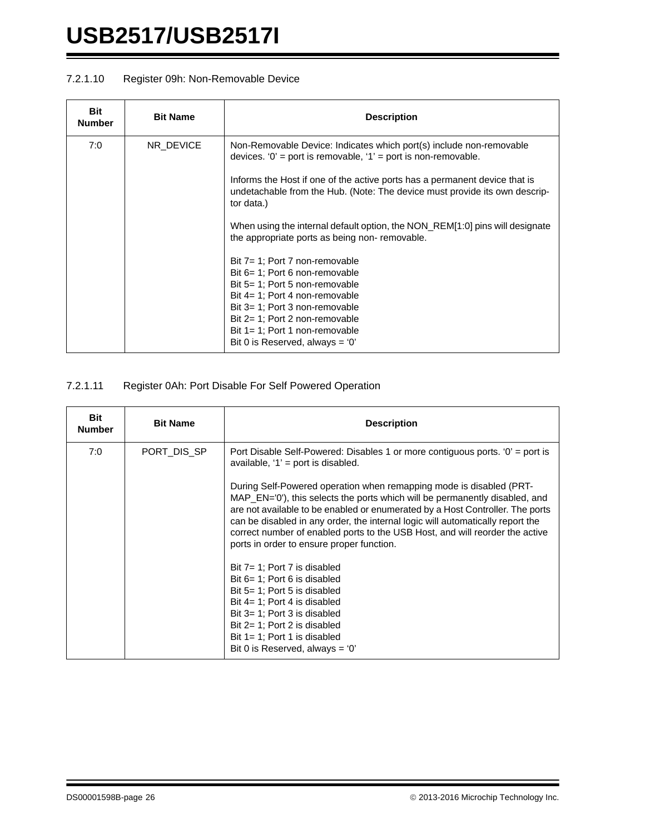#### 7.2.1.10 Register 09h: Non-Removable Device

| Bit<br><b>Number</b> | <b>Bit Name</b> | <b>Description</b>                                                                                                                                                                                                                                                                                                                                                                                                                                                                                                                                                                                                                           |
|----------------------|-----------------|----------------------------------------------------------------------------------------------------------------------------------------------------------------------------------------------------------------------------------------------------------------------------------------------------------------------------------------------------------------------------------------------------------------------------------------------------------------------------------------------------------------------------------------------------------------------------------------------------------------------------------------------|
| 7:0                  | NR DEVICE       | Non-Removable Device: Indicates which port(s) include non-removable<br>devices. $0'$ = port is removable, $1'$ = port is non-removable.<br>Informs the Host if one of the active ports has a permanent device that is<br>undetachable from the Hub. (Note: The device must provide its own descrip-<br>tor data.)<br>When using the internal default option, the NON_REM[1:0] pins will designate<br>the appropriate ports as being non-removable.<br>Bit $7 = 1$ ; Port 7 non-removable<br>Bit 6= 1; Port 6 non-removable<br>Bit $5 = 1$ ; Port 5 non-removable<br>Bit $4 = 1$ ; Port 4 non-removable<br>Bit $3 = 1$ ; Port 3 non-removable |
|                      |                 | Bit $2=1$ ; Port 2 non-removable<br>Bit $1 = 1$ ; Port 1 non-removable<br>Bit 0 is Reserved, always = $0'$                                                                                                                                                                                                                                                                                                                                                                                                                                                                                                                                   |

## 7.2.1.11 Register 0Ah: Port Disable For Self Powered Operation

| <b>Bit</b><br><b>Number</b> | <b>Bit Name</b> | <b>Description</b>                                                                                                                                                                                                                                                                                                                                                                                                                                                                                                                                                                                                                                                                                                                                                                             |
|-----------------------------|-----------------|------------------------------------------------------------------------------------------------------------------------------------------------------------------------------------------------------------------------------------------------------------------------------------------------------------------------------------------------------------------------------------------------------------------------------------------------------------------------------------------------------------------------------------------------------------------------------------------------------------------------------------------------------------------------------------------------------------------------------------------------------------------------------------------------|
| 7:0                         | PORT_DIS_SP     | Port Disable Self-Powered: Disables 1 or more contiguous ports. '0' = port is<br>available, $1'$ = port is disabled.<br>During Self-Powered operation when remapping mode is disabled (PRT-<br>MAP EN='0'), this selects the ports which will be permanently disabled, and<br>are not available to be enabled or enumerated by a Host Controller. The ports<br>can be disabled in any order, the internal logic will automatically report the<br>correct number of enabled ports to the USB Host, and will reorder the active<br>ports in order to ensure proper function.<br>Bit $7 = 1$ ; Port 7 is disabled<br>Bit $6=1$ ; Port 6 is disabled<br>Bit $5 = 1$ ; Port 5 is disabled<br>Bit $4 = 1$ ; Port 4 is disabled<br>Bit $3 = 1$ ; Port 3 is disabled<br>Bit $2=1$ ; Port 2 is disabled |
|                             |                 | Bit $1 = 1$ ; Port 1 is disabled<br>Bit 0 is Reserved, always = $0'$                                                                                                                                                                                                                                                                                                                                                                                                                                                                                                                                                                                                                                                                                                                           |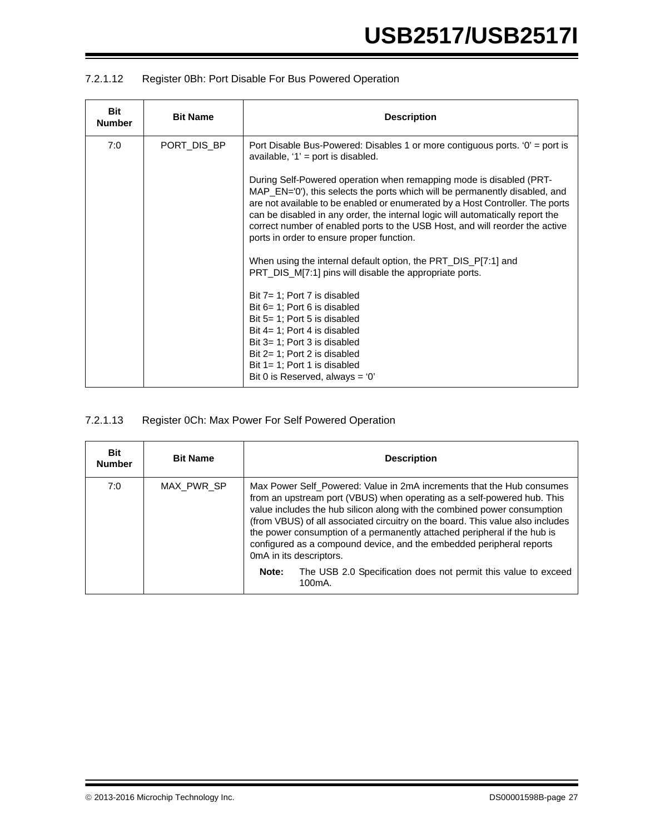| Register 0Bh: Port Disable For Bus Powered Operation<br>7.2.1.12 |  |
|------------------------------------------------------------------|--|
|------------------------------------------------------------------|--|

| Bit<br><b>Number</b> | <b>Bit Name</b> | <b>Description</b>                                                                                                                                                                                                                                                                                                                                                                                                                                                                                                                                                                                                                                                                                                                                                                                                                                                                                                                                               |
|----------------------|-----------------|------------------------------------------------------------------------------------------------------------------------------------------------------------------------------------------------------------------------------------------------------------------------------------------------------------------------------------------------------------------------------------------------------------------------------------------------------------------------------------------------------------------------------------------------------------------------------------------------------------------------------------------------------------------------------------------------------------------------------------------------------------------------------------------------------------------------------------------------------------------------------------------------------------------------------------------------------------------|
| 7:0                  | PORT DIS BP     | Port Disable Bus-Powered: Disables 1 or more contiguous ports. '0' = port is<br>available, $1'$ = port is disabled.<br>During Self-Powered operation when remapping mode is disabled (PRT-<br>MAP_EN='0'), this selects the ports which will be permanently disabled, and<br>are not available to be enabled or enumerated by a Host Controller. The ports<br>can be disabled in any order, the internal logic will automatically report the<br>correct number of enabled ports to the USB Host, and will reorder the active<br>ports in order to ensure proper function.<br>When using the internal default option, the PRT_DIS_P[7:1] and<br>PRT_DIS_M[7:1] pins will disable the appropriate ports.<br>Bit $7 = 1$ ; Port 7 is disabled<br>Bit $6 = 1$ ; Port 6 is disabled<br>Bit $5 = 1$ ; Port 5 is disabled<br>Bit $4 = 1$ ; Port 4 is disabled<br>Bit $3 = 1$ ; Port 3 is disabled<br>Bit $2=1$ ; Port 2 is disabled<br>Bit $1 = 1$ ; Port 1 is disabled |
|                      |                 | Bit 0 is Reserved, always = $0'$                                                                                                                                                                                                                                                                                                                                                                                                                                                                                                                                                                                                                                                                                                                                                                                                                                                                                                                                 |

## 7.2.1.13 Register 0Ch: Max Power For Self Powered Operation

| <b>Bit</b><br><b>Number</b> | <b>Bit Name</b> |       | <b>Description</b>                                                                                                                                                                                                                                                                                                                                                                                                                                                                            |
|-----------------------------|-----------------|-------|-----------------------------------------------------------------------------------------------------------------------------------------------------------------------------------------------------------------------------------------------------------------------------------------------------------------------------------------------------------------------------------------------------------------------------------------------------------------------------------------------|
| 7:0                         | MAX PWR SP      |       | Max Power Self Powered: Value in 2mA increments that the Hub consumes<br>from an upstream port (VBUS) when operating as a self-powered hub. This<br>value includes the hub silicon along with the combined power consumption<br>(from VBUS) of all associated circuitry on the board. This value also includes<br>the power consumption of a permanently attached peripheral if the hub is<br>configured as a compound device, and the embedded peripheral reports<br>0mA in its descriptors. |
|                             |                 | Note: | The USB 2.0 Specification does not permit this value to exceed<br>100 <sub>m</sub> A.                                                                                                                                                                                                                                                                                                                                                                                                         |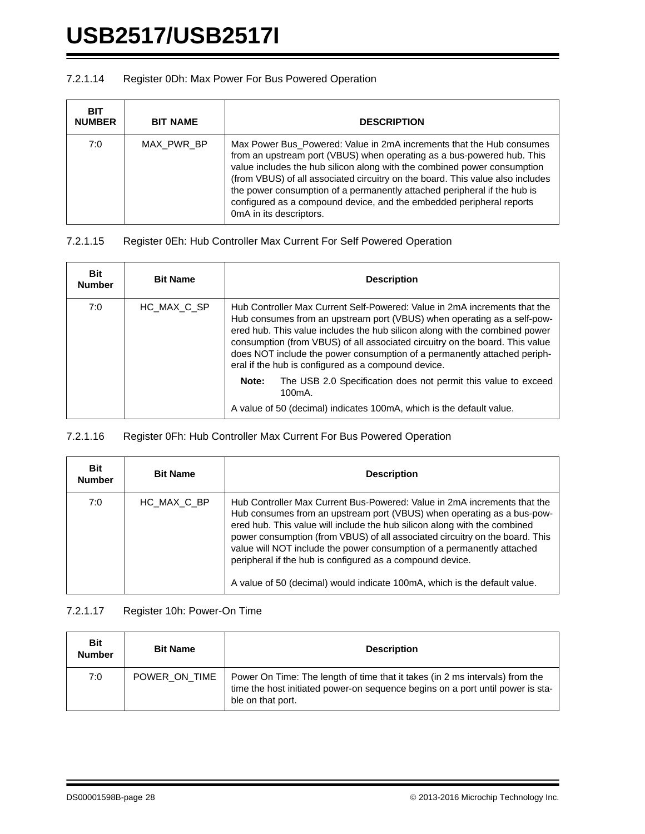#### 7.2.1.14 Register 0Dh: Max Power For Bus Powered Operation

| <b>BIT</b><br><b>NUMBER</b> | <b>BIT NAME</b> | <b>DESCRIPTION</b>                                                                                                                                                                                                                                                                                                                                                                                                                                                                          |
|-----------------------------|-----------------|---------------------------------------------------------------------------------------------------------------------------------------------------------------------------------------------------------------------------------------------------------------------------------------------------------------------------------------------------------------------------------------------------------------------------------------------------------------------------------------------|
| 7:0                         | MAX PWR BP      | Max Power Bus Powered: Value in 2mA increments that the Hub consumes<br>from an upstream port (VBUS) when operating as a bus-powered hub. This<br>value includes the hub silicon along with the combined power consumption<br>(from VBUS) of all associated circuitry on the board. This value also includes<br>the power consumption of a permanently attached peripheral if the hub is<br>configured as a compound device, and the embedded peripheral reports<br>0mA in its descriptors. |

## 7.2.1.15 Register 0Eh: Hub Controller Max Current For Self Powered Operation

| Bit<br><b>Number</b> | <b>Bit Name</b> | <b>Description</b>                                                                                                                                                                                                                                                                                                                                                                                                                                     |
|----------------------|-----------------|--------------------------------------------------------------------------------------------------------------------------------------------------------------------------------------------------------------------------------------------------------------------------------------------------------------------------------------------------------------------------------------------------------------------------------------------------------|
| 7:0                  | HC MAX C SP     | Hub Controller Max Current Self-Powered: Value in 2mA increments that the<br>Hub consumes from an upstream port (VBUS) when operating as a self-pow-<br>ered hub. This value includes the hub silicon along with the combined power<br>consumption (from VBUS) of all associated circuitry on the board. This value<br>does NOT include the power consumption of a permanently attached periph-<br>eral if the hub is configured as a compound device. |
|                      |                 | The USB 2.0 Specification does not permit this value to exceed<br>Note:<br>100mA                                                                                                                                                                                                                                                                                                                                                                       |
|                      |                 | A value of 50 (decimal) indicates 100mA, which is the default value.                                                                                                                                                                                                                                                                                                                                                                                   |

## 7.2.1.16 Register 0Fh: Hub Controller Max Current For Bus Powered Operation

| <b>Bit</b><br><b>Number</b> | <b>Bit Name</b> | <b>Description</b>                                                                                                                                                                                                                                                                                                                                                                                                                                                                                                                  |
|-----------------------------|-----------------|-------------------------------------------------------------------------------------------------------------------------------------------------------------------------------------------------------------------------------------------------------------------------------------------------------------------------------------------------------------------------------------------------------------------------------------------------------------------------------------------------------------------------------------|
| 7:0                         | HC MAX C BP     | Hub Controller Max Current Bus-Powered: Value in 2mA increments that the<br>Hub consumes from an upstream port (VBUS) when operating as a bus-pow-<br>ered hub. This value will include the hub silicon along with the combined<br>power consumption (from VBUS) of all associated circuitry on the board. This<br>value will NOT include the power consumption of a permanently attached<br>peripheral if the hub is configured as a compound device.<br>A value of 50 (decimal) would indicate 100mA, which is the default value. |

#### 7.2.1.17 Register 10h: Power-On Time

| Bit<br><b>Number</b> | <b>Bit Name</b> | <b>Description</b>                                                                                                                                                                  |
|----------------------|-----------------|-------------------------------------------------------------------------------------------------------------------------------------------------------------------------------------|
| 7:0                  | POWER ON TIME   | Power On Time: The length of time that it takes (in 2 ms intervals) from the<br>time the host initiated power-on sequence begins on a port until power is sta-<br>ble on that port. |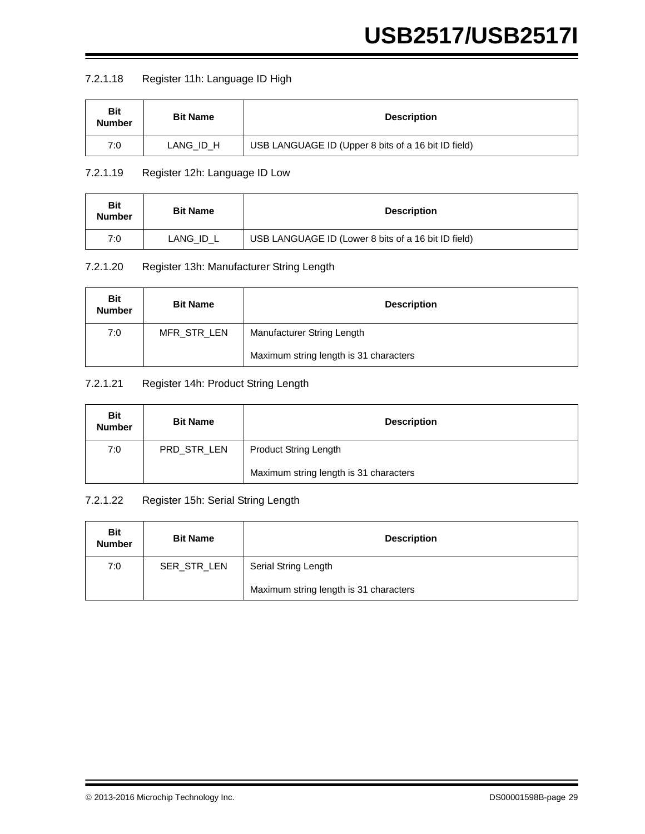## 7.2.1.18 Register 11h: Language ID High

| <b>Bit</b><br><b>Number</b> | <b>Bit Name</b> | <b>Description</b>                                  |
|-----------------------------|-----------------|-----------------------------------------------------|
| 7:0                         | LANG ID H       | USB LANGUAGE ID (Upper 8 bits of a 16 bit ID field) |

#### 7.2.1.19 Register 12h: Language ID Low

| <b>Bit</b><br><b>Number</b> | <b>Bit Name</b> | <b>Description</b>                                  |
|-----------------------------|-----------------|-----------------------------------------------------|
| 7:0                         | LANG ID L       | USB LANGUAGE ID (Lower 8 bits of a 16 bit ID field) |

#### 7.2.1.20 Register 13h: Manufacturer String Length

| <b>Bit</b><br><b>Number</b> | <b>Bit Name</b> | <b>Description</b>                     |
|-----------------------------|-----------------|----------------------------------------|
| 7:0                         | MFR STR LEN     | Manufacturer String Length             |
|                             |                 | Maximum string length is 31 characters |

## 7.2.1.21 Register 14h: Product String Length

| <b>Bit</b><br><b>Number</b> | <b>Bit Name</b> | <b>Description</b>                     |
|-----------------------------|-----------------|----------------------------------------|
| 7:0                         | PRD STR LEN     | <b>Product String Length</b>           |
|                             |                 | Maximum string length is 31 characters |

## 7.2.1.22 Register 15h: Serial String Length

| <b>Bit</b><br><b>Number</b> | <b>Bit Name</b> | <b>Description</b>                     |
|-----------------------------|-----------------|----------------------------------------|
| 7:0                         | SER_STR_LEN     | Serial String Length                   |
|                             |                 | Maximum string length is 31 characters |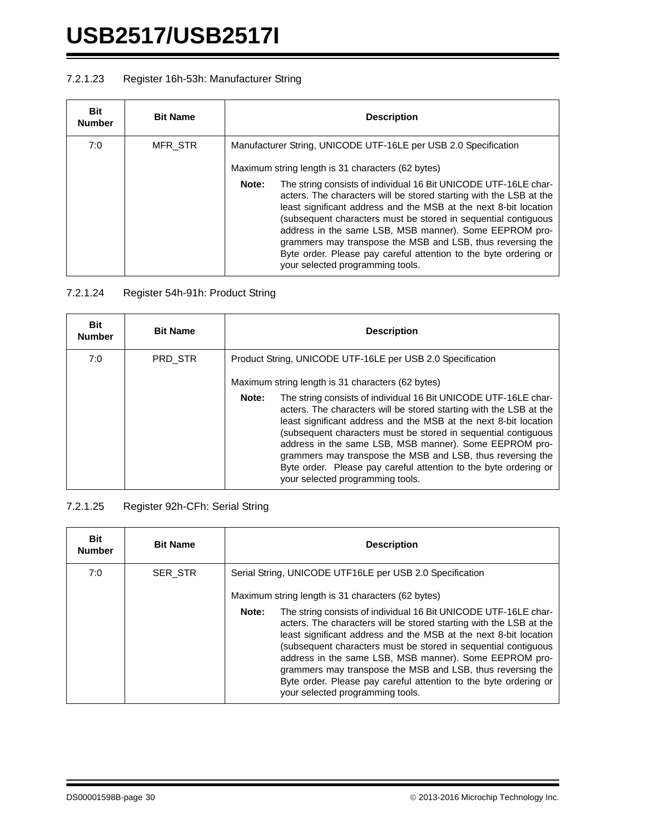#### 7.2.1.23 Register 16h-53h: Manufacturer String

| <b>Bit</b><br><b>Number</b> | <b>Bit Name</b> | <b>Description</b>                                                                                                                                                                                                                                                                                                                                                                                                                                                                                                   |
|-----------------------------|-----------------|----------------------------------------------------------------------------------------------------------------------------------------------------------------------------------------------------------------------------------------------------------------------------------------------------------------------------------------------------------------------------------------------------------------------------------------------------------------------------------------------------------------------|
| 7:0                         | MFR STR         | Manufacturer String, UNICODE UTF-16LE per USB 2.0 Specification<br>Maximum string length is 31 characters (62 bytes)                                                                                                                                                                                                                                                                                                                                                                                                 |
|                             |                 | The string consists of individual 16 Bit UNICODE UTF-16LE char-<br>Note:<br>acters. The characters will be stored starting with the LSB at the<br>least significant address and the MSB at the next 8-bit location<br>(subsequent characters must be stored in sequential contiguous<br>address in the same LSB, MSB manner). Some EEPROM pro-<br>grammers may transpose the MSB and LSB, thus reversing the<br>Byte order. Please pay careful attention to the byte ordering or<br>your selected programming tools. |

## 7.2.1.24 Register 54h-91h: Product String

| Bit<br><b>Number</b> | <b>Bit Name</b> | <b>Description</b>                                                                                                                                                                                                                                                                                                                                                                                                                                                                                                   |
|----------------------|-----------------|----------------------------------------------------------------------------------------------------------------------------------------------------------------------------------------------------------------------------------------------------------------------------------------------------------------------------------------------------------------------------------------------------------------------------------------------------------------------------------------------------------------------|
| 7:0                  | PRD STR         | Product String, UNICODE UTF-16LE per USB 2.0 Specification<br>Maximum string length is 31 characters (62 bytes)                                                                                                                                                                                                                                                                                                                                                                                                      |
|                      |                 | The string consists of individual 16 Bit UNICODE UTF-16LE char-<br>Note:<br>acters. The characters will be stored starting with the LSB at the<br>least significant address and the MSB at the next 8-bit location<br>(subsequent characters must be stored in sequential contiquous<br>address in the same LSB, MSB manner). Some EEPROM pro-<br>grammers may transpose the MSB and LSB, thus reversing the<br>Byte order. Please pay careful attention to the byte ordering or<br>your selected programming tools. |

## 7.2.1.25 Register 92h-CFh: Serial String

| <b>Bit</b><br><b>Number</b> | <b>Bit Name</b> | <b>Description</b>                                                                                                                                                                                                                                                                                                                                                                                                                                                                                                   |
|-----------------------------|-----------------|----------------------------------------------------------------------------------------------------------------------------------------------------------------------------------------------------------------------------------------------------------------------------------------------------------------------------------------------------------------------------------------------------------------------------------------------------------------------------------------------------------------------|
| 7:0                         | SER STR         | Serial String, UNICODE UTF16LE per USB 2.0 Specification<br>Maximum string length is 31 characters (62 bytes)                                                                                                                                                                                                                                                                                                                                                                                                        |
|                             |                 | The string consists of individual 16 Bit UNICODE UTF-16LE char-<br>Note:<br>acters. The characters will be stored starting with the LSB at the<br>least significant address and the MSB at the next 8-bit location<br>(subsequent characters must be stored in sequential contiguous<br>address in the same LSB, MSB manner). Some EEPROM pro-<br>grammers may transpose the MSB and LSB, thus reversing the<br>Byte order. Please pay careful attention to the byte ordering or<br>your selected programming tools. |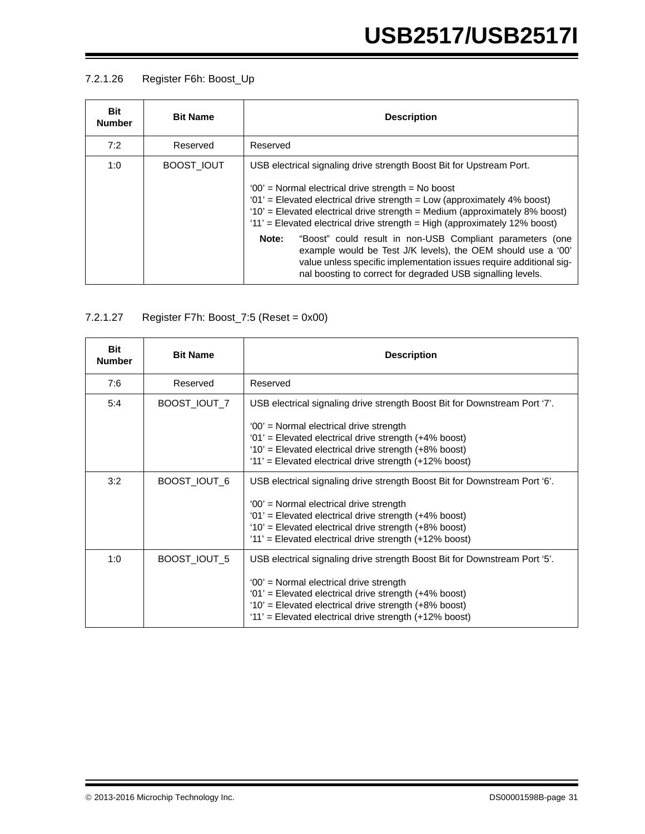## <span id="page-30-0"></span>7.2.1.26 Register F6h: Boost\_Up

| <b>Bit</b><br><b>Number</b> | <b>Bit Name</b>   | <b>Description</b>                                                                                                                                                                                                                                                                                                                                                  |
|-----------------------------|-------------------|---------------------------------------------------------------------------------------------------------------------------------------------------------------------------------------------------------------------------------------------------------------------------------------------------------------------------------------------------------------------|
| 7:2                         | Reserved          | Reserved                                                                                                                                                                                                                                                                                                                                                            |
| 1:0                         | <b>BOOST IOUT</b> | USB electrical signaling drive strength Boost Bit for Upstream Port.<br>'00' = Normal electrical drive strength = No boost<br>'01' = Elevated electrical drive strength = Low (approximately 4% boost)<br>'10' = Elevated electrical drive strength = Medium (approximately 8% boost)<br>'11' = Elevated electrical drive strength = High (approximately 12% boost) |
|                             |                   | "Boost" could result in non-USB Compliant parameters (one<br>Note:<br>example would be Test J/K levels), the OEM should use a '00'<br>value unless specific implementation issues require additional sig-<br>nal boosting to correct for degraded USB signalling levels.                                                                                            |

## 7.2.1.27 Register F7h: Boost\_7:5 (Reset = 0x00)

| Bit<br><b>Number</b> | <b>Bit Name</b> | <b>Description</b>                                                                                                                                                                                                                                                                                |
|----------------------|-----------------|---------------------------------------------------------------------------------------------------------------------------------------------------------------------------------------------------------------------------------------------------------------------------------------------------|
| 7:6                  | Reserved        | Reserved                                                                                                                                                                                                                                                                                          |
| 5:4                  | BOOST_IOUT_7    | USB electrical signaling drive strength Boost Bit for Downstream Port '7'.<br>'00' = Normal electrical drive strength<br>'01' = Elevated electrical drive strength (+4% boost)<br>'10' = Elevated electrical drive strength (+8% boost)<br>'11' = Elevated electrical drive strength (+12% boost) |
| 3:2                  | BOOST_IOUT_6    | USB electrical signaling drive strength Boost Bit for Downstream Port '6'.<br>'00' = Normal electrical drive strength<br>'01' = Elevated electrical drive strength (+4% boost)<br>'10' = Elevated electrical drive strength (+8% boost)<br>'11' = Elevated electrical drive strength (+12% boost) |
| 1:0                  | BOOST IOUT 5    | USB electrical signaling drive strength Boost Bit for Downstream Port '5'.<br>'00' = Normal electrical drive strength<br>'01' = Elevated electrical drive strength (+4% boost)<br>'10' = Elevated electrical drive strength (+8% boost)<br>'11' = Elevated electrical drive strength (+12% boost) |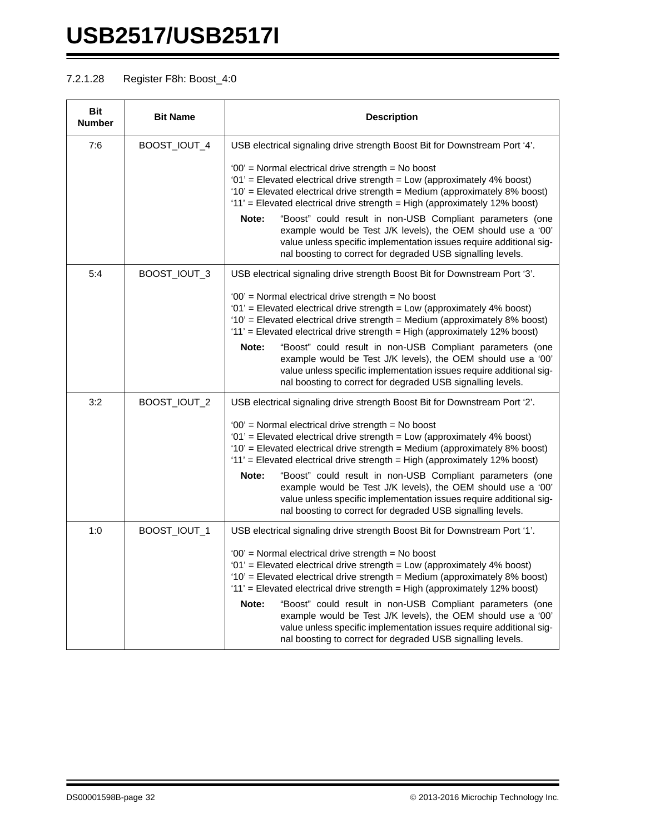## <span id="page-31-0"></span>7.2.1.28 Register F8h: Boost\_4:0

| <b>Bit</b><br><b>Number</b> | <b>Bit Name</b> | <b>Description</b>                                                                                                                                                                                                                                                                                                                                                                                                                                                                                       |  |  |  |
|-----------------------------|-----------------|----------------------------------------------------------------------------------------------------------------------------------------------------------------------------------------------------------------------------------------------------------------------------------------------------------------------------------------------------------------------------------------------------------------------------------------------------------------------------------------------------------|--|--|--|
| 7:6                         | BOOST_IOUT_4    | USB electrical signaling drive strength Boost Bit for Downstream Port '4'.                                                                                                                                                                                                                                                                                                                                                                                                                               |  |  |  |
|                             |                 | '00' = Normal electrical drive strength = No boost<br>'01' = Elevated electrical drive strength = Low (approximately 4% boost)<br>'10' = Elevated electrical drive strength = Medium (approximately 8% boost)<br>'11' = Elevated electrical drive strength = High (approximately 12% boost)<br>Note:<br>"Boost" could result in non-USB Compliant parameters (one<br>example would be Test J/K levels), the OEM should use a '00'<br>value unless specific implementation issues require additional sig- |  |  |  |
|                             |                 | nal boosting to correct for degraded USB signalling levels.                                                                                                                                                                                                                                                                                                                                                                                                                                              |  |  |  |
| 5:4                         | BOOST_IOUT_3    | USB electrical signaling drive strength Boost Bit for Downstream Port '3'.                                                                                                                                                                                                                                                                                                                                                                                                                               |  |  |  |
|                             |                 | '00' = Normal electrical drive strength = No boost<br>'01' = Elevated electrical drive strength = Low (approximately 4% boost)<br>'10' = Elevated electrical drive strength = Medium (approximately 8% boost)<br>'11' = Elevated electrical drive strength = High (approximately 12% boost)                                                                                                                                                                                                              |  |  |  |
|                             |                 | Note:<br>"Boost" could result in non-USB Compliant parameters (one<br>example would be Test J/K levels), the OEM should use a '00'<br>value unless specific implementation issues require additional sig-<br>nal boosting to correct for degraded USB signalling levels.                                                                                                                                                                                                                                 |  |  |  |
| 3:2                         | BOOST_IOUT_2    | USB electrical signaling drive strength Boost Bit for Downstream Port '2'.                                                                                                                                                                                                                                                                                                                                                                                                                               |  |  |  |
|                             |                 | '00' = Normal electrical drive strength = No boost<br>'01' = Elevated electrical drive strength = Low (approximately 4% boost)<br>'10' = Elevated electrical drive strength = Medium (approximately 8% boost)<br>'11' = Elevated electrical drive strength = High (approximately 12% boost)                                                                                                                                                                                                              |  |  |  |
|                             |                 | "Boost" could result in non-USB Compliant parameters (one<br>Note:<br>example would be Test J/K levels), the OEM should use a '00'<br>value unless specific implementation issues require additional sig-<br>nal boosting to correct for degraded USB signalling levels.                                                                                                                                                                                                                                 |  |  |  |
| 1:0                         | BOOST_IOUT_1    | USB electrical signaling drive strength Boost Bit for Downstream Port '1'.                                                                                                                                                                                                                                                                                                                                                                                                                               |  |  |  |
|                             |                 | '00' = Normal electrical drive strength = No boost<br>'01' = Elevated electrical drive strength = Low (approximately 4% boost)<br>'10' = Elevated electrical drive strength = Medium (approximately 8% boost)<br>'11' = Elevated electrical drive strength = High (approximately 12% boost)                                                                                                                                                                                                              |  |  |  |
|                             |                 | "Boost" could result in non-USB Compliant parameters (one<br>Note:<br>example would be Test J/K levels), the OEM should use a '00'<br>value unless specific implementation issues require additional sig-<br>nal boosting to correct for degraded USB signalling levels.                                                                                                                                                                                                                                 |  |  |  |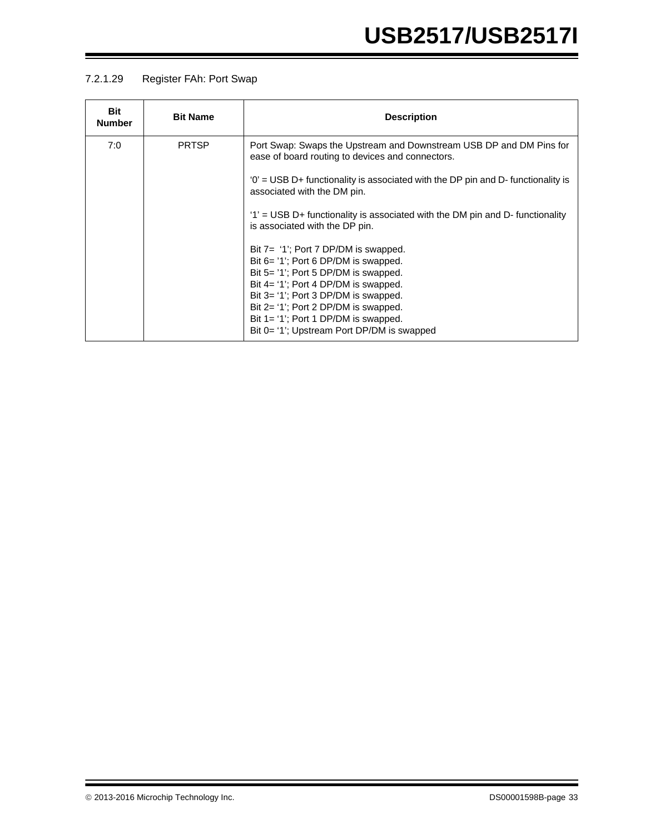## 7.2.1.29 Register FAh: Port Swap

|                                                                                                                                                                                                                                                                                                                                                                                                                                                                                                                                                                                                                                                                                                                                                           | <b>Bit</b><br><b>Number</b> |
|-----------------------------------------------------------------------------------------------------------------------------------------------------------------------------------------------------------------------------------------------------------------------------------------------------------------------------------------------------------------------------------------------------------------------------------------------------------------------------------------------------------------------------------------------------------------------------------------------------------------------------------------------------------------------------------------------------------------------------------------------------------|-----------------------------|
| <b>PRTSP</b><br>Port Swap: Swaps the Upstream and Downstream USB DP and DM Pins for<br>ease of board routing to devices and connectors.<br>$\dot{\theta}$ = USB D+ functionality is associated with the DP pin and D- functionality is<br>associated with the DM pin.<br>$1'$ = USB D+ functionality is associated with the DM pin and D- functionality<br>is associated with the DP pin.<br>Bit $7 = '1'$ ; Port 7 DP/DM is swapped.<br>Bit $6 = '1'$ ; Port 6 DP/DM is swapped.<br>Bit $5 = '1'$ ; Port 5 DP/DM is swapped.<br>Bit $4 = '1'$ ; Port 4 DP/DM is swapped.<br>Bit $3 = '1'$ ; Port 3 DP/DM is swapped.<br>Bit $2 = 1$ ; Port 2 DP/DM is swapped.<br>Bit $1 = '1'$ ; Port 1 DP/DM is swapped.<br>Bit 0= '1'; Upstream Port DP/DM is swapped | 7:0                         |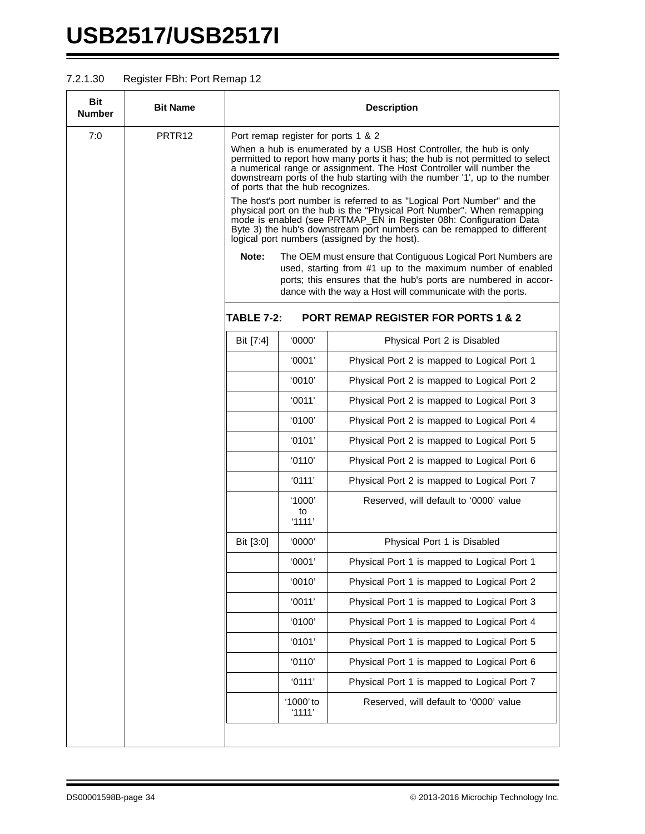## 7.2.1.30 Register FBh: Port Remap 12

| <b>Bit</b><br><b>Number</b> | <b>Bit Name</b>    |                                                                                                                                                                                                                                                                                                                                                                                                                                                                                                                                                                                                                                                                                                                                                                                                                                                                                                                                                                                                                   |                        | <b>Description</b>                             |  |  |
|-----------------------------|--------------------|-------------------------------------------------------------------------------------------------------------------------------------------------------------------------------------------------------------------------------------------------------------------------------------------------------------------------------------------------------------------------------------------------------------------------------------------------------------------------------------------------------------------------------------------------------------------------------------------------------------------------------------------------------------------------------------------------------------------------------------------------------------------------------------------------------------------------------------------------------------------------------------------------------------------------------------------------------------------------------------------------------------------|------------------------|------------------------------------------------|--|--|
| 7:0                         | PRTR <sub>12</sub> | Port remap register for ports 1 & 2<br>When a hub is enumerated by a USB Host Controller, the hub is only<br>permitted to report how many ports it has; the hub is not permitted to select<br>a numerical range or assignment. The Host Controller will number the<br>downstream ports of the hub starting with the number '1', up to the number<br>of ports that the hub recognizes.<br>The host's port number is referred to as "Logical Port Number" and the<br>physical port on the hub is the "Physical Port Number". When remapping<br>mode is enabled (see PRTMAP_EN in Register 08h: Configuration Data<br>Byte 3) the hub's downstream port numbers can be remapped to different<br>logical port numbers (assigned by the host).<br>Note:<br>The OEM must ensure that Contiguous Logical Port Numbers are<br>used, starting from #1 up to the maximum number of enabled<br>ports; this ensures that the hub's ports are numbered in accor-<br>dance with the way a Host will communicate with the ports. |                        |                                                |  |  |
|                             |                    | TABLE 7-2:                                                                                                                                                                                                                                                                                                                                                                                                                                                                                                                                                                                                                                                                                                                                                                                                                                                                                                                                                                                                        |                        | <b>PORT REMAP REGISTER FOR PORTS 1 &amp; 2</b> |  |  |
|                             |                    | Bit [7:4]                                                                                                                                                                                                                                                                                                                                                                                                                                                                                                                                                                                                                                                                                                                                                                                                                                                                                                                                                                                                         | '0000'                 | Physical Port 2 is Disabled                    |  |  |
|                             |                    | '0001'<br>Physical Port 2 is mapped to Logical Port 1                                                                                                                                                                                                                                                                                                                                                                                                                                                                                                                                                                                                                                                                                                                                                                                                                                                                                                                                                             |                        |                                                |  |  |
|                             |                    | '0010'<br>Physical Port 2 is mapped to Logical Port 2                                                                                                                                                                                                                                                                                                                                                                                                                                                                                                                                                                                                                                                                                                                                                                                                                                                                                                                                                             |                        |                                                |  |  |
|                             |                    | '0011'<br>Physical Port 2 is mapped to Logical Port 3                                                                                                                                                                                                                                                                                                                                                                                                                                                                                                                                                                                                                                                                                                                                                                                                                                                                                                                                                             |                        |                                                |  |  |
|                             |                    | '0100'<br>Physical Port 2 is mapped to Logical Port 4                                                                                                                                                                                                                                                                                                                                                                                                                                                                                                                                                                                                                                                                                                                                                                                                                                                                                                                                                             |                        |                                                |  |  |
|                             |                    |                                                                                                                                                                                                                                                                                                                                                                                                                                                                                                                                                                                                                                                                                                                                                                                                                                                                                                                                                                                                                   | $^{\prime}0101'$       | Physical Port 2 is mapped to Logical Port 5    |  |  |
|                             |                    |                                                                                                                                                                                                                                                                                                                                                                                                                                                                                                                                                                                                                                                                                                                                                                                                                                                                                                                                                                                                                   | '0110'                 | Physical Port 2 is mapped to Logical Port 6    |  |  |
|                             |                    |                                                                                                                                                                                                                                                                                                                                                                                                                                                                                                                                                                                                                                                                                                                                                                                                                                                                                                                                                                                                                   | '0111'                 | Physical Port 2 is mapped to Logical Port 7    |  |  |
|                             |                    |                                                                                                                                                                                                                                                                                                                                                                                                                                                                                                                                                                                                                                                                                                                                                                                                                                                                                                                                                                                                                   | '1000'<br>to<br>'1111' | Reserved, will default to '0000' value         |  |  |
|                             |                    | Bit [3:0]                                                                                                                                                                                                                                                                                                                                                                                                                                                                                                                                                                                                                                                                                                                                                                                                                                                                                                                                                                                                         | '0000'                 | Physical Port 1 is Disabled                    |  |  |
|                             |                    |                                                                                                                                                                                                                                                                                                                                                                                                                                                                                                                                                                                                                                                                                                                                                                                                                                                                                                                                                                                                                   | '0001'                 | Physical Port 1 is mapped to Logical Port 1    |  |  |
|                             |                    |                                                                                                                                                                                                                                                                                                                                                                                                                                                                                                                                                                                                                                                                                                                                                                                                                                                                                                                                                                                                                   | '0010'                 | Physical Port 1 is mapped to Logical Port 2    |  |  |
|                             |                    |                                                                                                                                                                                                                                                                                                                                                                                                                                                                                                                                                                                                                                                                                                                                                                                                                                                                                                                                                                                                                   | '0011'                 | Physical Port 1 is mapped to Logical Port 3    |  |  |
|                             |                    | '0100'<br>Physical Port 1 is mapped to Logical Port 4                                                                                                                                                                                                                                                                                                                                                                                                                                                                                                                                                                                                                                                                                                                                                                                                                                                                                                                                                             |                        |                                                |  |  |
|                             |                    | '0101'<br>Physical Port 1 is mapped to Logical Port 5                                                                                                                                                                                                                                                                                                                                                                                                                                                                                                                                                                                                                                                                                                                                                                                                                                                                                                                                                             |                        |                                                |  |  |
|                             |                    |                                                                                                                                                                                                                                                                                                                                                                                                                                                                                                                                                                                                                                                                                                                                                                                                                                                                                                                                                                                                                   | '0110'                 | Physical Port 1 is mapped to Logical Port 6    |  |  |
|                             |                    |                                                                                                                                                                                                                                                                                                                                                                                                                                                                                                                                                                                                                                                                                                                                                                                                                                                                                                                                                                                                                   | '0111'                 | Physical Port 1 is mapped to Logical Port 7    |  |  |
|                             |                    |                                                                                                                                                                                                                                                                                                                                                                                                                                                                                                                                                                                                                                                                                                                                                                                                                                                                                                                                                                                                                   | '1000' to<br>'1111'    | Reserved, will default to '0000' value         |  |  |
|                             |                    |                                                                                                                                                                                                                                                                                                                                                                                                                                                                                                                                                                                                                                                                                                                                                                                                                                                                                                                                                                                                                   |                        |                                                |  |  |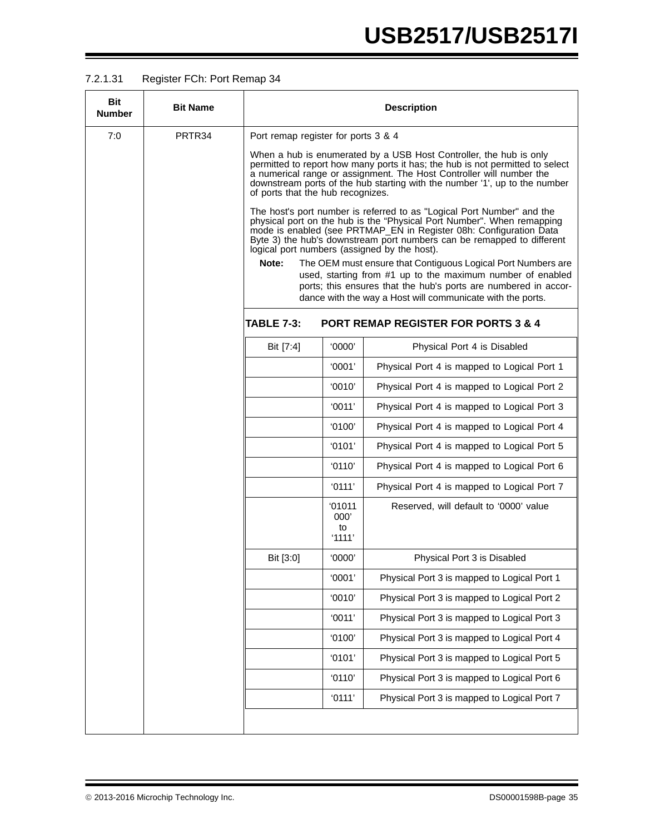## 7.2.1.31 Register FCh: Port Remap 34

| <b>Bit</b><br><b>Number</b> | <b>Bit Name</b> |                                                                                                                                                                                                                                                                                                                                                                                                                                                                                                                                                                                                                          |        | <b>Description</b>                                                                                                                                                                                                                                                                                        |  |  |  |  |
|-----------------------------|-----------------|--------------------------------------------------------------------------------------------------------------------------------------------------------------------------------------------------------------------------------------------------------------------------------------------------------------------------------------------------------------------------------------------------------------------------------------------------------------------------------------------------------------------------------------------------------------------------------------------------------------------------|--------|-----------------------------------------------------------------------------------------------------------------------------------------------------------------------------------------------------------------------------------------------------------------------------------------------------------|--|--|--|--|
| 7:0                         | PRTR34          | Port remap register for ports 3 & 4                                                                                                                                                                                                                                                                                                                                                                                                                                                                                                                                                                                      |        |                                                                                                                                                                                                                                                                                                           |  |  |  |  |
|                             |                 | of ports that the hub recognizes.                                                                                                                                                                                                                                                                                                                                                                                                                                                                                                                                                                                        |        | When a hub is enumerated by a USB Host Controller, the hub is only<br>permitted to report how many ports it has; the hub is not permitted to select<br>a numerical range or assignment. The Host Controller will number the<br>downstream ports of the hub starting with the number '1', up to the number |  |  |  |  |
|                             |                 | The host's port number is referred to as "Logical Port Number" and the<br>physical port on the hub is the "Physical Port Number". When remapping<br>mode is enabled (see PRTMAP_EN in Register 08h: Configuration Data<br>Byte 3) the hub's downstream port numbers can be remapped to different<br>logical port numbers (assigned by the host).<br>Note:<br>The OEM must ensure that Contiguous Logical Port Numbers are<br>used, starting from #1 up to the maximum number of enabled<br>ports; this ensures that the hub's ports are numbered in accor-<br>dance with the way a Host will communicate with the ports. |        |                                                                                                                                                                                                                                                                                                           |  |  |  |  |
|                             |                 | <b>TABLE 7-3:</b>                                                                                                                                                                                                                                                                                                                                                                                                                                                                                                                                                                                                        |        | <b>PORT REMAP REGISTER FOR PORTS 3 &amp; 4</b>                                                                                                                                                                                                                                                            |  |  |  |  |
|                             |                 | Bit [7:4]                                                                                                                                                                                                                                                                                                                                                                                                                                                                                                                                                                                                                | '0000' | Physical Port 4 is Disabled                                                                                                                                                                                                                                                                               |  |  |  |  |
|                             |                 | '0001'<br>Physical Port 4 is mapped to Logical Port 1                                                                                                                                                                                                                                                                                                                                                                                                                                                                                                                                                                    |        |                                                                                                                                                                                                                                                                                                           |  |  |  |  |
|                             |                 | '0010'<br>Physical Port 4 is mapped to Logical Port 2                                                                                                                                                                                                                                                                                                                                                                                                                                                                                                                                                                    |        |                                                                                                                                                                                                                                                                                                           |  |  |  |  |
|                             |                 | '0011'<br>Physical Port 4 is mapped to Logical Port 3                                                                                                                                                                                                                                                                                                                                                                                                                                                                                                                                                                    |        |                                                                                                                                                                                                                                                                                                           |  |  |  |  |
|                             |                 |                                                                                                                                                                                                                                                                                                                                                                                                                                                                                                                                                                                                                          | '0100' | Physical Port 4 is mapped to Logical Port 4                                                                                                                                                                                                                                                               |  |  |  |  |
|                             |                 |                                                                                                                                                                                                                                                                                                                                                                                                                                                                                                                                                                                                                          | '0101' | Physical Port 4 is mapped to Logical Port 5                                                                                                                                                                                                                                                               |  |  |  |  |
|                             |                 |                                                                                                                                                                                                                                                                                                                                                                                                                                                                                                                                                                                                                          | '0110' | Physical Port 4 is mapped to Logical Port 6                                                                                                                                                                                                                                                               |  |  |  |  |
|                             |                 |                                                                                                                                                                                                                                                                                                                                                                                                                                                                                                                                                                                                                          | '0111' | Physical Port 4 is mapped to Logical Port 7                                                                                                                                                                                                                                                               |  |  |  |  |
|                             |                 | $^{\prime}01011$<br>Reserved, will default to '0000' value<br>000'<br>to<br>'1111'                                                                                                                                                                                                                                                                                                                                                                                                                                                                                                                                       |        |                                                                                                                                                                                                                                                                                                           |  |  |  |  |
|                             |                 | Bit [3:0]                                                                                                                                                                                                                                                                                                                                                                                                                                                                                                                                                                                                                | '0000' | Physical Port 3 is Disabled                                                                                                                                                                                                                                                                               |  |  |  |  |
|                             |                 |                                                                                                                                                                                                                                                                                                                                                                                                                                                                                                                                                                                                                          | '0001' | Physical Port 3 is mapped to Logical Port 1                                                                                                                                                                                                                                                               |  |  |  |  |
|                             |                 |                                                                                                                                                                                                                                                                                                                                                                                                                                                                                                                                                                                                                          | '0010' | Physical Port 3 is mapped to Logical Port 2                                                                                                                                                                                                                                                               |  |  |  |  |
|                             |                 | Physical Port 3 is mapped to Logical Port 3<br>'0011'                                                                                                                                                                                                                                                                                                                                                                                                                                                                                                                                                                    |        |                                                                                                                                                                                                                                                                                                           |  |  |  |  |
|                             |                 |                                                                                                                                                                                                                                                                                                                                                                                                                                                                                                                                                                                                                          | '0100' | Physical Port 3 is mapped to Logical Port 4                                                                                                                                                                                                                                                               |  |  |  |  |
|                             |                 | '0101'<br>Physical Port 3 is mapped to Logical Port 5                                                                                                                                                                                                                                                                                                                                                                                                                                                                                                                                                                    |        |                                                                                                                                                                                                                                                                                                           |  |  |  |  |
|                             |                 |                                                                                                                                                                                                                                                                                                                                                                                                                                                                                                                                                                                                                          | '0110' | Physical Port 3 is mapped to Logical Port 6                                                                                                                                                                                                                                                               |  |  |  |  |
|                             |                 |                                                                                                                                                                                                                                                                                                                                                                                                                                                                                                                                                                                                                          | '0111' | Physical Port 3 is mapped to Logical Port 7                                                                                                                                                                                                                                                               |  |  |  |  |
|                             |                 |                                                                                                                                                                                                                                                                                                                                                                                                                                                                                                                                                                                                                          |        |                                                                                                                                                                                                                                                                                                           |  |  |  |  |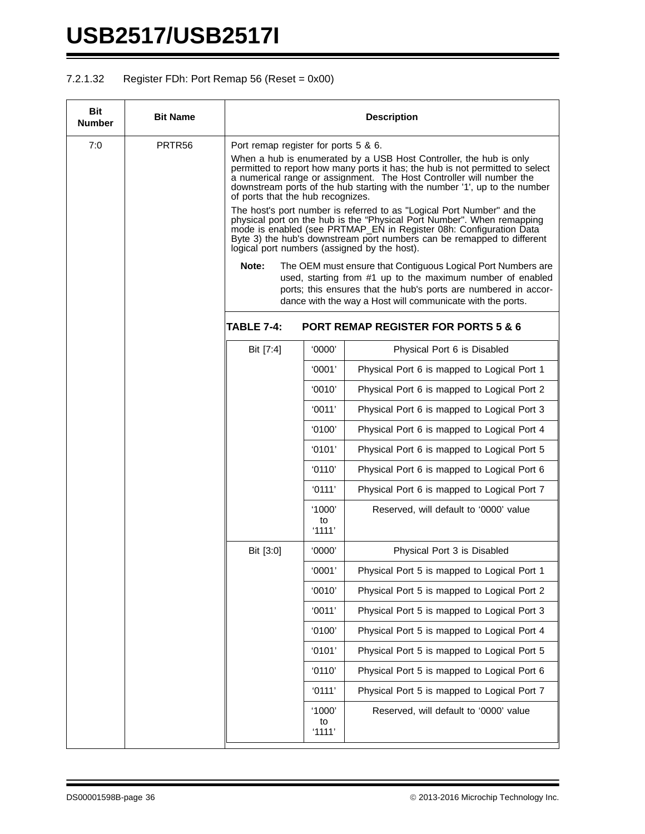## 7.2.1.32 Register FDh: Port Remap 56 (Reset = 0x00)

| Bit<br><b>Number</b> | <b>Bit Name</b> |                                                                                                                                                                                                                                                                                                                                                                                                                                                                                                                                                                                                                                                                                                                                                                                                                                                                                                                                                                                                                    |                        | <b>Description</b>                             |  |  |  |
|----------------------|-----------------|--------------------------------------------------------------------------------------------------------------------------------------------------------------------------------------------------------------------------------------------------------------------------------------------------------------------------------------------------------------------------------------------------------------------------------------------------------------------------------------------------------------------------------------------------------------------------------------------------------------------------------------------------------------------------------------------------------------------------------------------------------------------------------------------------------------------------------------------------------------------------------------------------------------------------------------------------------------------------------------------------------------------|------------------------|------------------------------------------------|--|--|--|
| 7:0                  | PRTR56          | Port remap register for ports 5 & 6.<br>When a hub is enumerated by a USB Host Controller, the hub is only<br>permitted to report how many ports it has; the hub is not permitted to select<br>a numerical range or assignment. The Host Controller will number the<br>downstream ports of the hub starting with the number '1', up to the number<br>of ports that the hub recognizes.<br>The host's port number is referred to as "Logical Port Number" and the<br>physical port on the hub is the "Physical Port Number". When remapping<br>mode is enabled (see PRTMAP_EN in Register 08h: Configuration Data<br>Byte 3) the hub's downstream port numbers can be remapped to different<br>logical port numbers (assigned by the host).<br>Note:<br>The OEM must ensure that Contiguous Logical Port Numbers are<br>used, starting from #1 up to the maximum number of enabled<br>ports; this ensures that the hub's ports are numbered in accor-<br>dance with the way a Host will communicate with the ports. |                        |                                                |  |  |  |
|                      |                 | <b>TABLE 7-4:</b>                                                                                                                                                                                                                                                                                                                                                                                                                                                                                                                                                                                                                                                                                                                                                                                                                                                                                                                                                                                                  |                        | <b>PORT REMAP REGISTER FOR PORTS 5 &amp; 6</b> |  |  |  |
|                      |                 | Bit [7:4]                                                                                                                                                                                                                                                                                                                                                                                                                                                                                                                                                                                                                                                                                                                                                                                                                                                                                                                                                                                                          | '0000'                 | Physical Port 6 is Disabled                    |  |  |  |
|                      |                 |                                                                                                                                                                                                                                                                                                                                                                                                                                                                                                                                                                                                                                                                                                                                                                                                                                                                                                                                                                                                                    | '0001'                 | Physical Port 6 is mapped to Logical Port 1    |  |  |  |
|                      |                 | '0010'<br>Physical Port 6 is mapped to Logical Port 2                                                                                                                                                                                                                                                                                                                                                                                                                                                                                                                                                                                                                                                                                                                                                                                                                                                                                                                                                              |                        |                                                |  |  |  |
|                      |                 | '0011'<br>Physical Port 6 is mapped to Logical Port 3                                                                                                                                                                                                                                                                                                                                                                                                                                                                                                                                                                                                                                                                                                                                                                                                                                                                                                                                                              |                        |                                                |  |  |  |
|                      |                 | '0100'<br>Physical Port 6 is mapped to Logical Port 4                                                                                                                                                                                                                                                                                                                                                                                                                                                                                                                                                                                                                                                                                                                                                                                                                                                                                                                                                              |                        |                                                |  |  |  |
|                      |                 |                                                                                                                                                                                                                                                                                                                                                                                                                                                                                                                                                                                                                                                                                                                                                                                                                                                                                                                                                                                                                    | '0101'                 | Physical Port 6 is mapped to Logical Port 5    |  |  |  |
|                      |                 |                                                                                                                                                                                                                                                                                                                                                                                                                                                                                                                                                                                                                                                                                                                                                                                                                                                                                                                                                                                                                    | '0110'                 | Physical Port 6 is mapped to Logical Port 6    |  |  |  |
|                      |                 |                                                                                                                                                                                                                                                                                                                                                                                                                                                                                                                                                                                                                                                                                                                                                                                                                                                                                                                                                                                                                    | $^{\circ}$ 0111'       | Physical Port 6 is mapped to Logical Port 7    |  |  |  |
|                      |                 |                                                                                                                                                                                                                                                                                                                                                                                                                                                                                                                                                                                                                                                                                                                                                                                                                                                                                                                                                                                                                    | '1000'<br>to<br>'1111' | Reserved, will default to '0000' value         |  |  |  |
|                      |                 | Bit [3:0]                                                                                                                                                                                                                                                                                                                                                                                                                                                                                                                                                                                                                                                                                                                                                                                                                                                                                                                                                                                                          | '0000'                 | Physical Port 3 is Disabled                    |  |  |  |
|                      |                 |                                                                                                                                                                                                                                                                                                                                                                                                                                                                                                                                                                                                                                                                                                                                                                                                                                                                                                                                                                                                                    | '0001'                 | Physical Port 5 is mapped to Logical Port 1    |  |  |  |
|                      |                 |                                                                                                                                                                                                                                                                                                                                                                                                                                                                                                                                                                                                                                                                                                                                                                                                                                                                                                                                                                                                                    | '0010'                 | Physical Port 5 is mapped to Logical Port 2    |  |  |  |
|                      |                 |                                                                                                                                                                                                                                                                                                                                                                                                                                                                                                                                                                                                                                                                                                                                                                                                                                                                                                                                                                                                                    | '0011'                 | Physical Port 5 is mapped to Logical Port 3    |  |  |  |
|                      |                 |                                                                                                                                                                                                                                                                                                                                                                                                                                                                                                                                                                                                                                                                                                                                                                                                                                                                                                                                                                                                                    | '0100'                 | Physical Port 5 is mapped to Logical Port 4    |  |  |  |
|                      |                 |                                                                                                                                                                                                                                                                                                                                                                                                                                                                                                                                                                                                                                                                                                                                                                                                                                                                                                                                                                                                                    | '0101'                 | Physical Port 5 is mapped to Logical Port 5    |  |  |  |
|                      |                 | '0110'<br>Physical Port 5 is mapped to Logical Port 6                                                                                                                                                                                                                                                                                                                                                                                                                                                                                                                                                                                                                                                                                                                                                                                                                                                                                                                                                              |                        |                                                |  |  |  |
|                      |                 |                                                                                                                                                                                                                                                                                                                                                                                                                                                                                                                                                                                                                                                                                                                                                                                                                                                                                                                                                                                                                    | '0111'                 | Physical Port 5 is mapped to Logical Port 7    |  |  |  |
|                      |                 |                                                                                                                                                                                                                                                                                                                                                                                                                                                                                                                                                                                                                                                                                                                                                                                                                                                                                                                                                                                                                    | '1000'<br>to<br>'1111' | Reserved, will default to '0000' value         |  |  |  |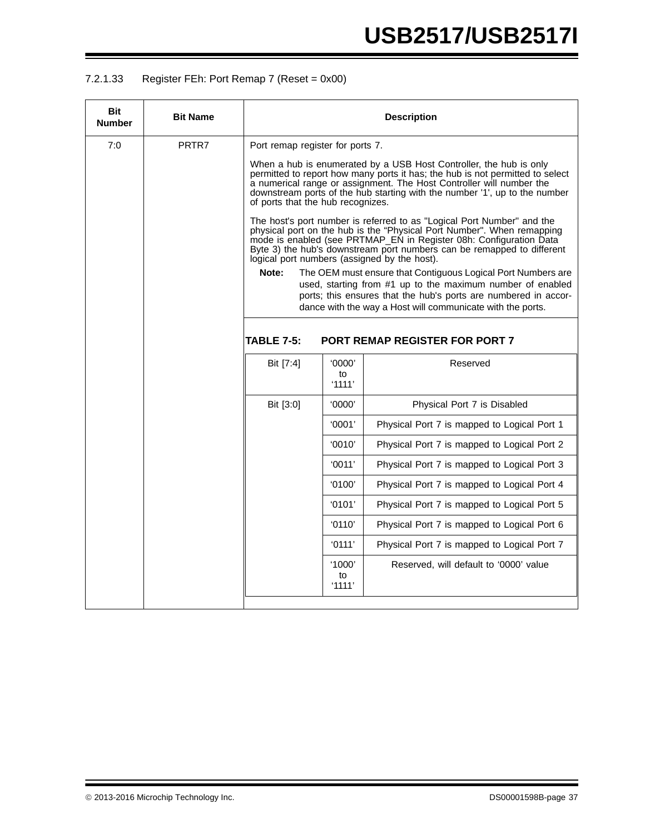## 7.2.1.33 Register FEh: Port Remap 7 (Reset = 0x00)

| Bit<br><b>Number</b> | <b>Bit Name</b> | <b>Description</b>                                                                                                                                                                                                                                                                                                                               |                        |                                                                                                                                                                                                                                                                                                           |  |  |
|----------------------|-----------------|--------------------------------------------------------------------------------------------------------------------------------------------------------------------------------------------------------------------------------------------------------------------------------------------------------------------------------------------------|------------------------|-----------------------------------------------------------------------------------------------------------------------------------------------------------------------------------------------------------------------------------------------------------------------------------------------------------|--|--|
| 7:0                  | PRTR7           | Port remap register for ports 7.                                                                                                                                                                                                                                                                                                                 |                        |                                                                                                                                                                                                                                                                                                           |  |  |
|                      |                 | of ports that the hub recognizes.                                                                                                                                                                                                                                                                                                                |                        | When a hub is enumerated by a USB Host Controller, the hub is only<br>permitted to report how many ports it has; the hub is not permitted to select<br>a numerical range or assignment. The Host Controller will number the<br>downstream ports of the hub starting with the number '1', up to the number |  |  |
|                      |                 | The host's port number is referred to as "Logical Port Number" and the<br>physical port on the hub is the "Physical Port Number". When remapping<br>mode is enabled (see PRTMAP_EN in Register 08h: Configuration Data<br>Byte 3) the hub's downstream port numbers can be remapped to different<br>logical port numbers (assigned by the host). |                        |                                                                                                                                                                                                                                                                                                           |  |  |
|                      |                 | Note:<br>The OEM must ensure that Contiguous Logical Port Numbers are<br>used, starting from #1 up to the maximum number of enabled<br>ports; this ensures that the hub's ports are numbered in accor-<br>dance with the way a Host will communicate with the ports.                                                                             |                        |                                                                                                                                                                                                                                                                                                           |  |  |
|                      |                 | TABLE 7-5:<br><b>PORT REMAP REGISTER FOR PORT 7</b>                                                                                                                                                                                                                                                                                              |                        |                                                                                                                                                                                                                                                                                                           |  |  |
|                      |                 | Reserved<br>Bit [7:4]<br>'0000'<br>to<br>'1111'                                                                                                                                                                                                                                                                                                  |                        |                                                                                                                                                                                                                                                                                                           |  |  |
|                      |                 | Bit [3:0]                                                                                                                                                                                                                                                                                                                                        | '0000'                 | Physical Port 7 is Disabled                                                                                                                                                                                                                                                                               |  |  |
|                      |                 |                                                                                                                                                                                                                                                                                                                                                  | '0001'                 | Physical Port 7 is mapped to Logical Port 1                                                                                                                                                                                                                                                               |  |  |
|                      |                 |                                                                                                                                                                                                                                                                                                                                                  | '0010'                 | Physical Port 7 is mapped to Logical Port 2                                                                                                                                                                                                                                                               |  |  |
|                      |                 |                                                                                                                                                                                                                                                                                                                                                  | '0011'                 | Physical Port 7 is mapped to Logical Port 3                                                                                                                                                                                                                                                               |  |  |
|                      |                 |                                                                                                                                                                                                                                                                                                                                                  | '0100'                 | Physical Port 7 is mapped to Logical Port 4                                                                                                                                                                                                                                                               |  |  |
|                      |                 | '0101'<br>Physical Port 7 is mapped to Logical Port 5                                                                                                                                                                                                                                                                                            |                        |                                                                                                                                                                                                                                                                                                           |  |  |
|                      |                 | '0110'<br>Physical Port 7 is mapped to Logical Port 6                                                                                                                                                                                                                                                                                            |                        |                                                                                                                                                                                                                                                                                                           |  |  |
|                      |                 | '0111'<br>Physical Port 7 is mapped to Logical Port 7                                                                                                                                                                                                                                                                                            |                        |                                                                                                                                                                                                                                                                                                           |  |  |
|                      |                 |                                                                                                                                                                                                                                                                                                                                                  | '1000'<br>to<br>'1111' | Reserved, will default to '0000' value                                                                                                                                                                                                                                                                    |  |  |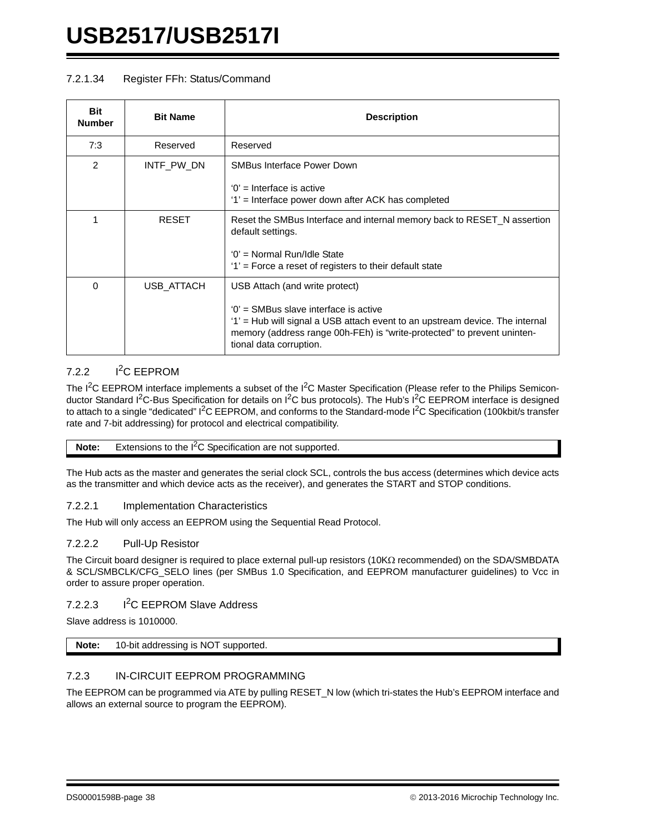#### 7.2.1.34 Register FFh: Status/Command

| Bit<br><b>Number</b> | <b>Bit Name</b> | <b>Description</b>                                                                                                                                                                                                                                              |
|----------------------|-----------------|-----------------------------------------------------------------------------------------------------------------------------------------------------------------------------------------------------------------------------------------------------------------|
| 7:3                  | Reserved        | Reserved                                                                                                                                                                                                                                                        |
| 2                    | INTF PW DN      | <b>SMBus Interface Power Down</b><br>$'0'$ = Interface is active<br>'1' = Interface power down after ACK has completed                                                                                                                                          |
| 1                    | <b>RESET</b>    | Reset the SMBus Interface and internal memory back to RESET_N assertion<br>default settings.<br>$'0'$ = Normal Run/Idle State<br>'1' = Force a reset of registers to their default state                                                                        |
| $\Omega$             | USB ATTACH      | USB Attach (and write protect)<br>$'0'$ = SMBus slave interface is active<br>'1' = Hub will signal a USB attach event to an upstream device. The internal<br>memory (address range 00h-FEh) is "write-protected" to prevent uninten-<br>tional data corruption. |

## $7.2.2$   $1^2$ C EEPROM

The I<sup>2</sup>C EEPROM interface implements a subset of the I<sup>2</sup>C Master Specification (Please refer to the Philips Semiconductor Standard I<sup>2</sup>C-Bus Specification for details on I<sup>2</sup>C bus protocols). The Hub's I<sup>2</sup>C EEPROM interface is designed to attach to a single "dedicated" I<sup>2</sup>C EEPROM, and conforms to the Standard-mode I<sup>2</sup>C Specification (100kbit/s transfer rate and 7-bit addressing) for protocol and electrical compatibility.

#### **Note:** Extensions to the I<sup>2</sup>C Specification are not supported.

The Hub acts as the master and generates the serial clock SCL, controls the bus access (determines which device acts as the transmitter and which device acts as the receiver), and generates the START and STOP conditions.

#### 7.2.2.1 Implementation Characteristics

The Hub will only access an EEPROM using the Sequential Read Protocol.

#### 7.2.2.2 Pull-Up Resistor

The Circuit board designer is required to place external pull-up resistors (10K $\Omega$  recommended) on the SDA/SMBDATA & SCL/SMBCLK/CFG\_SELO lines (per SMBus 1.0 Specification, and EEPROM manufacturer guidelines) to Vcc in order to assure proper operation.

#### 7.2.2.3 I<sup>2</sup>C EEPROM Slave Address

Slave address is 1010000.

#### **Note:** 10-bit addressing is NOT supported.

#### 7.2.3 IN-CIRCUIT EEPROM PROGRAMMING

The EEPROM can be programmed via ATE by pulling RESET\_N low (which tri-states the Hub's EEPROM interface and allows an external source to program the EEPROM).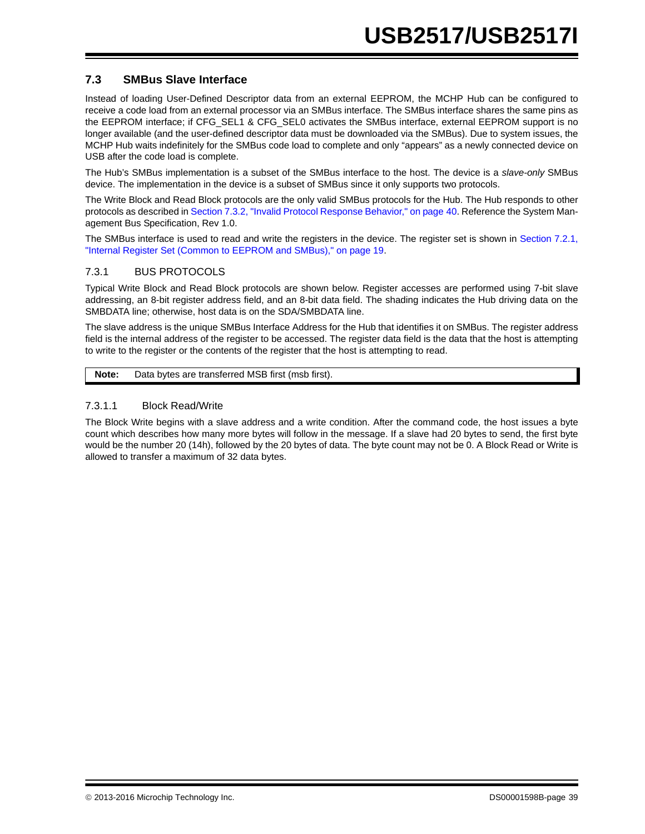### <span id="page-38-0"></span>**7.3 SMBus Slave Interface**

Instead of loading User-Defined Descriptor data from an external EEPROM, the MCHP Hub can be configured to receive a code load from an external processor via an SMBus interface. The SMBus interface shares the same pins as the EEPROM interface; if CFG\_SEL1 & CFG\_SEL0 activates the SMBus interface, external EEPROM support is no longer available (and the user-defined descriptor data must be downloaded via the SMBus). Due to system issues, the MCHP Hub waits indefinitely for the SMBus code load to complete and only "appears" as a newly connected device on USB after the code load is complete.

The Hub's SMBus implementation is a subset of the SMBus interface to the host. The device is a *slave-only* SMBus device. The implementation in the device is a subset of SMBus since it only supports two protocols.

The Write Block and Read Block protocols are the only valid SMBus protocols for the Hub. The Hub responds to other protocols as described in [Section 7.3.2, "Invalid Protocol Response Behavior," on page 40.](#page-39-0) Reference the System Management Bus Specification, Rev 1.0.

The SMBus interface is used to read and write the registers in the device. The register set is shown in [Section 7.2.1,](#page-18-1) ["Internal Register Set \(Common to EEPROM and SMBus\)," on page 19](#page-18-1).

#### 7.3.1 BUS PROTOCOLS

Typical Write Block and Read Block protocols are shown below. Register accesses are performed using 7-bit slave addressing, an 8-bit register address field, and an 8-bit data field. The shading indicates the Hub driving data on the SMBDATA line; otherwise, host data is on the SDA/SMBDATA line.

The slave address is the unique SMBus Interface Address for the Hub that identifies it on SMBus. The register address field is the internal address of the register to be accessed. The register data field is the data that the host is attempting to write to the register or the contents of the register that the host is attempting to read.

#### **Note:** Data bytes are transferred MSB first (msb first).

#### 7.3.1.1 Block Read/Write

The Block Write begins with a slave address and a write condition. After the command code, the host issues a byte count which describes how many more bytes will follow in the message. If a slave had 20 bytes to send, the first byte would be the number 20 (14h), followed by the 20 bytes of data. The byte count may not be 0. A Block Read or Write is allowed to transfer a maximum of 32 data bytes.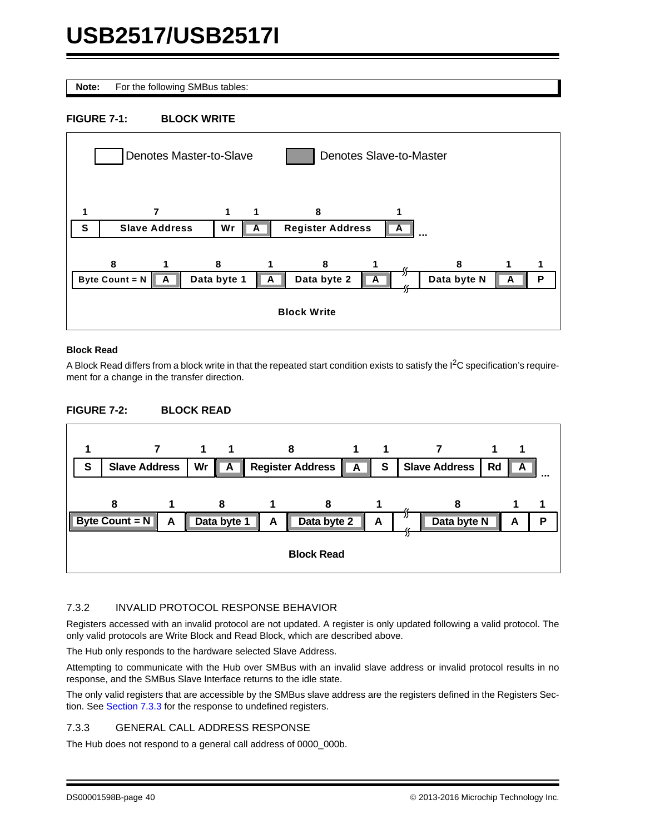**Note:** For the following SMBus tables:

#### **FIGURE 7-1: BLOCK WRITE**



#### **Block Read**

A Block Read differs from a block write in that the repeated start condition exists to satisfy the  $I<sup>2</sup>C$  specification's requirement for a change in the transfer direction.

#### **FIGURE 7-2: BLOCK READ**



#### <span id="page-39-0"></span>7.3.2 INVALID PROTOCOL RESPONSE BEHAVIOR

Registers accessed with an invalid protocol are not updated. A register is only updated following a valid protocol. The only valid protocols are Write Block and Read Block, which are described above.

The Hub only responds to the hardware selected Slave Address.

Attempting to communicate with the Hub over SMBus with an invalid slave address or invalid protocol results in no response, and the SMBus Slave Interface returns to the idle state.

The only valid registers that are accessible by the SMBus slave address are the registers defined in the Registers Section. See [Section 7.3.3](#page-39-1) for the response to undefined registers.

#### <span id="page-39-1"></span>7.3.3 GENERAL CALL ADDRESS RESPONSE

The Hub does not respond to a general call address of 0000\_000b.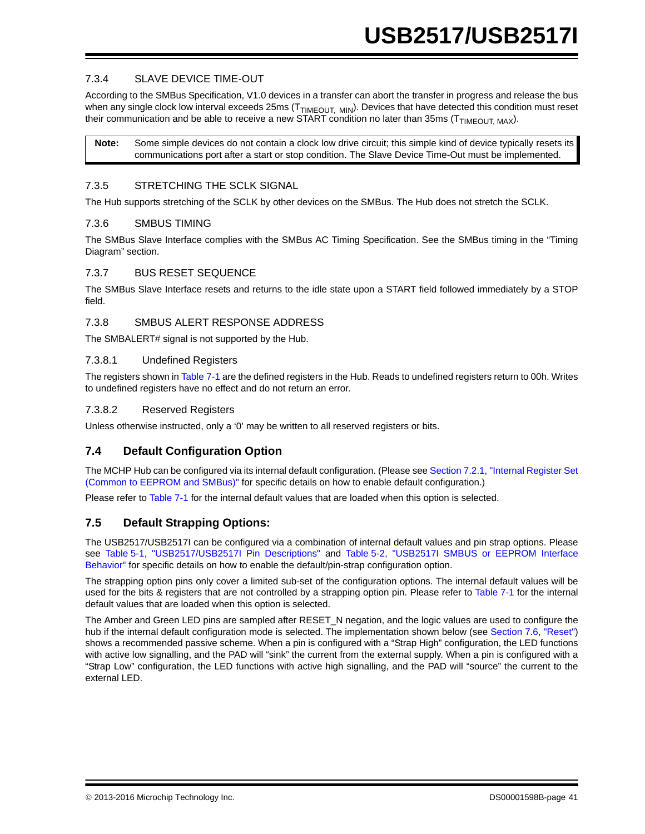#### 7.3.4 SLAVE DEVICE TIME-OUT

According to the SMBus Specification, V1.0 devices in a transfer can abort the transfer in progress and release the bus when any single clock low interval exceeds 25ms ( $T_{TIMEOUT, MIN}$ ). Devices that have detected this condition must reset their communication and be able to receive a new START condition no later than 35ms ( $T_{TIMEOUT, MAX}$ ).

**Note:** Some simple devices do not contain a clock low drive circuit; this simple kind of device typically resets its communications port after a start or stop condition. The Slave Device Time-Out must be implemented.

#### 7.3.5 STRETCHING THE SCLK SIGNAL

The Hub supports stretching of the SCLK by other devices on the SMBus. The Hub does not stretch the SCLK.

#### 7.3.6 SMBUS TIMING

The SMBus Slave Interface complies with the SMBus AC Timing Specification. See the SMBus timing in the "Timing Diagram" section.

#### 7.3.7 BUS RESET SEQUENCE

The SMBus Slave Interface resets and returns to the idle state upon a START field followed immediately by a STOP field.

#### 7.3.8 SMBUS ALERT RESPONSE ADDRESS

The SMBALERT# signal is not supported by the Hub.

#### 7.3.8.1 Undefined Registers

The registers shown in [Table 7-1](#page-18-2) are the defined registers in the Hub. Reads to undefined registers return to 00h. Writes to undefined registers have no effect and do not return an error.

#### 7.3.8.2 Reserved Registers

Unless otherwise instructed, only a '0' may be written to all reserved registers or bits.

#### **7.4 Default Configuration Option**

The MCHP Hub can be configured via its internal default configuration. (Please see [Section 7.2.1, "Internal Register Set](#page-18-1) [\(Common to EEPROM and SMBus\)"](#page-18-1) for specific details on how to enable default configuration.)

Please refer to [Table 7-1](#page-18-2) for the internal default values that are loaded when this option is selected.

#### **7.5 Default Strapping Options:**

The USB2517/USB2517I can be configured via a combination of internal default values and pin strap options. Please see [Table 5-1, "USB2517/USB2517I Pin Descriptions"](#page-9-1) and [Table 5-2, "USB2517I SMBUS or EEPROM Interface](#page-14-1) [Behavior"](#page-14-1) for specific details on how to enable the default/pin-strap configuration option.

The strapping option pins only cover a limited sub-set of the configuration options. The internal default values will be used for the bits & registers that are not controlled by a strapping option pin. Please refer to [Table 7-1](#page-18-2) for the internal default values that are loaded when this option is selected.

The Amber and Green LED pins are sampled after RESET\_N negation, and the logic values are used to configure the hub if the internal default configuration mode is selected. The implementation shown below (see [Section 7.6, "Reset"](#page-41-0)) shows a recommended passive scheme. When a pin is configured with a "Strap High" configuration, the LED functions with active low signalling, and the PAD will "sink" the current from the external supply. When a pin is configured with a "Strap Low" configuration, the LED functions with active high signalling, and the PAD will "source" the current to the external LED.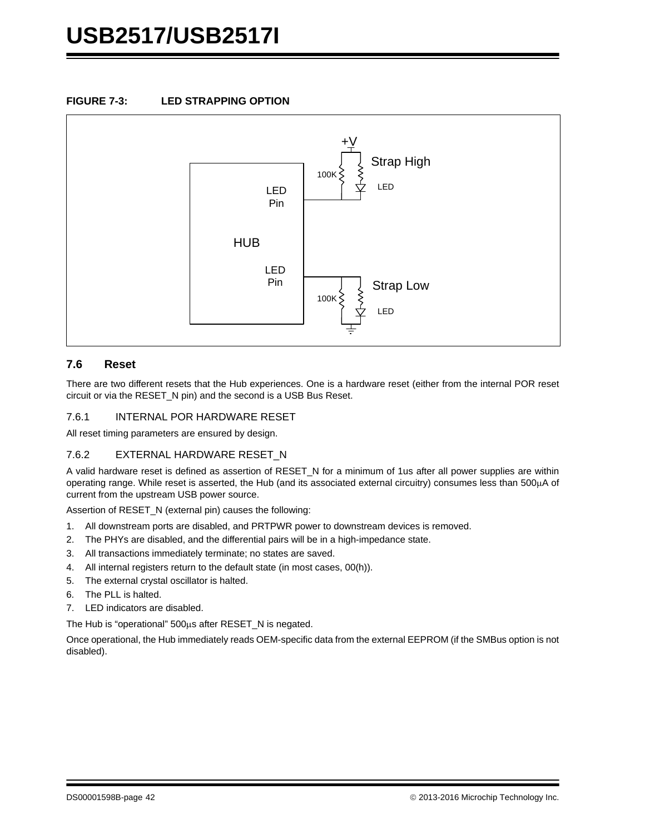#### **FIGURE 7-3: LED STRAPPING OPTION**



## <span id="page-41-0"></span>**7.6 Reset**

There are two different resets that the Hub experiences. One is a hardware reset (either from the internal POR reset circuit or via the RESET\_N pin) and the second is a USB Bus Reset.

#### 7.6.1 INTERNAL POR HARDWARE RESET

All reset timing parameters are ensured by design.

#### 7.6.2 EXTERNAL HARDWARE RESET\_N

A valid hardware reset is defined as assertion of RESET\_N for a minimum of 1us after all power supplies are within operating range. While reset is asserted, the Hub (and its associated external circuitry) consumes less than 500µA of current from the upstream USB power source.

Assertion of RESET\_N (external pin) causes the following:

- 1. All downstream ports are disabled, and PRTPWR power to downstream devices is removed.
- 2. The PHYs are disabled, and the differential pairs will be in a high-impedance state.
- 3. All transactions immediately terminate; no states are saved.
- 4. All internal registers return to the default state (in most cases, 00(h)).
- 5. The external crystal oscillator is halted.
- 6. The PLL is halted.
- 7. LED indicators are disabled.

The Hub is "operational"  $500\mu s$  after RESET\_N is negated.

Once operational, the Hub immediately reads OEM-specific data from the external EEPROM (if the SMBus option is not disabled).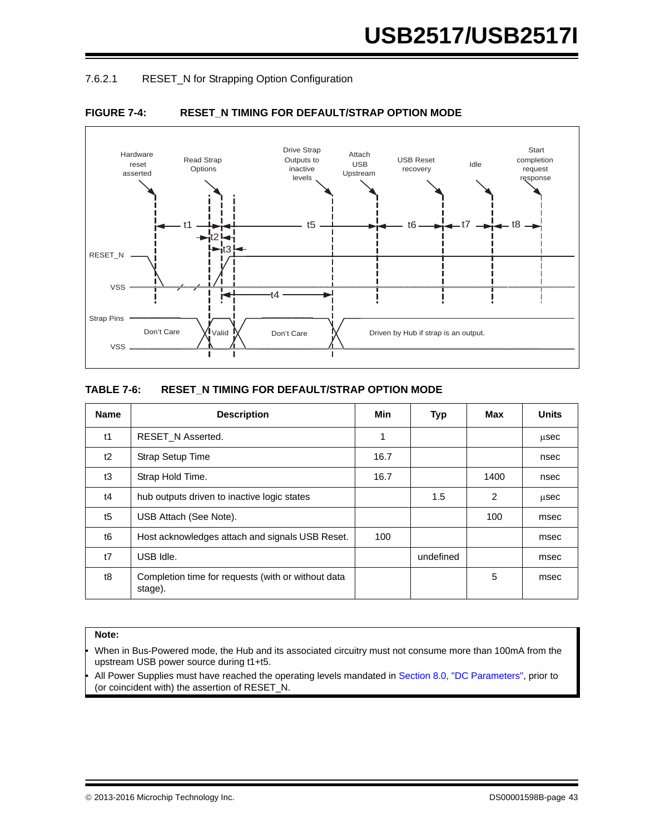#### 7.6.2.1 RESET\_N for Strapping Option Configuration



#### **FIGURE 7-4: RESET\_N TIMING FOR DEFAULT/STRAP OPTION MODE**

#### **TABLE 7-6: RESET\_N TIMING FOR DEFAULT/STRAP OPTION MODE**

| <b>Name</b> | <b>Description</b>                                            | Min  | <b>Typ</b> | Max  | <b>Units</b> |
|-------------|---------------------------------------------------------------|------|------------|------|--------------|
| t1          | <b>RESET N Asserted.</b>                                      | 1    |            |      | usec         |
| t2          | Strap Setup Time                                              | 16.7 |            |      | nsec         |
| t3          | Strap Hold Time.                                              | 16.7 |            | 1400 | nsec         |
| t4          | hub outputs driven to inactive logic states                   |      | 1.5        | 2    | usec         |
| t5          | USB Attach (See Note).                                        |      |            | 100  | msec         |
| t6          | Host acknowledges attach and signals USB Reset.               | 100  |            |      | msec         |
| t7          | USB Idle.                                                     |      | undefined  |      | msec         |
| t8          | Completion time for requests (with or without data<br>stage). |      |            | 5    | msec         |

#### **Note:**

• When in Bus-Powered mode, the Hub and its associated circuitry must not consume more than 100mA from the upstream USB power source during t1+t5.

• All Power Supplies must have reached the operating levels mandated in [Section 8.0, "DC Parameters",](#page-46-1) prior to (or coincident with) the assertion of RESET\_N.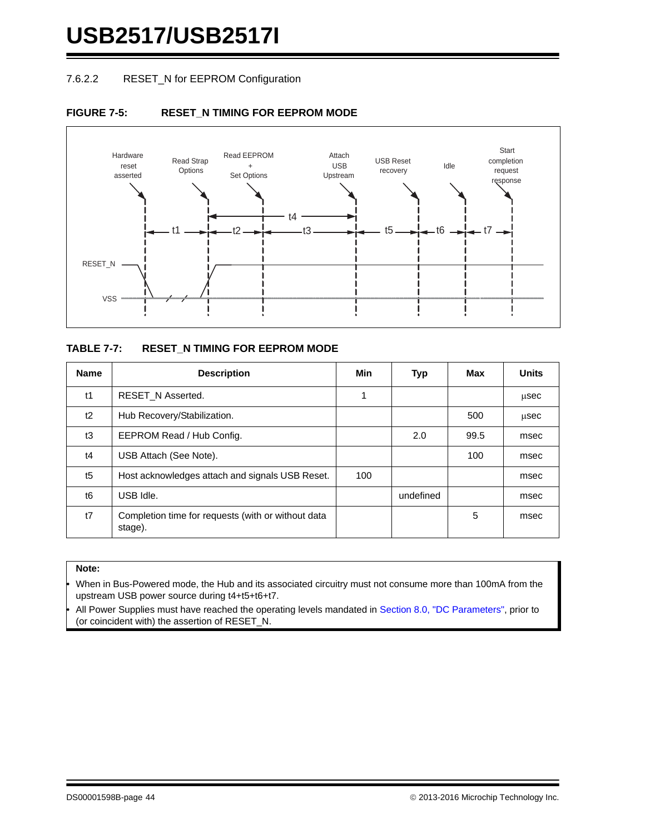#### 7.6.2.2 RESET\_N for EEPROM Configuration



#### **FIGURE 7-5: RESET\_N TIMING FOR EEPROM MODE**

### **TABLE 7-7: RESET\_N TIMING FOR EEPROM MODE**

| <b>Name</b>    | <b>Description</b>                                            | Min | Typ       | <b>Max</b> | <b>Units</b> |
|----------------|---------------------------------------------------------------|-----|-----------|------------|--------------|
| t1             | <b>RESET N Asserted.</b>                                      | 1   |           |            | usec         |
| t2             | Hub Recovery/Stabilization.                                   |     |           | 500        | usec         |
| t3             | EEPROM Read / Hub Config.                                     |     | 2.0       | 99.5       | msec         |
| t4             | USB Attach (See Note).                                        |     |           | 100        | msec         |
| t5             | Host acknowledges attach and signals USB Reset.               | 100 |           |            | msec         |
| t <sub>6</sub> | USB Idle.                                                     |     | undefined |            | msec         |
| t7             | Completion time for requests (with or without data<br>stage). |     |           | 5          | msec         |

#### **Note:**

• When in Bus-Powered mode, the Hub and its associated circuitry must not consume more than 100mA from the upstream USB power source during t4+t5+t6+t7.

• All Power Supplies must have reached the operating levels mandated in [Section 8.0, "DC Parameters",](#page-46-1) prior to (or coincident with) the assertion of RESET\_N.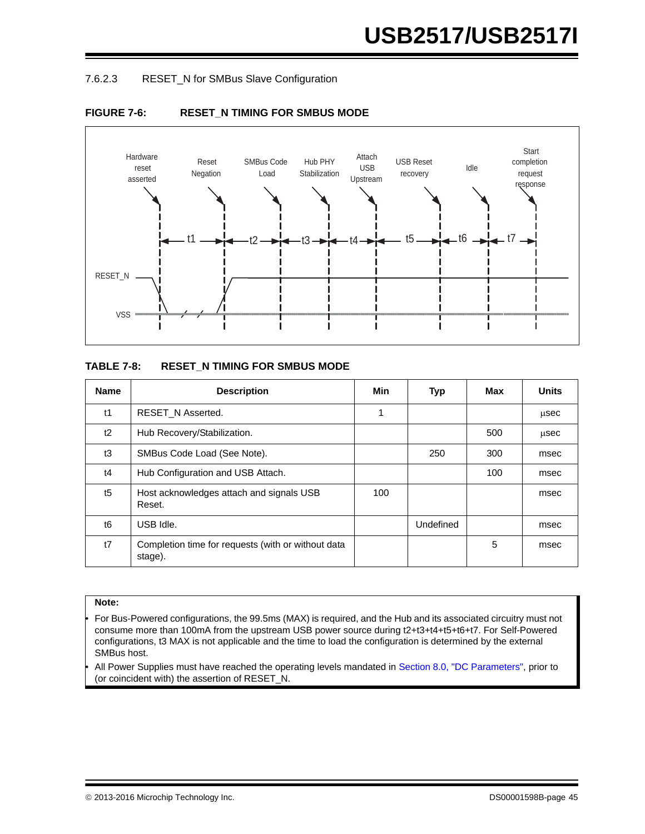#### 7.6.2.3 RESET\_N for SMBus Slave Configuration



#### **FIGURE 7-6: RESET\_N TIMING FOR SMBUS MODE**

### **TABLE 7-8: RESET\_N TIMING FOR SMBUS MODE**

| <b>Name</b>    | <b>Description</b>                                            | Min | Typ       | Max | <b>Units</b> |
|----------------|---------------------------------------------------------------|-----|-----------|-----|--------------|
| t1             | <b>RESET N Asserted.</b>                                      | 1   |           |     | usec         |
| t2             | Hub Recovery/Stabilization.                                   |     |           | 500 | usec         |
| t3             | SMBus Code Load (See Note).                                   |     | 250       | 300 | msec         |
| t4             | Hub Configuration and USB Attach.                             |     |           | 100 | msec         |
| t5             | Host acknowledges attach and signals USB<br>Reset.            | 100 |           |     | msec         |
| t <sub>6</sub> | USB Idle.                                                     |     | Undefined |     | msec         |
| t7             | Completion time for requests (with or without data<br>stage). |     |           | 5   | msec         |

#### **Note:**

• For Bus-Powered configurations, the 99.5ms (MAX) is required, and the Hub and its associated circuitry must not consume more than 100mA from the upstream USB power source during t2+t3+t4+t5+t6+t7. For Self-Powered configurations, t3 MAX is not applicable and the time to load the configuration is determined by the external SMBus host.

• All Power Supplies must have reached the operating levels mandated in [Section 8.0, "DC Parameters",](#page-46-1) prior to (or coincident with) the assertion of RESET\_N.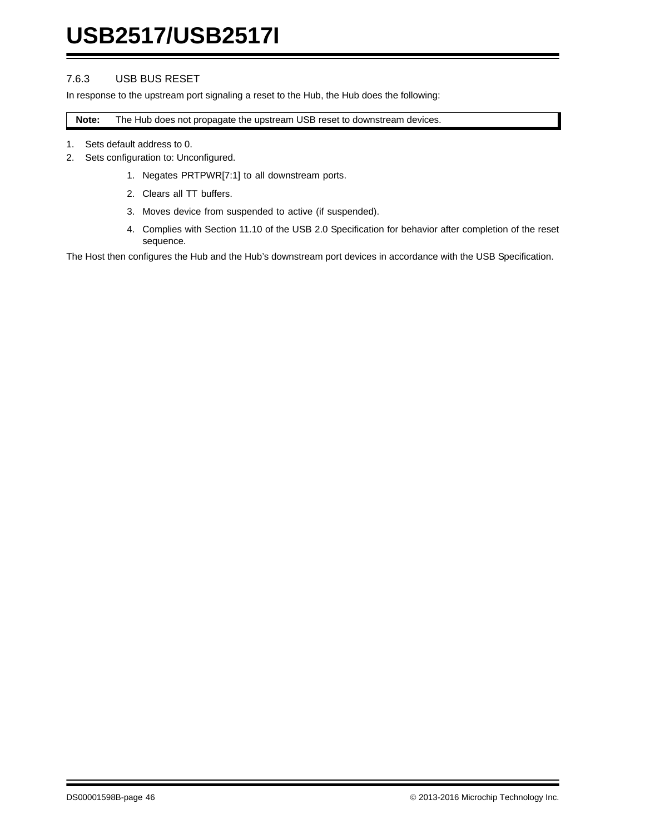#### 7.6.3 USB BUS RESET

In response to the upstream port signaling a reset to the Hub, the Hub does the following:

**Note:** The Hub does not propagate the upstream USB reset to downstream devices.

- 1. Sets default address to 0.
- 2. Sets configuration to: Unconfigured.
	- 1. Negates PRTPWR[7:1] to all downstream ports.
	- 2. Clears all TT buffers.
	- 3. Moves device from suspended to active (if suspended).
	- 4. Complies with Section 11.10 of the USB 2.0 Specification for behavior after completion of the reset sequence.

The Host then configures the Hub and the Hub's downstream port devices in accordance with the USB Specification.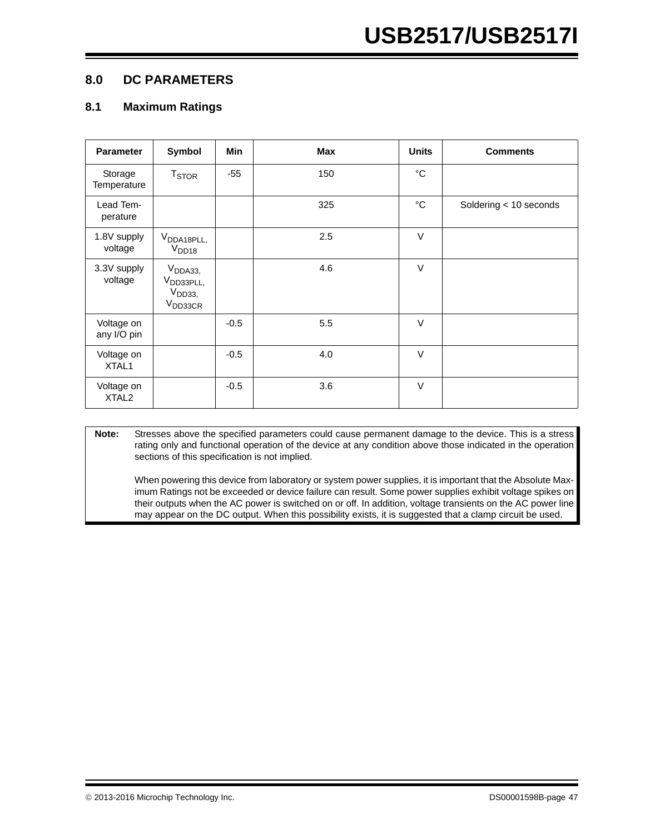## <span id="page-46-1"></span><span id="page-46-0"></span>**8.0 DC PARAMETERS**

### **8.1 Maximum Ratings**

| <b>Parameter</b>                | Symbol                                                                                   | <b>Min</b> | <b>Max</b> | <b>Units</b> | <b>Comments</b>        |
|---------------------------------|------------------------------------------------------------------------------------------|------------|------------|--------------|------------------------|
| Storage<br>Temperature          | $\mathsf{T}_{\text{STOR}}$                                                               | $-55$      | 150        | $^{\circ}C$  |                        |
| Lead Tem-<br>perature           |                                                                                          |            | 325        | $^{\circ}C$  | Soldering < 10 seconds |
| 1.8V supply<br>voltage          | V <sub>DDA18PLL,</sub><br>V <sub>DD18</sub>                                              |            | 2.5        | $\vee$       |                        |
| 3.3V supply<br>voltage          | V <sub>DDA33</sub><br>V <sub>DD33PLL,</sub><br>V <sub>DD33,</sub><br>V <sub>DD33CR</sub> |            | 4.6        | $\vee$       |                        |
| Voltage on<br>any I/O pin       |                                                                                          | $-0.5$     | 5.5        | $\vee$       |                        |
| Voltage on<br>XTAL1             |                                                                                          | $-0.5$     | 4.0        | $\vee$       |                        |
| Voltage on<br>XTAL <sub>2</sub> |                                                                                          | $-0.5$     | 3.6        | $\vee$       |                        |

**Note:** Stresses above the specified parameters could cause permanent damage to the device. This is a stress rating only and functional operation of the device at any condition above those indicated in the operation sections of this specification is not implied.

When powering this device from laboratory or system power supplies, it is important that the Absolute Maximum Ratings not be exceeded or device failure can result. Some power supplies exhibit voltage spikes on their outputs when the AC power is switched on or off. In addition, voltage transients on the AC power line may appear on the DC output. When this possibility exists, it is suggested that a clamp circuit be used.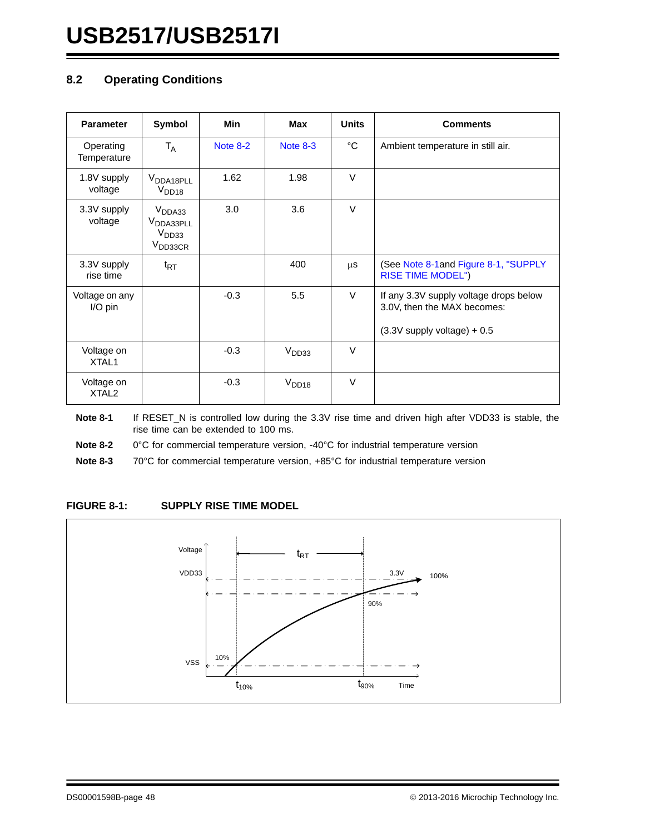## **8.2 Operating Conditions**

| <b>Parameter</b>                | Symbol                                                                                  | <b>Min</b>      | <b>Max</b>        | <b>Units</b> | <b>Comments</b>                                                                                        |
|---------------------------------|-----------------------------------------------------------------------------------------|-----------------|-------------------|--------------|--------------------------------------------------------------------------------------------------------|
| Operating<br>Temperature        | $T_A$                                                                                   | <b>Note 8-2</b> | <b>Note 8-3</b>   | °C           | Ambient temperature in still air.                                                                      |
| 1.8V supply<br>voltage          | V <sub>DDA18PLL</sub><br>V <sub>DD18</sub>                                              | 1.62            | 1.98              | $\vee$       |                                                                                                        |
| 3.3V supply<br>voltage          | V <sub>DDA33</sub><br>V <sub>DDA33PLL</sub><br>V <sub>DD33</sub><br>V <sub>DD33CR</sub> | 3.0             | 3.6               | $\vee$       |                                                                                                        |
| 3.3V supply<br>rise time        | $t_{RT}$                                                                                |                 | 400               | μS           | (See Note 8-1 and Figure 8-1, "SUPPLY<br><b>RISE TIME MODEL")</b>                                      |
| Voltage on any<br>I/O pin       |                                                                                         | $-0.3$          | 5.5               | $\vee$       | If any 3.3V supply voltage drops below<br>3.0V, then the MAX becomes:<br>$(3.3V$ supply voltage) + 0.5 |
| Voltage on<br>XTAL <sub>1</sub> |                                                                                         | $-0.3$          | V <sub>DD33</sub> | $\vee$       |                                                                                                        |
| Voltage on<br>XTAL <sub>2</sub> |                                                                                         | $-0.3$          | V <sub>DD18</sub> | $\vee$       |                                                                                                        |

<span id="page-47-3"></span>**Note 8-1** If RESET\_N is controlled low during the 3.3V rise time and driven high after VDD33 is stable, the rise time can be extended to 100 ms.

<span id="page-47-0"></span>**Note 8-2** 0°C for commercial temperature version, -40°C for industrial temperature version

<span id="page-47-1"></span>**Note 8-3** 70°C for commercial temperature version, +85°C for industrial temperature version

#### <span id="page-47-2"></span>**FIGURE 8-1: SUPPLY RISE TIME MODEL**

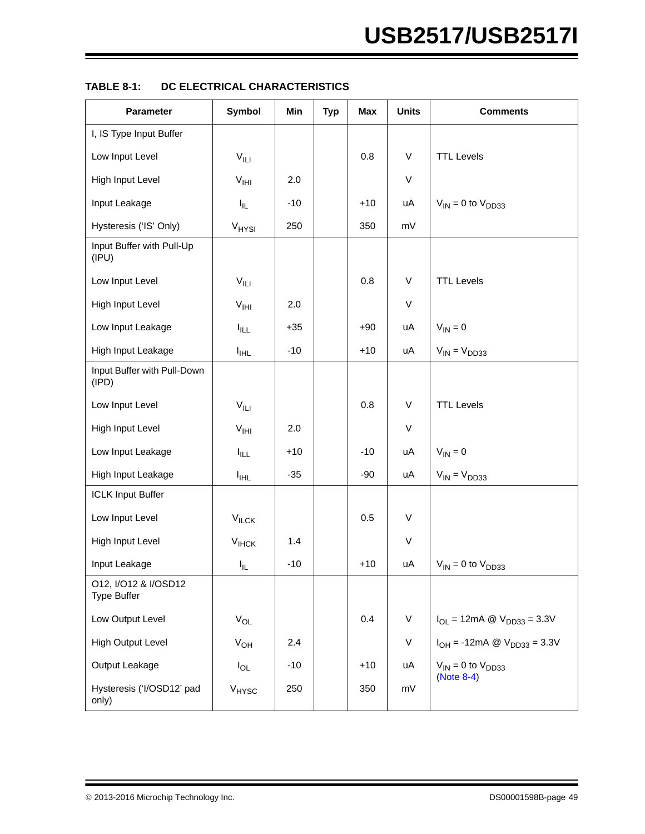| <b>TABLE 8-1:</b> | DC ELECTRICAL CHARACTERISTICS |
|-------------------|-------------------------------|
|-------------------|-------------------------------|

| Parameter                                  | Symbol                      | Min   | <b>Typ</b> | Max   | <b>Units</b> | <b>Comments</b>                     |
|--------------------------------------------|-----------------------------|-------|------------|-------|--------------|-------------------------------------|
| I, IS Type Input Buffer                    |                             |       |            |       |              |                                     |
| Low Input Level                            | $\mathsf{V}_{\mathsf{ILI}}$ |       |            | 0.8   | $\mathsf{V}$ | <b>TTL Levels</b>                   |
| High Input Level                           | V <sub>HH</sub>             | 2.0   |            |       | V            |                                     |
| Input Leakage                              | I <sub>IL</sub>             | $-10$ |            | $+10$ | иA           | $V_{IN} = 0$ to $V_{DD33}$          |
| Hysteresis ('IS' Only)                     | $V_{HYSI}$                  | 250   |            | 350   | mV           |                                     |
| Input Buffer with Pull-Up<br>(IPU)         |                             |       |            |       |              |                                     |
| Low Input Level                            | $V_{\text{ILI}}$            |       |            | 0.8   | V            | <b>TTL Levels</b>                   |
| High Input Level                           | V <sub>HH</sub>             | 2.0   |            |       | $\mathsf{V}$ |                                     |
| Low Input Leakage                          | $I_{\scriptstyle\rm ILL}$   | $+35$ |            | $+90$ | иA           | $V_{IN} = 0$                        |
| High Input Leakage                         | I <sub>IHL</sub>            | $-10$ |            | $+10$ | uA           | $V_{IN} = V_{DD33}$                 |
| Input Buffer with Pull-Down<br>(IPD)       |                             |       |            |       |              |                                     |
| Low Input Level                            | $V_{\parallel \text{LI}}$   |       |            | 0.8   | V            | <b>TTL Levels</b>                   |
| High Input Level                           | V <sub>HH</sub>             | 2.0   |            |       | V            |                                     |
| Low Input Leakage                          | <b>I</b> ILL                | $+10$ |            | $-10$ | uA           | $V_{IN} = 0$                        |
| High Input Leakage                         | $I_{\text{IHL}}$            | $-35$ |            | $-90$ | uA           | $V_{IN} = V_{DD33}$                 |
| <b>ICLK Input Buffer</b>                   |                             |       |            |       |              |                                     |
| Low Input Level                            | $V_{ILCK}$                  |       |            | 0.5   | V            |                                     |
| High Input Level                           | $V_{IHCK}$                  | 1.4   |            |       | V            |                                     |
| Input Leakage                              | I <sub>IL</sub>             | $-10$ |            | $+10$ | uA           | $V_{IN} = 0$ to $V_{DD33}$          |
| 012, I/O12 & I/OSD12<br><b>Type Buffer</b> |                             |       |            |       |              |                                     |
| Low Output Level                           | $\mathrm{V_{OL}}$           |       |            | 0.4   | V            | $I_{OL}$ = 12mA @ $V_{DD33}$ = 3.3V |
| <b>High Output Level</b>                   | $V_{OH}$                    | 2.4   |            |       | V            | $I_{OH} = -12mA \& V_{DD33} = 3.3V$ |
| Output Leakage                             | $I_{OL}$                    | $-10$ |            | $+10$ | uA           | $V_{IN}$ = 0 to $V_{DD33}$          |
| Hysteresis ('I/OSD12' pad<br>only)         | V <sub>HYSC</sub>           | 250   |            | 350   | mV           | $(Note 8-4)$                        |

© 2013-2016 Microchip Technology Inc. Compared the Control of the DS00001598B-page 49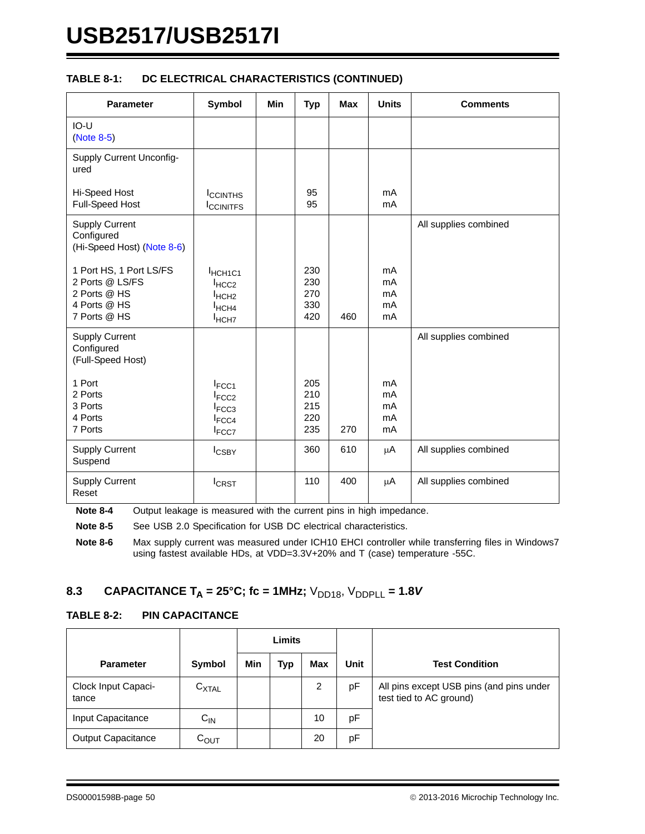#### **TABLE 8-1: DC ELECTRICAL CHARACTERISTICS (CONTINUED)**

| <b>Parameter</b>                                                                           | <b>Symbol</b>                                                                                           | Min | <b>Typ</b>                      | <b>Max</b> | <b>Units</b>                           | <b>Comments</b>       |
|--------------------------------------------------------------------------------------------|---------------------------------------------------------------------------------------------------------|-----|---------------------------------|------------|----------------------------------------|-----------------------|
| $IO-U$<br>(Note 8-5)                                                                       |                                                                                                         |     |                                 |            |                                        |                       |
| Supply Current Unconfig-<br>ured                                                           |                                                                                                         |     |                                 |            |                                        |                       |
| Hi-Speed Host<br>Full-Speed Host                                                           | <b>ICCINTHS</b><br><b>ICCINITES</b>                                                                     |     | 95<br>95                        |            | mA<br>mA                               |                       |
| <b>Supply Current</b><br>Configured<br>(Hi-Speed Host) (Note 8-6)                          |                                                                                                         |     |                                 |            |                                        | All supplies combined |
| 1 Port HS, 1 Port LS/FS<br>2 Ports @ LS/FS<br>2 Ports @ HS<br>4 Ports @ HS<br>7 Ports @ HS | HCH <sub>1C1</sub><br>$I_{HCC2}$<br><sup>I</sup> HCH <sub>2</sub><br>I <sub>HCH4</sub><br><b>I</b> HCH7 |     | 230<br>230<br>270<br>330<br>420 | 460        | mA<br>m <sub>A</sub><br>mA<br>mA<br>mA |                       |
| <b>Supply Current</b><br>Configured<br>(Full-Speed Host)                                   |                                                                                                         |     |                                 |            |                                        | All supplies combined |
| 1 Port<br>2 Ports<br>3 Ports<br>4 Ports<br>7 Ports                                         | <b>FCC1</b><br><b>FCC2</b><br>I <sub>FCC3</sub><br>$I_{FCC4}$<br><b>I</b> FCC7                          |     | 205<br>210<br>215<br>220<br>235 | 270        | mA<br>mA<br>mA<br>mA<br>mA             |                       |
| <b>Supply Current</b><br>Suspend                                                           | $I_{\text{CSBY}}$                                                                                       |     | 360                             | 610        | μA                                     | All supplies combined |
| <b>Supply Current</b><br>Reset                                                             | <b>I</b> CRST                                                                                           |     | 110                             | 400        | μA                                     | All supplies combined |

<span id="page-49-0"></span>**Note 8-4** Output leakage is measured with the current pins in high impedance.

<span id="page-49-1"></span>**Note 8-5** See USB 2.0 Specification for USB DC electrical characteristics.

<span id="page-49-2"></span>**Note 8-6** Max supply current was measured under ICH10 EHCI controller while transferring files in Windows7 using fastest available HDs, at VDD=3.3V+20% and T (case) temperature -55C.

## **8.3** CAPACITANCE T<sub>A</sub> = 25°C; fc = 1MHz;  $V_{DD18}$ ,  $V_{DDPLL}$  = 1.8*V*

#### **TABLE 8-2: PIN CAPACITANCE**

|                              |                            | Limits |            |            |      |                                                                     |
|------------------------------|----------------------------|--------|------------|------------|------|---------------------------------------------------------------------|
| <b>Parameter</b>             | <b>Symbol</b>              | Min    | <b>Typ</b> | <b>Max</b> | Unit | <b>Test Condition</b>                                               |
| Clock Input Capaci-<br>tance | $C_{\text{XTAL}}$          |        |            | 2          | pF   | All pins except USB pins (and pins under<br>test tied to AC ground) |
| Input Capacitance            | $\mathsf{C}_{\mathsf{IN}}$ |        |            | 10         | pF   |                                                                     |
| <b>Output Capacitance</b>    | $C_{\text{OUT}}$           |        |            | 20         | pF   |                                                                     |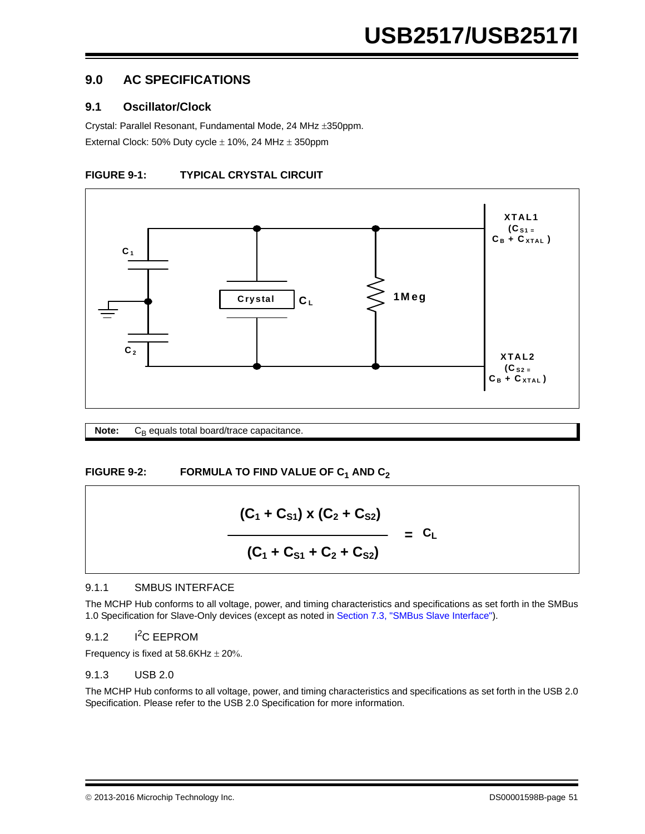## <span id="page-50-0"></span>**9.0 AC SPECIFICATIONS**

### **9.1 Oscillator/Clock**

Crystal: Parallel Resonant, Fundamental Mode, 24 MHz ±350ppm. External Clock: 50% Duty cycle  $\pm$  10%, 24 MHz  $\pm$  350ppm

## **FIGURE 9-1: TYPICAL CRYSTAL CIRCUIT**



**Note:** C<sub>B</sub> equals total board/trace capacitance.

FIGURE 9-2: FORMULA TO FIND VALUE OF C<sub>1</sub> AND C<sub>2</sub>

$$
\frac{(C_1 + C_{S1}) \times (C_2 + C_{S2})}{(C_1 + C_{S1} + C_2 + C_{S2})} = C_L
$$

### 9.1.1 SMBUS INTERFACE

The MCHP Hub conforms to all voltage, power, and timing characteristics and specifications as set forth in the SMBus 1.0 Specification for Slave-Only devices (except as noted in [Section 7.3, "SMBus Slave Interface"\)](#page-38-0).

### 9.1.2  $I^2C$  EEPROM

Frequency is fixed at 58.6KHz  $\pm$  20%.

#### 9.1.3 USB 2.0

The MCHP Hub conforms to all voltage, power, and timing characteristics and specifications as set forth in the USB 2.0 Specification. Please refer to the USB 2.0 Specification for more information.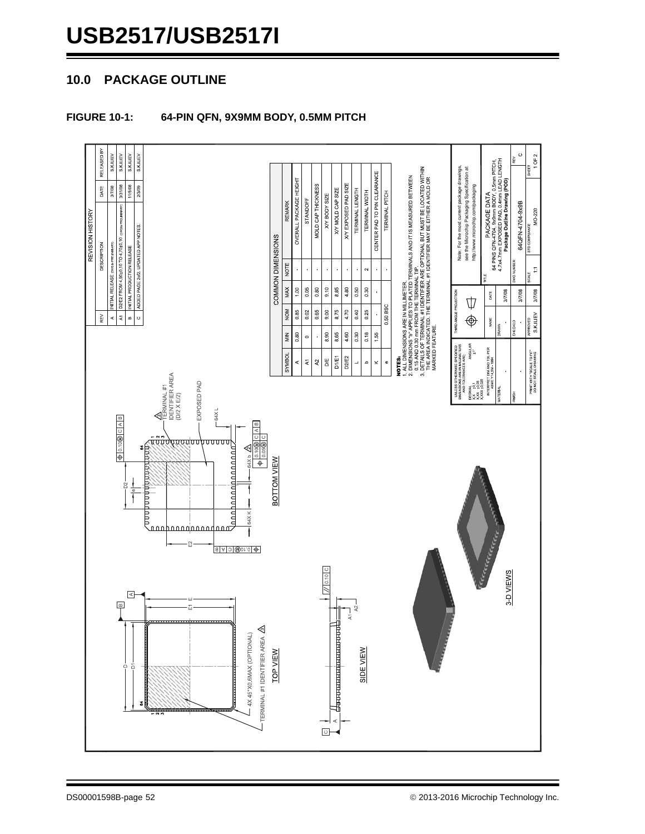## <span id="page-51-0"></span>**10.0 PACKAGE OUTLINE**

#### **FIGURE 10-1: 64-PIN QFN, 9X9MM BODY, 0.5MM PITCH**

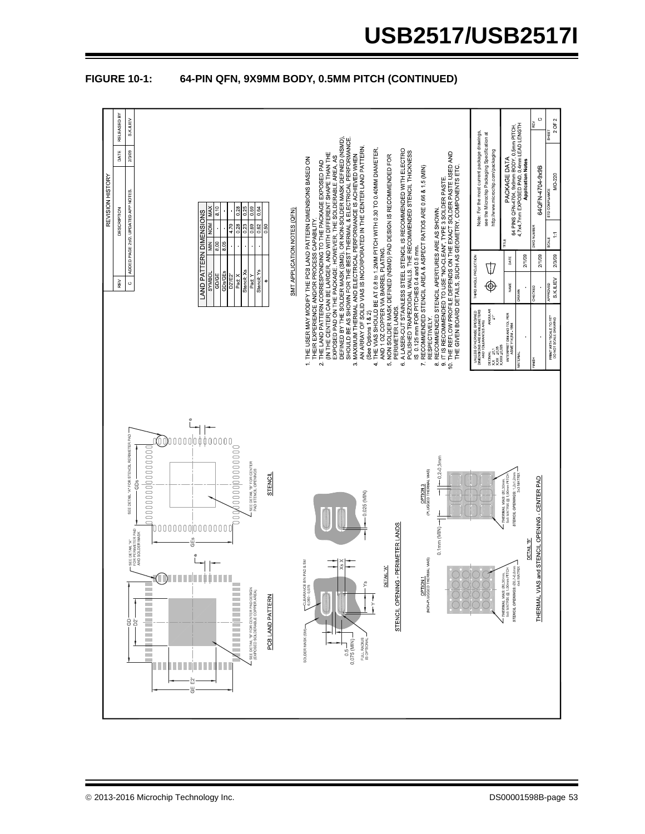

#### **FIGURE 10-1: 64-PIN QFN, 9X9MM BODY, 0.5MM PITCH (CONTINUED)**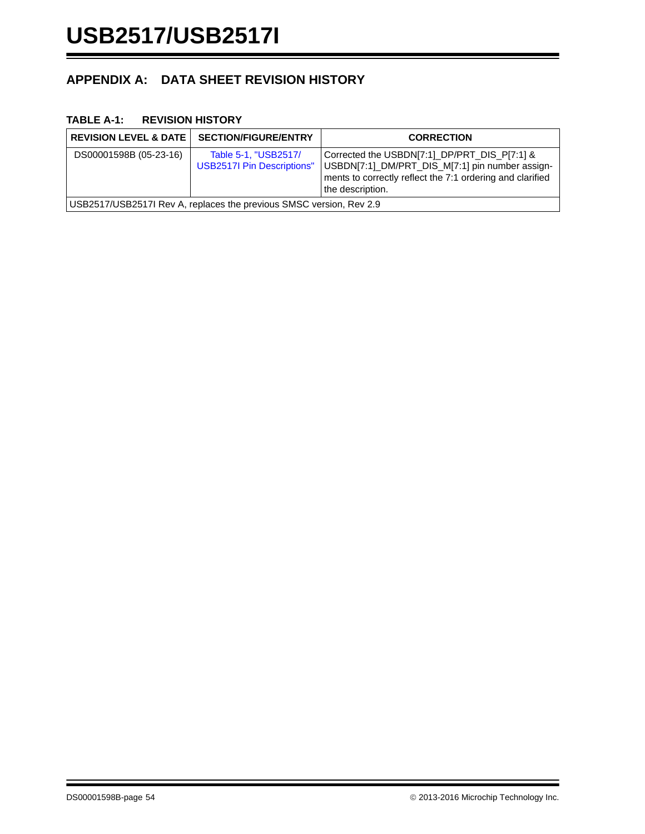## <span id="page-53-0"></span>**APPENDIX A: DATA SHEET REVISION HISTORY**

| <b>TABLE A-1:</b> | <b>REVISION HISTORY</b> |
|-------------------|-------------------------|
|                   |                         |

| <b>REVISION LEVEL &amp; DATE I</b>                                  | <b>SECTION/FIGURE/ENTRY</b>                               | <b>CORRECTION</b>                                                                                                                                                                |  |  |
|---------------------------------------------------------------------|-----------------------------------------------------------|----------------------------------------------------------------------------------------------------------------------------------------------------------------------------------|--|--|
| DS00001598B (05-23-16)                                              | Table 5-1, "USB2517/<br><b>USB2517I Pin Descriptions"</b> | Corrected the USBDN[7:1] DP/PRT DIS P[7:1] &<br>USBDN[7:1]_DM/PRT_DIS_M[7:1] pin number assign-<br>ments to correctly reflect the 7:1 ordering and clarified<br>the description. |  |  |
| USB2517/USB2517I Rev A, replaces the previous SMSC version, Rev 2.9 |                                                           |                                                                                                                                                                                  |  |  |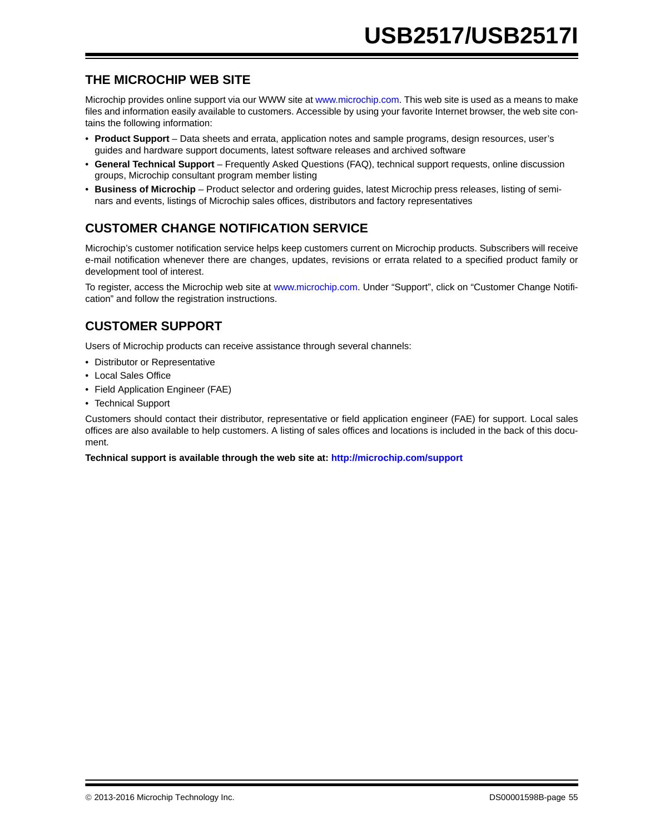## <span id="page-54-0"></span>**THE MICROCHIP WEB SITE**

[Microchip provides online support via our WWW site at w](http://www.microchip.com)ww.microchip.com. This web site is used as a means to make files and information easily available to customers. Accessible by using your favorite Internet browser, the web site contains the following information:

- **Product Support** Data sheets and errata, application notes and sample programs, design resources, user's guides and hardware support documents, latest software releases and archived software
- **General Technical Support** Frequently Asked Questions (FAQ), technical support requests, online discussion groups, Microchip consultant program member listing
- **Business of Microchip** Product selector and ordering guides, latest Microchip press releases, listing of seminars and events, listings of Microchip sales offices, distributors and factory representatives

## <span id="page-54-1"></span>**CUSTOMER CHANGE NOTIFICATION SERVICE**

Microchip's customer notification service helps keep customers current on Microchip products. Subscribers will receive e-mail notification whenever there are changes, updates, revisions or errata related to a specified product family or development tool of interest.

[To register, access the Microchip web site at](http://www.microchip.com) www.microchip.com. Under "Support", click on "Customer Change Notification" and follow the registration instructions.

## <span id="page-54-2"></span>**CUSTOMER SUPPORT**

Users of Microchip products can receive assistance through several channels:

- Distributor or Representative
- Local Sales Office
- Field Application Engineer (FAE)
- Technical Support

Customers should contact their distributor, representative or field application engineer (FAE) for support. Local sales offices are also available to help customers. A listing of sales offices and locations is included in the back of this document.

**[Technical support is available through the web site at: h](http://www.microchip.com)ttp://microchip.com/support**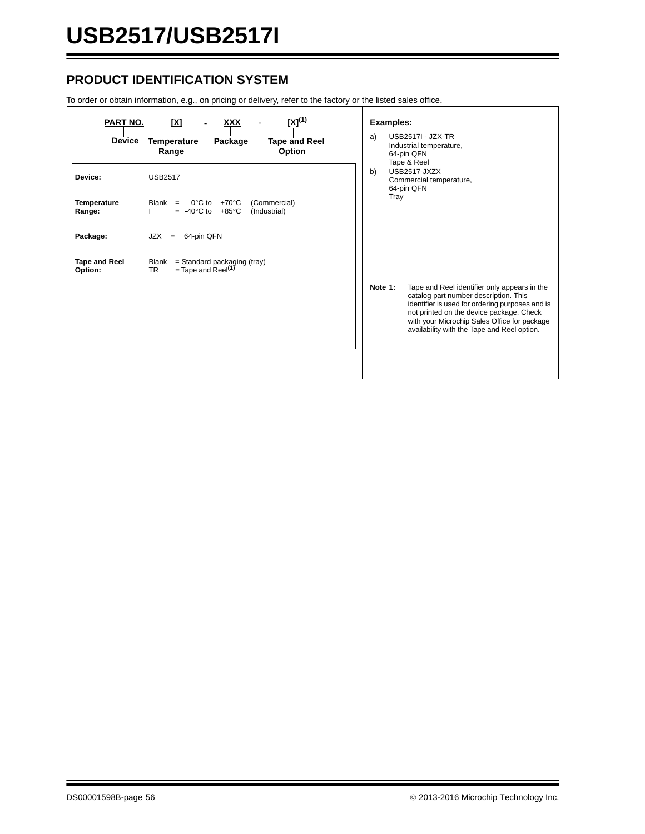## <span id="page-55-0"></span>**PRODUCT IDENTIFICATION SYSTEM**

To order or obtain information, e.g., on pricing or delivery, refer to the factory or the listed sales office.

| <b>PART NO.</b><br><b>Device</b> | [X] <sup>(1)</sup><br>[X]<br>XXX<br><b>Temperature</b><br>Package<br><b>Tape and Reel</b>                              | Examples:<br><b>USB2517I - JZX-TR</b><br>a)<br>Industrial temperature,                                                                                                                                                                                                                         |
|----------------------------------|------------------------------------------------------------------------------------------------------------------------|------------------------------------------------------------------------------------------------------------------------------------------------------------------------------------------------------------------------------------------------------------------------------------------------|
| Device:                          | Range<br>Option<br><b>USB2517</b>                                                                                      | 64-pin QFN<br>Tape & Reel<br>USB2517-JXZX<br>b)<br>Commercial temperature,                                                                                                                                                                                                                     |
| <b>Temperature</b><br>Range:     | $0^{\circ}$ C to +70 $^{\circ}$ C<br>(Commercial)<br>$Blank =$<br>$= -40^{\circ}$ C to $+85^{\circ}$ C<br>(Industrial) | 64-pin QFN<br>Tray                                                                                                                                                                                                                                                                             |
| Package:                         | 64-pin QFN<br>JZX<br>$=$                                                                                               |                                                                                                                                                                                                                                                                                                |
| <b>Tape and Reel</b><br>Option:  | = Standard packaging (tray)<br>Blank<br>$=$ Tape and Reel <sup>(1)</sup><br>TR.                                        | Note 1:<br>Tape and Reel identifier only appears in the<br>catalog part number description. This<br>identifier is used for ordering purposes and is<br>not printed on the device package. Check<br>with your Microchip Sales Office for package<br>availability with the Tape and Reel option. |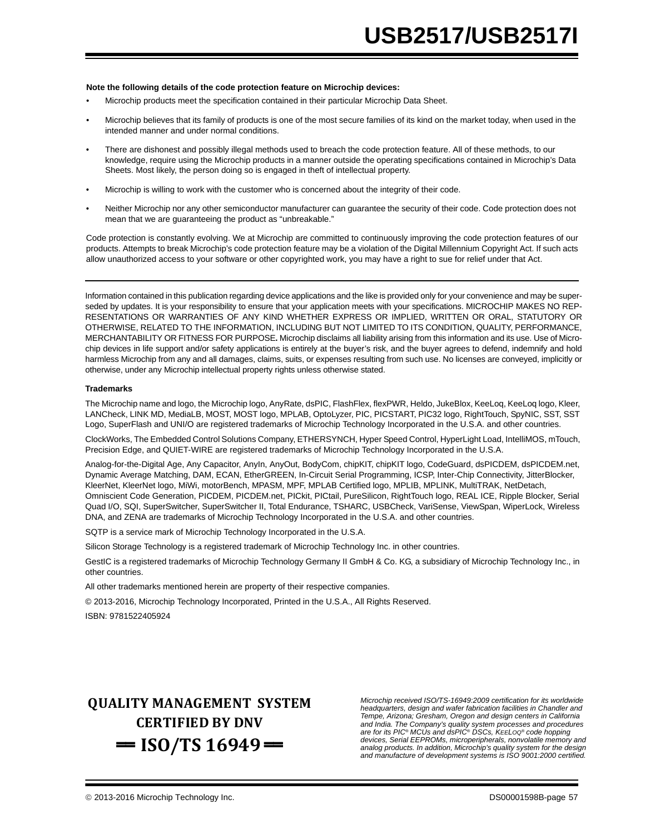#### **Note the following details of the code protection feature on Microchip devices:**

- Microchip products meet the specification contained in their particular Microchip Data Sheet.
- Microchip believes that its family of products is one of the most secure families of its kind on the market today, when used in the intended manner and under normal conditions.
- There are dishonest and possibly illegal methods used to breach the code protection feature. All of these methods, to our knowledge, require using the Microchip products in a manner outside the operating specifications contained in Microchip's Data Sheets. Most likely, the person doing so is engaged in theft of intellectual property.
- Microchip is willing to work with the customer who is concerned about the integrity of their code.
- Neither Microchip nor any other semiconductor manufacturer can guarantee the security of their code. Code protection does not mean that we are guaranteeing the product as "unbreakable."

Code protection is constantly evolving. We at Microchip are committed to continuously improving the code protection features of our products. Attempts to break Microchip's code protection feature may be a violation of the Digital Millennium Copyright Act. If such acts allow unauthorized access to your software or other copyrighted work, you may have a right to sue for relief under that Act.

Information contained in this publication regarding device applications and the like is provided only for your convenience and may be superseded by updates. It is your responsibility to ensure that your application meets with your specifications. MICROCHIP MAKES NO REP-RESENTATIONS OR WARRANTIES OF ANY KIND WHETHER EXPRESS OR IMPLIED, WRITTEN OR ORAL, STATUTORY OR OTHERWISE, RELATED TO THE INFORMATION, INCLUDING BUT NOT LIMITED TO ITS CONDITION, QUALITY, PERFORMANCE, MERCHANTABILITY OR FITNESS FOR PURPOSE**.** Microchip disclaims all liability arising from this information and its use. Use of Microchip devices in life support and/or safety applications is entirely at the buyer's risk, and the buyer agrees to defend, indemnify and hold harmless Microchip from any and all damages, claims, suits, or expenses resulting from such use. No licenses are conveyed, implicitly or otherwise, under any Microchip intellectual property rights unless otherwise stated.

#### **Trademarks**

The Microchip name and logo, the Microchip logo, AnyRate, dsPIC, FlashFlex, flexPWR, Heldo, JukeBlox, KeeLoq, KeeLoq logo, Kleer, LANCheck, LINK MD, MediaLB, MOST, MOST logo, MPLAB, OptoLyzer, PIC, PICSTART, PIC32 logo, RightTouch, SpyNIC, SST, SST Logo, SuperFlash and UNI/O are registered trademarks of Microchip Technology Incorporated in the U.S.A. and other countries.

ClockWorks, The Embedded Control Solutions Company, ETHERSYNCH, Hyper Speed Control, HyperLight Load, IntelliMOS, mTouch, Precision Edge, and QUIET-WIRE are registered trademarks of Microchip Technology Incorporated in the U.S.A.

Analog-for-the-Digital Age, Any Capacitor, AnyIn, AnyOut, BodyCom, chipKIT, chipKIT logo, CodeGuard, dsPICDEM, dsPICDEM.net, Dynamic Average Matching, DAM, ECAN, EtherGREEN, In-Circuit Serial Programming, ICSP, Inter-Chip Connectivity, JitterBlocker, KleerNet, KleerNet logo, MiWi, motorBench, MPASM, MPF, MPLAB Certified logo, MPLIB, MPLINK, MultiTRAK, NetDetach, Omniscient Code Generation, PICDEM, PICDEM.net, PICkit, PICtail, PureSilicon, RightTouch logo, REAL ICE, Ripple Blocker, Serial Quad I/O, SQI, SuperSwitcher, SuperSwitcher II, Total Endurance, TSHARC, USBCheck, VariSense, ViewSpan, WiperLock, Wireless DNA, and ZENA are trademarks of Microchip Technology Incorporated in the U.S.A. and other countries.

SQTP is a service mark of Microchip Technology Incorporated in the U.S.A.

Silicon Storage Technology is a registered trademark of Microchip Technology Inc. in other countries.

GestIC is a registered trademarks of Microchip Technology Germany II GmbH & Co. KG, a subsidiary of Microchip Technology Inc., in other countries.

All other trademarks mentioned herein are property of their respective companies.

© 2013-2016, Microchip Technology Incorporated, Printed in the U.S.A., All Rights Reserved.

ISBN: 9781522405924

## **QUALITY MANAGEMENT SYSTEM CERTIFIED BY DNV**  $=$  **ISO/TS** 16949 $=$

*Microchip received ISO/TS-16949:2009 certification for its worldwide headquarters, design and wafer fabrication facilities in Chandler and Tempe, Arizona; Gresham, Oregon and design centers in California and India. The Company's quality system processes and procedures are for its PIC® MCUs and dsPIC® DSCs, KEELOQ® code hopping devices, Serial EEPROMs, microperipherals, nonvolatile memory and analog products. In addition, Microchip's quality system for the design and manufacture of development systems is ISO 9001:2000 certified.*